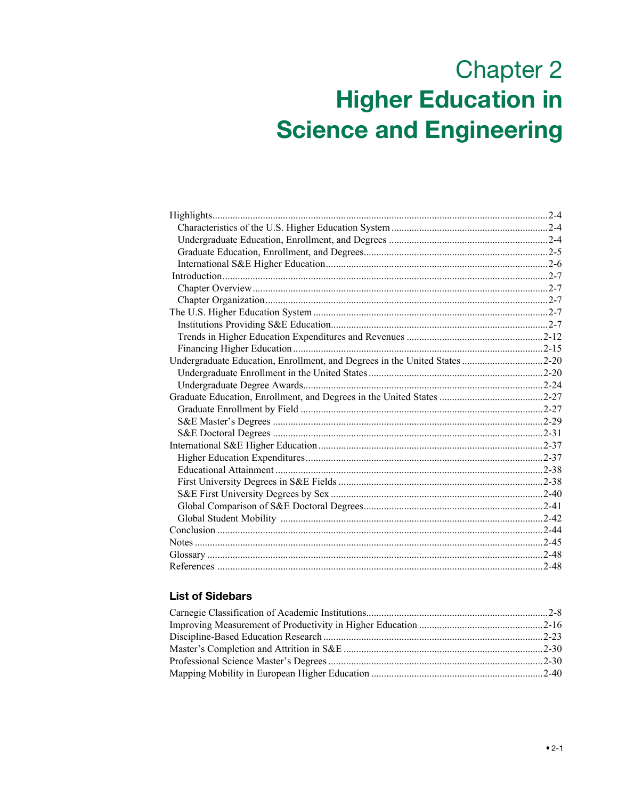# **Chapter 2 Higher Education in Science and Engineering**

| Highlights.                                                                |  |
|----------------------------------------------------------------------------|--|
|                                                                            |  |
|                                                                            |  |
|                                                                            |  |
|                                                                            |  |
|                                                                            |  |
|                                                                            |  |
|                                                                            |  |
|                                                                            |  |
|                                                                            |  |
|                                                                            |  |
|                                                                            |  |
| Undergraduate Education, Enrollment, and Degrees in the United States 2-20 |  |
|                                                                            |  |
|                                                                            |  |
|                                                                            |  |
|                                                                            |  |
|                                                                            |  |
|                                                                            |  |
|                                                                            |  |
|                                                                            |  |
|                                                                            |  |
|                                                                            |  |
|                                                                            |  |
|                                                                            |  |
|                                                                            |  |
|                                                                            |  |
|                                                                            |  |
|                                                                            |  |
|                                                                            |  |
|                                                                            |  |

# **List of Sidebars**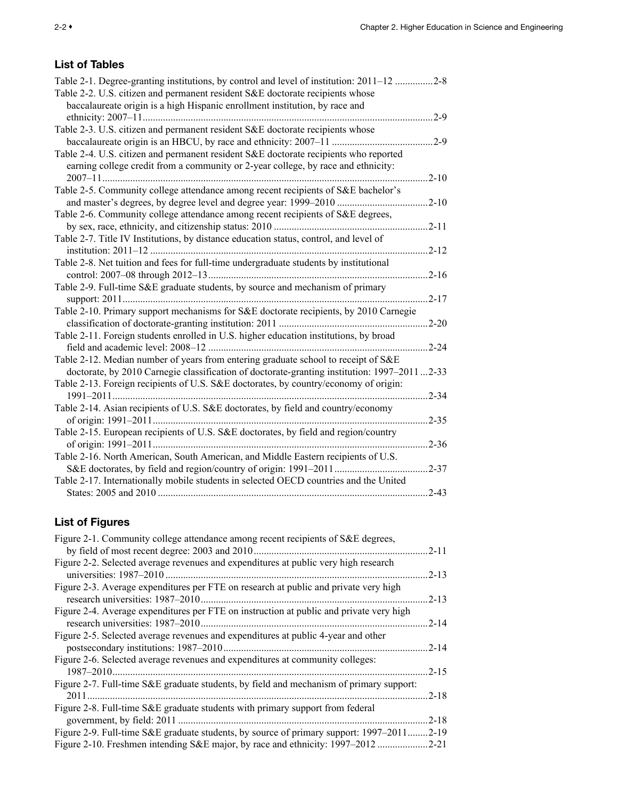# List of Tables

| Table 2-1. Degree-granting institutions, by control and level of institution: 2011–12 2-8   |           |
|---------------------------------------------------------------------------------------------|-----------|
| Table 2-2. U.S. citizen and permanent resident S&E doctorate recipients whose               |           |
| baccalaureate origin is a high Hispanic enrollment institution, by race and                 |           |
|                                                                                             | $2-9$     |
| Table 2-3. U.S. citizen and permanent resident S&E doctorate recipients whose               |           |
|                                                                                             | $2-9$     |
| Table 2-4. U.S. citizen and permanent resident S&E doctorate recipients who reported        |           |
| earning college credit from a community or 2-year college, by race and ethnicity:           |           |
|                                                                                             | $2 - 10$  |
| Table 2-5. Community college attendance among recent recipients of S&E bachelor's           |           |
|                                                                                             | $2 - 10$  |
| Table 2-6. Community college attendance among recent recipients of S&E degrees,             |           |
|                                                                                             | $2 - 11$  |
| Table 2-7. Title IV Institutions, by distance education status, control, and level of       |           |
|                                                                                             | $2 - 12$  |
| Table 2-8. Net tuition and fees for full-time undergraduate students by institutional       |           |
|                                                                                             | $2 - 16$  |
| Table 2-9. Full-time S&E graduate students, by source and mechanism of primary              |           |
|                                                                                             | $2 - 17$  |
| Table 2-10. Primary support mechanisms for S&E doctorate recipients, by 2010 Carnegie       |           |
|                                                                                             | $.2 - 20$ |
| Table 2-11. Foreign students enrolled in U.S. higher education institutions, by broad       |           |
|                                                                                             | $2 - 24$  |
| Table 2-12. Median number of years from entering graduate school to receipt of S&E          |           |
| doctorate, by 2010 Carnegie classification of doctorate-granting institution: 1997–20112-33 |           |
| Table 2-13. Foreign recipients of U.S. S&E doctorates, by country/economy of origin:        |           |
|                                                                                             | $2 - 34$  |
| Table 2-14. Asian recipients of U.S. S&E doctorates, by field and country/economy           |           |
|                                                                                             | $2 - 35$  |
| Table 2-15. European recipients of U.S. S&E doctorates, by field and region/country         |           |
|                                                                                             | $2 - 36$  |
| Table 2-16. North American, South American, and Middle Eastern recipients of U.S.           |           |
|                                                                                             | $.2 - 37$ |
| Table 2-17. Internationally mobile students in selected OECD countries and the United       |           |
|                                                                                             | $2 - 43$  |

# List of Figures

| Figure 2-1. Community college attendance among recent recipients of S&E degrees,        |          |
|-----------------------------------------------------------------------------------------|----------|
| by field of most recent degree: 2003 and 2010                                           | $2 - 11$ |
| Figure 2-2. Selected average revenues and expenditures at public very high research     |          |
| universities: $1987-2010$                                                               | $2 - 13$ |
| Figure 2-3. Average expenditures per FTE on research at public and private very high    |          |
| research universities: 1987–2010.                                                       | $2 - 13$ |
| Figure 2-4. Average expenditures per FTE on instruction at public and private very high |          |
|                                                                                         | $2 - 14$ |
| Figure 2-5. Selected average revenues and expenditures at public 4-year and other       |          |
| postsecondary institutions: 1987-2010                                                   | $2 - 14$ |
| Figure 2-6. Selected average revenues and expenditures at community colleges:           |          |
| $1987 - 2010$ .                                                                         | $2 - 15$ |
| Figure 2-7. Full-time S&E graduate students, by field and mechanism of primary support: |          |
|                                                                                         | $2 - 18$ |
| Figure 2-8. Full-time S&E graduate students with primary support from federal           |          |
| government, by field: 2011                                                              | $2 - 18$ |
| Figure 2-9. Full-time S&E graduate students, by source of primary support: 1997–2011    | $2 - 19$ |
| Figure 2-10. Freshmen intending S&E major, by race and ethnicity: 1997–2012             | $2 - 21$ |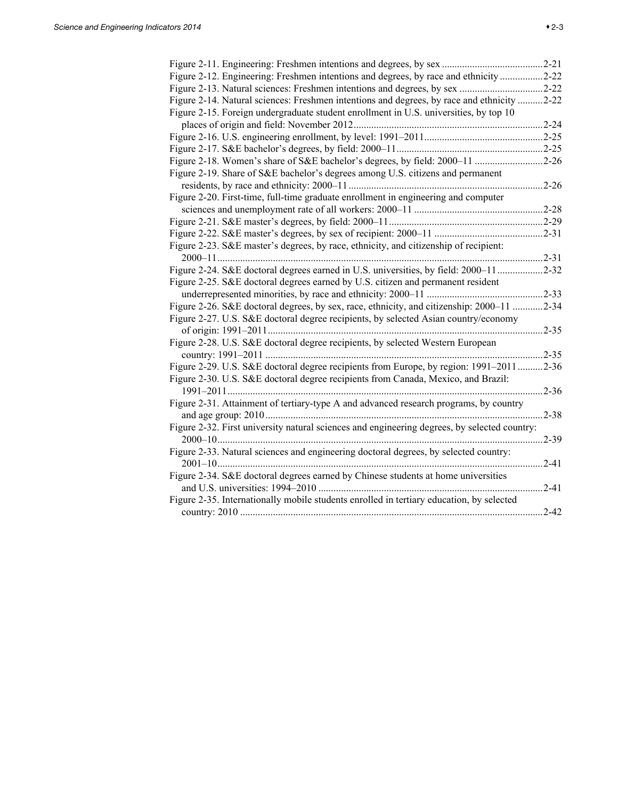| Figure 2-12. Engineering: Freshmen intentions and degrees, by race and ethnicity2-22         |           |
|----------------------------------------------------------------------------------------------|-----------|
| Figure 2-13. Natural sciences: Freshmen intentions and degrees, by sex 2-22                  |           |
| Figure 2-14. Natural sciences: Freshmen intentions and degrees, by race and ethnicity 2-22   |           |
| Figure 2-15. Foreign undergraduate student enrollment in U.S. universities, by top 10        |           |
|                                                                                              |           |
|                                                                                              |           |
|                                                                                              |           |
| Figure 2-18. Women's share of S&E bachelor's degrees, by field: 2000-11 2-26                 |           |
| Figure 2-19. Share of S&E bachelor's degrees among U.S. citizens and permanent               |           |
|                                                                                              | $.2 - 26$ |
| Figure 2-20. First-time, full-time graduate enrollment in engineering and computer           |           |
|                                                                                              | $.2 - 28$ |
|                                                                                              | $.2 - 29$ |
|                                                                                              | $.2 - 31$ |
| Figure 2-23. S&E master's degrees, by race, ethnicity, and citizenship of recipient:         |           |
|                                                                                              | $.2 - 31$ |
| Figure 2-24. S&E doctoral degrees earned in U.S. universities, by field: 2000-11             | $.2 - 32$ |
| Figure 2-25. S&E doctoral degrees earned by U.S. citizen and permanent resident              |           |
|                                                                                              | $.2 - 33$ |
| Figure 2-26. S&E doctoral degrees, by sex, race, ethnicity, and citizenship: 2000–11         | $.2 - 34$ |
| Figure 2-27. U.S. S&E doctoral degree recipients, by selected Asian country/economy          |           |
|                                                                                              | $.2 - 35$ |
| Figure 2-28. U.S. S&E doctoral degree recipients, by selected Western European               |           |
|                                                                                              | $.2 - 35$ |
| Figure 2-29. U.S. S&E doctoral degree recipients from Europe, by region: 1991–2011           | $.2 - 36$ |
| Figure 2-30. U.S. S&E doctoral degree recipients from Canada, Mexico, and Brazil:            |           |
|                                                                                              | $.2 - 36$ |
| Figure 2-31. Attainment of tertiary-type A and advanced research programs, by country        |           |
|                                                                                              | $.2 - 38$ |
| Figure 2-32. First university natural sciences and engineering degrees, by selected country: |           |
|                                                                                              | $.2 - 39$ |
| Figure 2-33. Natural sciences and engineering doctoral degrees, by selected country:         |           |
|                                                                                              | $.2 - 41$ |
| Figure 2-34. S&E doctoral degrees earned by Chinese students at home universities            |           |
|                                                                                              | $.2 - 41$ |
| Figure 2-35. Internationally mobile students enrolled in tertiary education, by selected     |           |
|                                                                                              | $2 - 42$  |
|                                                                                              |           |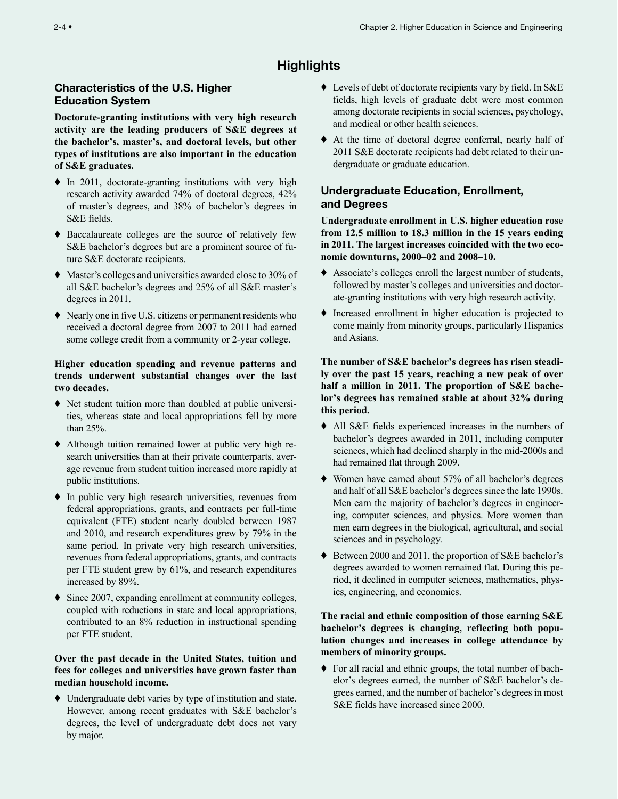# **Highlights**

## <span id="page-3-0"></span>Characteristics of the U.S. Higher Education System

**Doctorate-granting institutions with very high research activity are the leading producers of S&E degrees at the bachelor's, master's, and doctoral levels, but other types of institutions are also important in the education of S&E graduates.**

- ♦ In 2011, doctorate-granting institutions with very high research activity awarded 74% of doctoral degrees, 42% of master's degrees, and 38% of bachelor's degrees in S&E fields.
- ♦ Baccalaureate colleges are the source of relatively few S&E bachelor's degrees but are a prominent source of future S&E doctorate recipients.
- ♦ Master's colleges and universities awarded close to 30% of all S&E bachelor's degrees and 25% of all S&E master's degrees in 2011.
- ♦ Nearly one in five U.S. citizens or permanent residents who received a doctoral degree from 2007 to 2011 had earned some college credit from a community or 2-year college.

## **Higher education spending and revenue patterns and trends underwent substantial changes over the last two decades.**

- ♦ Net student tuition more than doubled at public universities, whereas state and local appropriations fell by more than 25%.
- ♦ Although tuition remained lower at public very high research universities than at their private counterparts, average revenue from student tuition increased more rapidly at public institutions.
- ♦ In public very high research universities, revenues from federal appropriations, grants, and contracts per full-time equivalent (FTE) student nearly doubled between 1987 and 2010, and research expenditures grew by 79% in the same period. In private very high research universities, revenues from federal appropriations, grants, and contracts per FTE student grew by 61%, and research expenditures increased by 89%.
- ♦ Since 2007, expanding enrollment at community colleges, coupled with reductions in state and local appropriations, contributed to an 8% reduction in instructional spending per FTE student.

## **Over the past decade in the United States, tuition and fees for colleges and universities have grown faster than median household income.**

♦ Undergraduate debt varies by type of institution and state. However, among recent graduates with S&E bachelor's degrees, the level of undergraduate debt does not vary by major.

- ♦ Levels of debt of doctorate recipients vary by field. In S&E fields, high levels of graduate debt were most common among doctorate recipients in social sciences, psychology, and medical or other health sciences.
- ♦ At the time of doctoral degree conferral, nearly half of 2011 S&E doctorate recipients had debt related to their undergraduate or graduate education.

# Undergraduate Education, Enrollment, and Degrees

**Undergraduate enrollment in U.S. higher education rose from 12.5 million to 18.3 million in the 15 years ending in 2011. The largest increases coincided with the two economic downturns, 2000–02 and 2008–10.**

- ♦ Associate's colleges enroll the largest number of students, followed by master's colleges and universities and doctorate-granting institutions with very high research activity.
- ♦ Increased enrollment in higher education is projected to come mainly from minority groups, particularly Hispanics and Asians.

**The number of S&E bachelor's degrees has risen steadily over the past 15 years, reaching a new peak of over half a million in 2011. The proportion of S&E bachelor's degrees has remained stable at about 32% during this period.**

- ♦ All S&E fields experienced increases in the numbers of bachelor's degrees awarded in 2011, including computer sciences, which had declined sharply in the mid-2000s and had remained flat through 2009.
- ♦ Women have earned about 57% of all bachelor's degrees and half of all S&E bachelor's degrees since the late 1990s. Men earn the majority of bachelor's degrees in engineering, computer sciences, and physics. More women than men earn degrees in the biological, agricultural, and social sciences and in psychology.
- ♦ Between 2000 and 2011, the proportion of S&E bachelor's degrees awarded to women remained flat. During this period, it declined in computer sciences, mathematics, physics, engineering, and economics.

## **The racial and ethnic composition of those earning S&E bachelor's degrees is changing, reflecting both population changes and increases in college attendance by members of minority groups.**

♦ For all racial and ethnic groups, the total number of bachelor's degrees earned, the number of S&E bachelor's degrees earned, and the number of bachelor's degrees in most S&E fields have increased since 2000.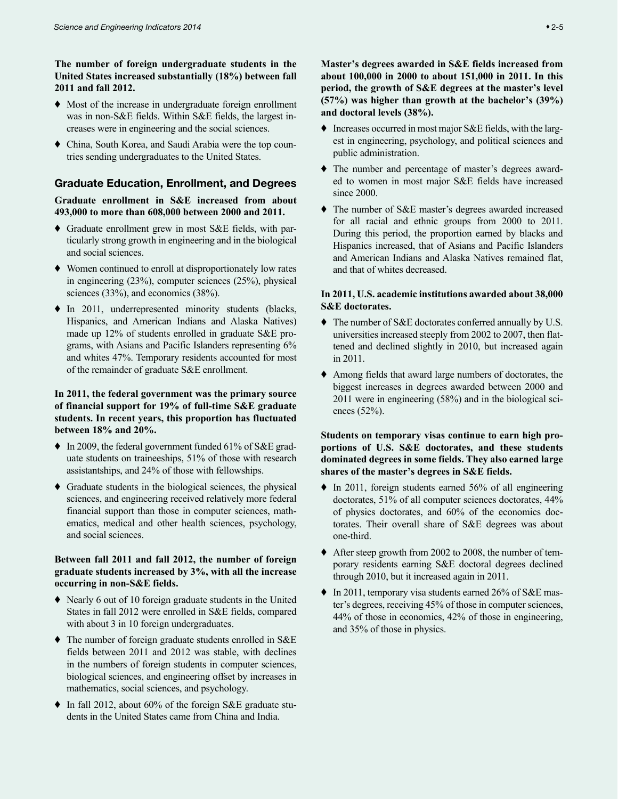## <span id="page-4-0"></span>**The number of foreign undergraduate students in the United States increased substantially (18%) between fall 2011 and fall 2012.**

- ♦ Most of the increase in undergraduate foreign enrollment was in non-S&E fields. Within S&E fields, the largest increases were in engineering and the social sciences.
- ♦ China, South Korea, and Saudi Arabia were the top countries sending undergraduates to the United States.

## Graduate Education, Enrollment, and Degrees

**Graduate enrollment in S&E increased from about 493,000 to more than 608,000 between 2000 and 2011.**

- ♦ Graduate enrollment grew in most S&E fields, with particularly strong growth in engineering and in the biological and social sciences.
- Women continued to enroll at disproportionately low rates in engineering (23%), computer sciences (25%), physical sciences (33%), and economics (38%).
- ♦ In 2011, underrepresented minority students (blacks, Hispanics, and American Indians and Alaska Natives) made up 12% of students enrolled in graduate S&E programs, with Asians and Pacific Islanders representing 6% and whites 47%. Temporary residents accounted for most of the remainder of graduate S&E enrollment.

## **In 2011, the federal government was the primary source of financial support for 19% of full-time S&E graduate students. In recent years, this proportion has fluctuated between 18% and 20%.**

- ♦ In 2009, the federal government funded 61% of S&E graduate students on traineeships, 51% of those with research assistantships, and 24% of those with fellowships.
- ♦ Graduate students in the biological sciences, the physical sciences, and engineering received relatively more federal financial support than those in computer sciences, mathematics, medical and other health sciences, psychology, and social sciences.

## **Between fall 2011 and fall 2012, the number of foreign graduate students increased by 3%, with all the increase occurring in non-S&E fields.**

- ♦ Nearly 6 out of 10 foreign graduate students in the United States in fall 2012 were enrolled in S&E fields, compared with about 3 in 10 foreign undergraduates.
- ♦ The number of foreign graduate students enrolled in S&E fields between 2011 and 2012 was stable, with declines in the numbers of foreign students in computer sciences, biological sciences, and engineering offset by increases in mathematics, social sciences, and psychology.
- ♦ In fall 2012, about 60% of the foreign S&E graduate students in the United States came from China and India.

**Master's degrees awarded in S&E fields increased from about 100,000 in 2000 to about 151,000 in 2011. In this period, the growth of S&E degrees at the master's level (57%) was higher than growth at the bachelor's (39%) and doctoral levels (38%).**

- ♦ Increases occurred in most major S&E fields, with the largest in engineering, psychology, and political sciences and public administration.
- ♦ The number and percentage of master's degrees awarded to women in most major S&E fields have increased since 2000.
- ♦ The number of S&E master's degrees awarded increased for all racial and ethnic groups from 2000 to 2011. During this period, the proportion earned by blacks and Hispanics increased, that of Asians and Pacific Islanders and American Indians and Alaska Natives remained flat, and that of whites decreased.

## **In 2011, U.S. academic institutions awarded about 38,000 S&E doctorates.**

- ♦ The number of S&E doctorates conferred annually by U.S. universities increased steeply from 2002 to 2007, then flattened and declined slightly in 2010, but increased again in 2011.
- ♦ Among fields that award large numbers of doctorates, the biggest increases in degrees awarded between 2000 and 2011 were in engineering (58%) and in the biological sciences (52%).

**Students on temporary visas continue to earn high proportions of U.S. S&E doctorates, and these students dominated degrees in some fields. They also earned large shares of the master's degrees in S&E fields.**

- ♦ In 2011, foreign students earned 56% of all engineering doctorates, 51% of all computer sciences doctorates, 44% of physics doctorates, and 60% of the economics doctorates. Their overall share of S&E degrees was about one-third.
- ♦ After steep growth from 2002 to 2008, the number of temporary residents earning S&E doctoral degrees declined through 2010, but it increased again in 2011.
- ♦ In 2011, temporary visa students earned 26% of S&E master's degrees, receiving 45% of those in computer sciences, 44% of those in economics, 42% of those in engineering, and 35% of those in physics.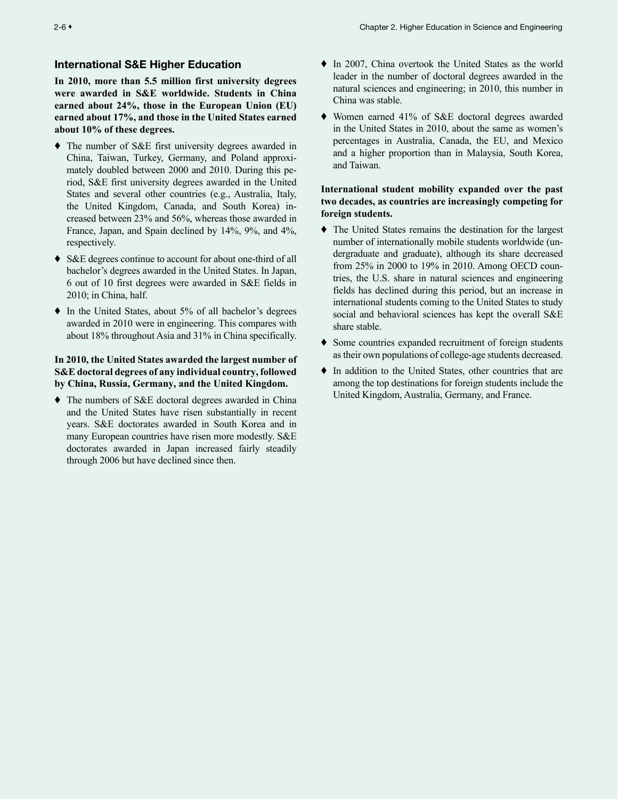## <span id="page-5-0"></span>International S&E Higher Education

**In 2010, more than 5.5 million first university degrees were awarded in S&E worldwide. Students in China earned about 24%, those in the European Union (EU) earned about 17%, and those in the United States earned about 10% of these degrees.**

- ♦ The number of S&E first university degrees awarded in China, Taiwan, Turkey, Germany, and Poland approximately doubled between 2000 and 2010. During this period, S&E first university degrees awarded in the United States and several other countries (e.g., Australia, Italy, the United Kingdom, Canada, and South Korea) increased between 23% and 56%, whereas those awarded in France, Japan, and Spain declined by 14%, 9%, and 4%, respectively.
- ♦ S&E degrees continue to account for about one-third of all bachelor's degrees awarded in the United States. In Japan, 6 out of 10 first degrees were awarded in S&E fields in 2010; in China, half.
- In the United States, about 5% of all bachelor's degrees awarded in 2010 were in engineering. This compares with about 18% throughout Asia and 31% in China specifically.

## **In 2010, the United States awarded the largest number of S&E doctoral degrees of any individual country, followed by China, Russia, Germany, and the United Kingdom.**

♦ The numbers of S&E doctoral degrees awarded in China and the United States have risen substantially in recent years. S&E doctorates awarded in South Korea and in many European countries have risen more modestly. S&E doctorates awarded in Japan increased fairly steadily through 2006 but have declined since then.

- ♦ In 2007, China overtook the United States as the world leader in the number of doctoral degrees awarded in the natural sciences and engineering; in 2010, this number in China was stable.
- ♦ Women earned 41% of S&E doctoral degrees awarded in the United States in 2010, about the same as women's percentages in Australia, Canada, the EU, and Mexico and a higher proportion than in Malaysia, South Korea, and Taiwan.

## **International student mobility expanded over the past two decades, as countries are increasingly competing for foreign students.**

- ♦ The United States remains the destination for the largest number of internationally mobile students worldwide (undergraduate and graduate), although its share decreased from 25% in 2000 to 19% in 2010. Among OECD countries, the U.S. share in natural sciences and engineering fields has declined during this period, but an increase in international students coming to the United States to study social and behavioral sciences has kept the overall S&E share stable.
- ♦ Some countries expanded recruitment of foreign students as their own populations of college-age students decreased.
- ♦ In addition to the United States, other countries that are among the top destinations for foreign students include the United Kingdom, Australia, Germany, and France.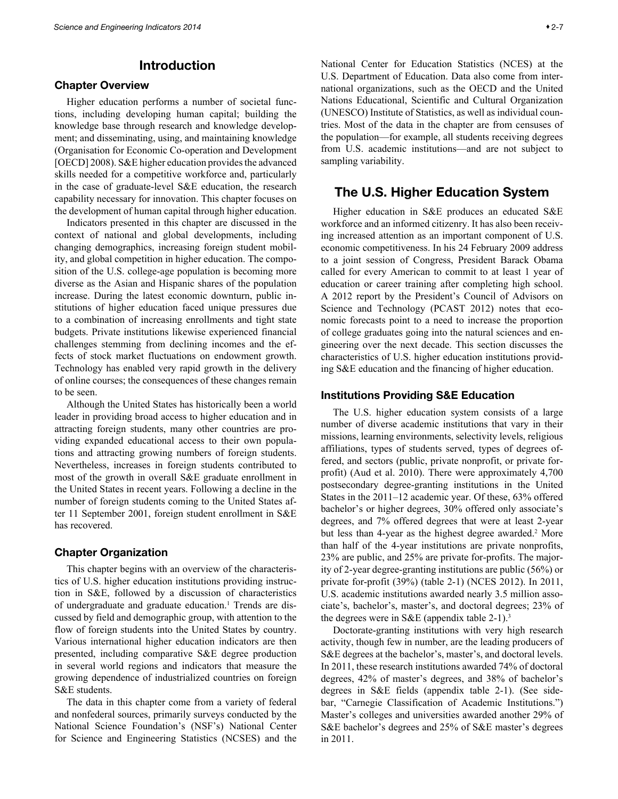# Introduction

## <span id="page-6-0"></span>Chapter Overview

Higher education performs a number of societal functions, including developing human capital; building the knowledge base through research and knowledge development; and disseminating, using, and maintaining knowledge (Organisation for Economic Co-operation and Development [OECD] 2008). S&E higher education provides the advanced skills needed for a competitive workforce and, particularly in the case of graduate-level S&E education, the research capability necessary for innovation. This chapter focuses on the development of human capital through higher education.

Indicators presented in this chapter are discussed in the context of national and global developments, including changing demographics, increasing foreign student mobility, and global competition in higher education. The composition of the U.S. college-age population is becoming more diverse as the Asian and Hispanic shares of the population increase. During the latest economic downturn, public institutions of higher education faced unique pressures due to a combination of increasing enrollments and tight state budgets. Private institutions likewise experienced financial challenges stemming from declining incomes and the effects of stock market fluctuations on endowment growth. Technology has enabled very rapid growth in the delivery of online courses; the consequences of these changes remain to be seen.

Although the United States has historically been a world leader in providing broad access to higher education and in attracting foreign students, many other countries are providing expanded educational access to their own populations and attracting growing numbers of foreign students. Nevertheless, increases in foreign students contributed to most of the growth in overall S&E graduate enrollment in the United States in recent years. Following a decline in the number of foreign students coming to the United States after 11 September 2001, foreign student enrollment in S&E has recovered.

## Chapter Organization

This chapter begins with an overview of the characteristics of U.S. higher education institutions providing instruction in S&E, followed by a discussion of characteristics of undergraduate and graduate education.<sup>1</sup> Trends are discussed by field and demographic group, with attention to the flow of foreign students into the United States by country. Various international higher education indicators are then presented, including comparative S&E degree production in several world regions and indicators that measure the growing dependence of industrialized countries on foreign S&E students.

The data in this chapter come from a variety of federal and nonfederal sources, primarily surveys conducted by the National Science Foundation's (NSF's) National Center for Science and Engineering Statistics (NCSES) and the National Center for Education Statistics (NCES) at the U.S. Department of Education. Data also come from international organizations, such as the OECD and the United Nations Educational, Scientific and Cultural Organization (UNESCO) Institute of Statistics, as well as individual countries. Most of the data in the chapter are from censuses of the population—for example, all students receiving degrees from U.S. academic institutions—and are not subject to sampling variability.

## The U.S. Higher Education System

Higher education in S&E produces an educated S&E workforce and an informed citizenry. It has also been receiving increased attention as an important component of U.S. economic competitiveness. In his 24 February 2009 address to a joint session of Congress, President Barack Obama called for every American to commit to at least 1 year of education or career training after completing high school. A 2012 report by the President's Council of Advisors on Science and Technology (PCAST 2012) notes that economic forecasts point to a need to increase the proportion of college graduates going into the natural sciences and engineering over the next decade. This section discusses the characteristics of U.S. higher education institutions providing S&E education and the financing of higher education.

## Institutions Providing S&E Education

The U.S. higher education system consists of a large number of diverse academic institutions that vary in their missions, learning environments, selectivity levels, religious affiliations, types of students served, types of degrees offered, and sectors (public, private nonprofit, or private forprofit) (Aud et al. 2010). There were approximately 4,700 postsecondary degree-granting institutions in the United States in the 2011–12 academic year. Of these, 63% offered bachelor's or higher degrees, 30% offered only associate's degrees, and 7% offered degrees that were at least 2-year but less than 4-year as the highest degree awarded.<sup>2</sup> More than half of the 4-year institutions are private nonprofits, 23% are public, and 25% are private for-profits. The majority of 2-year degree-granting institutions are public (56%) or private for-profit (39%) (table 2-1) (NCES 2012). In 2011, U.S. academic institutions awarded nearly 3.5 million associate's, bachelor's, master's, and doctoral degrees; 23% of the degrees were in S&E (appendix table  $2-1$ ).<sup>3</sup>

Doctorate-granting institutions with very high research activity, though few in number, are the leading producers of S&E degrees at the bachelor's, master's, and doctoral levels. In 2011, these research institutions awarded 74% of doctoral degrees, 42% of master's degrees, and 38% of bachelor's degrees in S&E fields (appendix table 2-1). (See sidebar, "Carnegie Classification of Academic Institutions.") Master's colleges and universities awarded another 29% of S&E bachelor's degrees and 25% of S&E master's degrees in 2011.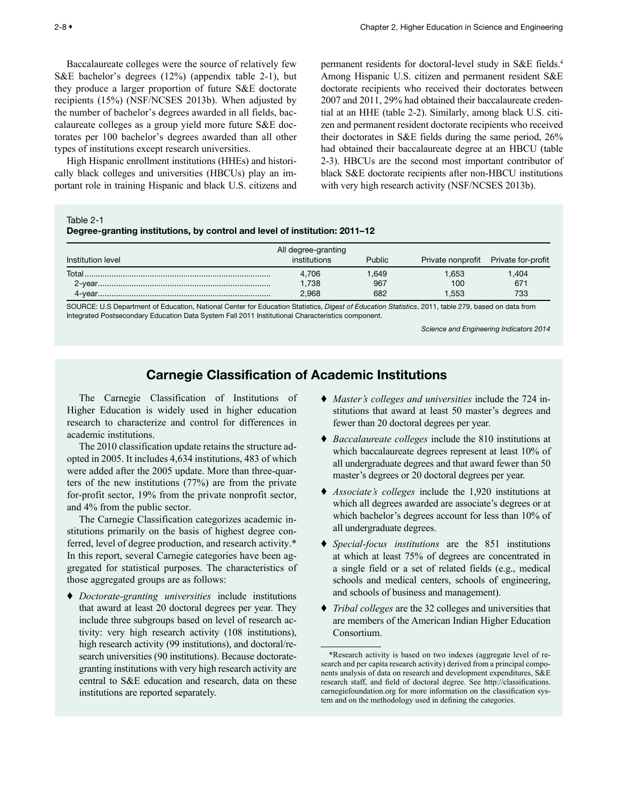<span id="page-7-0"></span>Baccalaureate colleges were the source of relatively few S&E bachelor's degrees (12%) (appendix table 2-1), but they produce a larger proportion of future S&E doctorate recipients (15%) (NSF/NCSES 2013b). When adjusted by the number of bachelor's degrees awarded in all fields, baccalaureate colleges as a group yield more future S&E doctorates per 100 bachelor's degrees awarded than all other types of institutions except research universities.

High Hispanic enrollment institutions (HHEs) and historically black colleges and universities (HBCUs) play an important role in training Hispanic and black U.S. citizens and

permanent residents for doctoral-level study in S&E fields.4 Among Hispanic U.S. citizen and permanent resident S&E doctorate recipients who received their doctorates between 2007 and 2011, 29% had obtained their baccalaureate credential at an HHE (table 2-2). Similarly, among black U.S. citizen and permanent resident doctorate recipients who received their doctorates in S&E fields during the same period, 26% had obtained their baccalaureate degree at an HBCU (table 2-3). HBCUs are the second most important contributor of black S&E doctorate recipients after non-HBCU institutions with very high research activity (NSF/NCSES 2013b).

Table 2-1

Degree-granting institutions, by control and level of institution: 2011–12

|                   | All degree-granting |        |                   |                    |
|-------------------|---------------------|--------|-------------------|--------------------|
| Institution level | institutions        | Public | Private nonprofit | Private for-profit |
| Total.            | 4,706               | .649   | .653              | ,404               |
|                   | 1,738               | 967    | 100               | 671                |
|                   | 2,968               | 682    | .553              | 733                |

SOURCE: U.S Department of Education, National Center for Education Statistics, *Digest of Education Statistics*, 2011, table 279, based on data from Integrated Postsecondary Education Data System Fall 2011 Institutional Characteristics component.

*Science and Engineering Indicators 2014*

# Carnegie Classification of Academic Institutions

The Carnegie Classification of Institutions of Higher Education is widely used in higher education research to characterize and control for differences in academic institutions.

The 2010 classification update retains the structure adopted in 2005. It includes 4,634 institutions, 483 of which were added after the 2005 update. More than three-quarters of the new institutions (77%) are from the private for-profit sector, 19% from the private nonprofit sector, and 4% from the public sector.

The Carnegie Classification categorizes academic institutions primarily on the basis of highest degree conferred, level of degree production, and research activity.\* In this report, several Carnegie categories have been aggregated for statistical purposes. The characteristics of those aggregated groups are as follows:

♦ *Doctorate-granting universities* include institutions that award at least 20 doctoral degrees per year. They include three subgroups based on level of research activity: very high research activity (108 institutions), high research activity (99 institutions), and doctoral/research universities (90 institutions). Because doctorategranting institutions with very high research activity are central to S&E education and research, data on these institutions are reported separately.

- ♦ *Master's colleges and universities* include the 724 institutions that award at least 50 master's degrees and fewer than 20 doctoral degrees per year.
- ♦ *Baccalaureate colleges* include the 810 institutions at which baccalaureate degrees represent at least 10% of all undergraduate degrees and that award fewer than 50 master's degrees or 20 doctoral degrees per year.
- ♦ *Associate's colleges* include the 1,920 institutions at which all degrees awarded are associate's degrees or at which bachelor's degrees account for less than 10% of all undergraduate degrees.
- ♦ *Special-focus institutions* are the 851 institutions at which at least 75% of degrees are concentrated in a single field or a set of related fields (e.g., medical schools and medical centers, schools of engineering, and schools of business and management).
- ♦ *Tribal colleges* are the 32 colleges and universities that are members of the American Indian Higher Education Consortium.

<sup>\*</sup>Research activity is based on two indexes (aggregate level of research and per capita research activity) derived from a principal components analysis of data on research and development expenditures, S&E research staff, and field of doctoral degree. See http://classifications. carnegiefoundation.org for more information on the classification system and on the methodology used in defining the categories.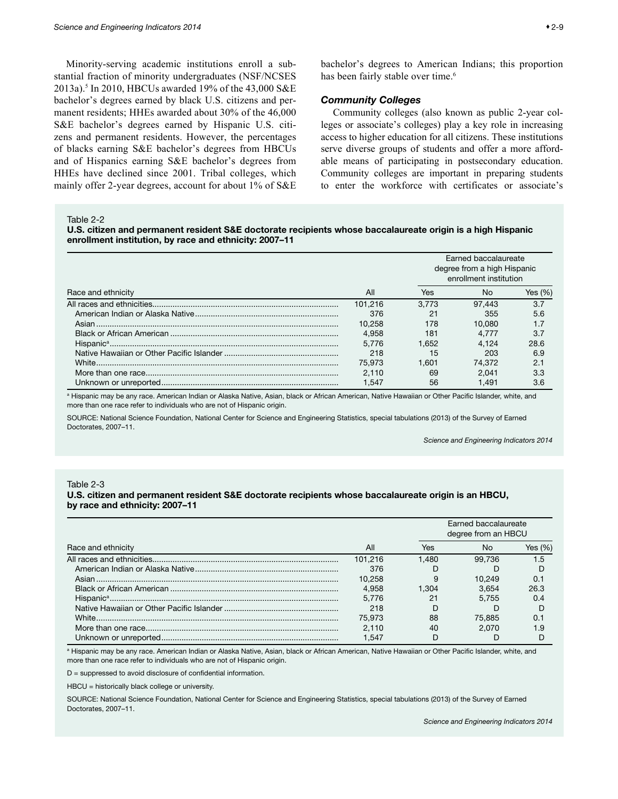<span id="page-8-0"></span>Minority-serving academic institutions enroll a substantial fraction of minority undergraduates (NSF/NCSES 2013a).5 In 2010, HBCUs awarded 19% of the 43,000 S&E bachelor's degrees earned by black U.S. citizens and permanent residents; HHEs awarded about 30% of the 46,000 S&E bachelor's degrees earned by Hispanic U.S. citizens and permanent residents. However, the percentages of blacks earning S&E bachelor's degrees from HBCUs and of Hispanics earning S&E bachelor's degrees from HHEs have declined since 2001. Tribal colleges, which mainly offer 2-year degrees, account for about 1% of S&E

bachelor's degrees to American Indians; this proportion has been fairly stable over time.<sup>6</sup>

## *Community Colleges*

Community colleges (also known as public 2-year colleges or associate's colleges) play a key role in increasing access to higher education for all citizens. These institutions serve diverse groups of students and offer a more affordable means of participating in postsecondary education. Community colleges are important in preparing students to enter the workforce with certificates or associate's

Table 2-2

U.S. citizen and permanent resident S&E doctorate recipients whose baccalaureate origin is a high Hispanic enrollment institution, by race and ethnicity: 2007–11

|                    |         |       | Earned baccalaureate<br>degree from a high Hispanic<br>enrollment institution |            |  |
|--------------------|---------|-------|-------------------------------------------------------------------------------|------------|--|
| Race and ethnicity | All     | Yes   | No                                                                            | Yes $(\%)$ |  |
|                    | 101.216 | 3.773 | 97.443                                                                        | 3.7        |  |
|                    | 376     | 21    | 355                                                                           | 5.6        |  |
|                    | 10.258  | 178   | 10.080                                                                        | 1.7        |  |
|                    | 4.958   | 181   | 4.777                                                                         | 3.7        |  |
|                    | 5.776   | 1.652 | 4.124                                                                         | 28.6       |  |
|                    | 218     | 15    | 203                                                                           | 6.9        |  |
|                    | 75.973  | 1.601 | 74.372                                                                        | 2.1        |  |
|                    | 2.110   | 69    | 2.041                                                                         | 3.3        |  |
|                    | 1.547   | 56    | 1.491                                                                         | 3.6        |  |

a Hispanic may be any race. American Indian or Alaska Native, Asian, black or African American, Native Hawaiian or Other Pacific Islander, white, and more than one race refer to individuals who are not of Hispanic origin.

SOURCE: National Science Foundation, National Center for Science and Engineering Statistics, special tabulations (2013) of the Survey of Earned Doctorates, 2007–11.

*Science and Engineering Indicators 2014*

#### Table 2-3

#### U.S. citizen and permanent resident S&E doctorate recipients whose baccalaureate origin is an HBCU, by race and ethnicity: 2007–11

|                    |         |       | Earned baccalaureate<br>degree from an HBCU |            |  |
|--------------------|---------|-------|---------------------------------------------|------------|--|
| Race and ethnicity | All     | Yes   | N٥                                          | Yes $(\%)$ |  |
|                    | 101.216 | 1.480 | 99.736                                      | 1.5        |  |
|                    | 376     |       |                                             |            |  |
|                    | 10.258  | 9     | 10.249                                      | 0.1        |  |
|                    | 4.958   | 1.304 | 3.654                                       | 26.3       |  |
|                    | 5.776   | 21    | 5.755                                       | 0.4        |  |
|                    | 218     |       |                                             |            |  |
|                    | 75.973  | 88    | 75.885                                      | 0.1        |  |
|                    | 2.110   | 40    | 2.070                                       | 1.9        |  |
|                    | 1.547   |       |                                             |            |  |

a Hispanic may be any race. American Indian or Alaska Native, Asian, black or African American, Native Hawaiian or Other Pacific Islander, white, and more than one race refer to individuals who are not of Hispanic origin.

D = suppressed to avoid disclosure of confidential information.

HBCU = historically black college or university.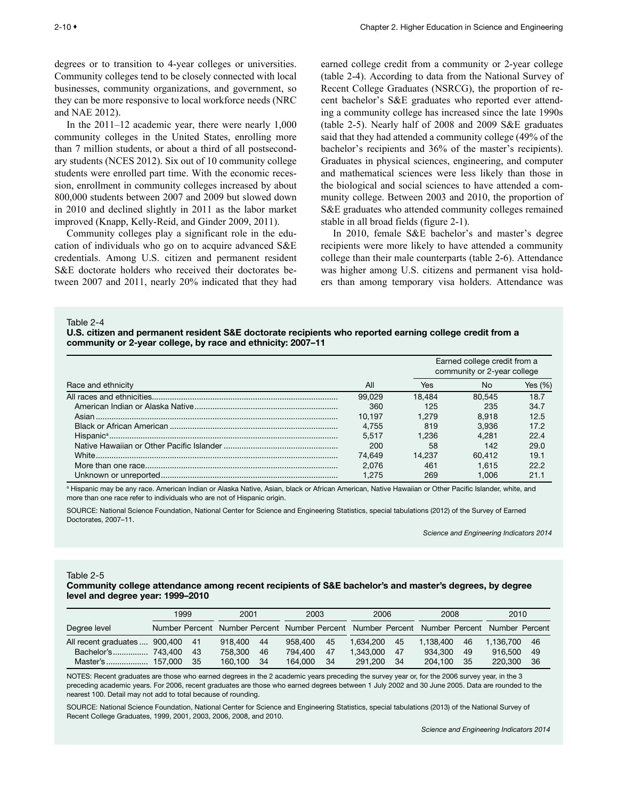<span id="page-9-0"></span>degrees or to transition to 4-year colleges or universities. Community colleges tend to be closely connected with local businesses, community organizations, and government, so they can be more responsive to local workforce needs (NRC and NAE 2012).

In the 2011–12 academic year, there were nearly 1,000 community colleges in the United States, enrolling more than 7 million students, or about a third of all postsecondary students (NCES 2012). Six out of 10 community college students were enrolled part time. With the economic recession, enrollment in community colleges increased by about 800,000 students between 2007 and 2009 but slowed down in 2010 and declined slightly in 2011 as the labor market improved (Knapp, Kelly-Reid, and Ginder 2009, 2011).

Community colleges play a significant role in the education of individuals who go on to acquire advanced S&E credentials. Among U.S. citizen and permanent resident S&E doctorate holders who received their doctorates between 2007 and 2011, nearly 20% indicated that they had earned college credit from a community or 2-year college (table 2-4). According to data from the National Survey of Recent College Graduates (NSRCG), the proportion of recent bachelor's S&E graduates who reported ever attending a community college has increased since the late 1990s (table 2-5). Nearly half of 2008 and 2009 S&E graduates said that they had attended a community college (49% of the bachelor's recipients and 36% of the master's recipients). Graduates in physical sciences, engineering, and computer and mathematical sciences were less likely than those in the biological and social sciences to have attended a community college. Between 2003 and 2010, the proportion of S&E graduates who attended community colleges remained stable in all broad fields (figure 2-1).

In 2010, female S&E bachelor's and master's degree recipients were more likely to have attended a community college than their male counterparts (table 2-6). Attendance was higher among U.S. citizens and permanent visa holders than among temporary visa holders. Attendance was

Table 2-4

U.S. citizen and permanent resident S&E doctorate recipients who reported earning college credit from a community or 2-year college, by race and ethnicity: 2007–11

|                    |        |        | Earned college credit from a<br>community or 2-year college |         |
|--------------------|--------|--------|-------------------------------------------------------------|---------|
| Race and ethnicity | All    | Yes    | No                                                          | Yes (%) |
|                    | 99.029 | 18.484 | 80.545                                                      | 18.7    |
|                    | 360    | 125    | 235                                                         | 34.7    |
|                    | 10.197 | 1.279  | 8.918                                                       | 12.5    |
|                    | 4.755  | 819    | 3.936                                                       | 17.2    |
|                    | 5.517  | 1.236  | 4.281                                                       | 22.4    |
|                    | 200    | 58     | 142                                                         | 29.0    |
|                    | 74.649 | 14.237 | 60.412                                                      | 19.1    |
|                    | 2.076  | 461    | 1.615                                                       | 22.2    |
|                    | 1.275  | 269    | 1.006                                                       | 21.1    |

a Hispanic may be any race. American Indian or Alaska Native, Asian, black or African American, Native Hawaiian or Other Pacific Islander, white, and more than one race refer to individuals who are not of Hispanic origin.

SOURCE: National Science Foundation, National Center for Science and Engineering Statistics, special tabulations (2012) of the Survey of Earned Doctorates, 2007–11.

*Science and Engineering Indicators 2014*

Table 2-5

#### Community college attendance among recent recipients of S&E bachelor's and master's degrees, by degree level and degree year: 1999–2010

|                               | 1999    |     | 2001    |    | 2003    |    | 2006                                                                                      |     | 2008      |    | 2010      |     |
|-------------------------------|---------|-----|---------|----|---------|----|-------------------------------------------------------------------------------------------|-----|-----------|----|-----------|-----|
| Degree level                  |         |     |         |    |         |    | Number Percent Number Percent Number Percent Number Percent Number Percent Number Percent |     |           |    |           |     |
| All recent graduates  900,400 |         | -41 | 918,400 | 44 | 958.400 | 45 | 1.634.200                                                                                 | 45  | 1.138.400 | 46 | 1.136.700 | -46 |
|                               |         | 43  | 758,300 | 46 | 794.400 | 47 | 1.343.000                                                                                 | 47  | 934.300   | 49 | 916.500   | -49 |
| Master's                      | 157.000 | 35  | 160.100 | 34 | 164,000 | 34 | 291.200                                                                                   | -34 | 204.100   | 35 | 220,300   | 36  |

NOTES: Recent graduates are those who earned degrees in the 2 academic years preceding the survey year or, for the 2006 survey year, in the 3 preceding academic years. For 2006, recent graduates are those who earned degrees between 1 July 2002 and 30 June 2005. Data are rounded to the nearest 100. Detail may not add to total because of rounding.

SOURCE: National Science Foundation, National Center for Science and Engineering Statistics, special tabulations (2013) of the National Survey of Recent College Graduates, 1999, 2001, 2003, 2006, 2008, and 2010.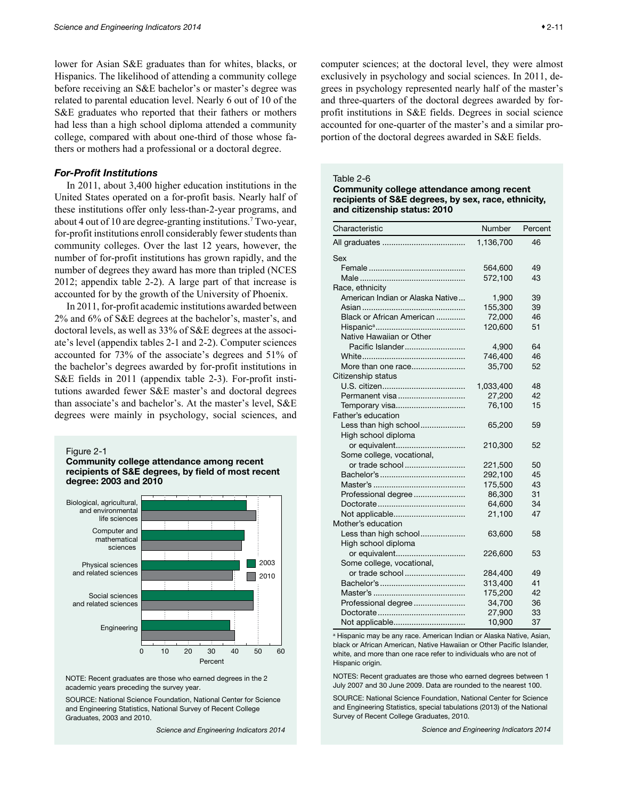<span id="page-10-0"></span>lower for Asian S&E graduates than for whites, blacks, or Hispanics. The likelihood of attending a community college before receiving an S&E bachelor's or master's degree was related to parental education level. Nearly 6 out of 10 of the S&E graduates who reported that their fathers or mothers had less than a high school diploma attended a community college, compared with about one-third of those whose fathers or mothers had a professional or a doctoral degree.

#### *For-Profit Institutions*

In 2011, about 3,400 higher education institutions in the United States operated on a for-profit basis. Nearly half of these institutions offer only less-than-2-year programs, and about 4 out of 10 are degree-granting institutions.7 Two-year, for-profit institutions enroll considerably fewer students than community colleges. Over the last 12 years, however, the number of for-profit institutions has grown rapidly, and the number of degrees they award has more than tripled (NCES 2012; appendix table 2-2). A large part of that increase is accounted for by the growth of the University of Phoenix.

In 2011, for-profit academic institutions awarded between 2% and 6% of S&E degrees at the bachelor's, master's, and doctoral levels, as well as 33% of S&E degrees at the associate's level (appendix tables 2-1 and 2-2). Computer sciences accounted for 73% of the associate's degrees and 51% of the bachelor's degrees awarded by for-profit institutions in S&E fields in 2011 (appendix table 2-3). For-profit institutions awarded fewer S&E master's and doctoral degrees than associate's and bachelor's. At the master's level, S&E degrees were mainly in psychology, social sciences, and

Figure 2-1





NOTE: Recent graduates are those who earned degrees in the 2 academic years preceding the survey year.

SOURCE: National Science Foundation, National Center for Science and Engineering Statistics, National Survey of Recent College Graduates, 2003 and 2010.

*Science and Engineering Indicators 2014*

computer sciences; at the doctoral level, they were almost exclusively in psychology and social sciences. In 2011, degrees in psychology represented nearly half of the master's and three-quarters of the doctoral degrees awarded by forprofit institutions in S&E fields. Degrees in social science accounted for one-quarter of the master's and a similar proportion of the doctoral degrees awarded in S&E fields.

#### Table 2-6

Community college attendance among recent recipients of S&E degrees, by sex, race, ethnicity, and citizenship status: 2010

| Characteristic                   | Number    | Percent |
|----------------------------------|-----------|---------|
|                                  | 1,136,700 | 46      |
| Sex                              |           |         |
|                                  | 564,600   | 49      |
|                                  | 572,100   | 43      |
| Race, ethnicity                  |           |         |
| American Indian or Alaska Native | 1,900     | 39      |
|                                  | 155,300   | 39      |
| Black or African American        | 72,000    | 46      |
|                                  | 120,600   | 51      |
| Native Hawaiian or Other         |           |         |
| Pacific Islander                 | 4,900     | 64      |
|                                  | 746,400   | 46      |
| More than one race               | 35,700    | 52      |
| Citizenship status               |           |         |
|                                  | 1,033,400 | 48      |
| Permanent visa                   | 27,200    | 42      |
| Temporary visa                   | 76,100    | 15      |
| Father's education               |           |         |
| Less than high school            | 65,200    | 59      |
| High school diploma              |           |         |
| or equivalent                    | 210,300   | 52      |
| Some college, vocational,        |           |         |
| or trade school                  | 221,500   | 50      |
|                                  | 292,100   | 45      |
|                                  | 175,500   | 43      |
| Professional degree              | 86,300    | 31      |
|                                  | 64,600    | 34      |
| Not applicable                   | 21,100    | 47      |
| Mother's education               |           |         |
| Less than high school            | 63,600    | 58      |
| High school diploma              |           |         |
| or equivalent                    | 226,600   | 53      |
| Some college, vocational,        |           |         |
|                                  | 284,400   | 49      |
|                                  | 313,400   | 41      |
|                                  | 175,200   | 42      |
| Professional degree              | 34,700    | 36      |
|                                  | 27,900    | 33      |
| Not applicable                   | 10,900    | 37      |

a Hispanic may be any race. American Indian or Alaska Native, Asian, black or African American, Native Hawaiian or Other Pacific Islander, white, and more than one race refer to individuals who are not of Hispanic origin.

NOTES: Recent graduates are those who earned degrees between 1 July 2007 and 30 June 2009. Data are rounded to the nearest 100.

SOURCE: National Science Foundation, National Center for Science and Engineering Statistics, special tabulations (2013) of the National Survey of Recent College Graduates, 2010.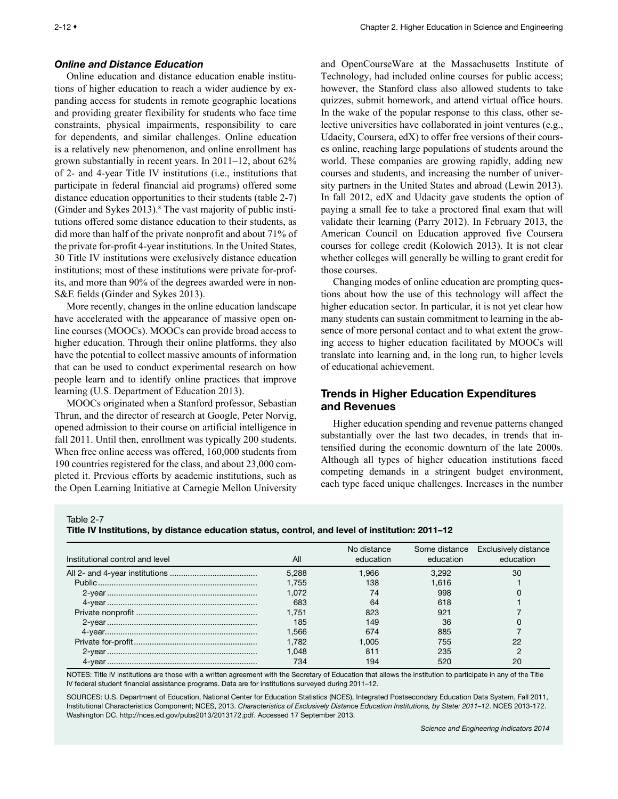## <span id="page-11-0"></span>*Online and Distance Education*

Online education and distance education enable institutions of higher education to reach a wider audience by expanding access for students in remote geographic locations and providing greater flexibility for students who face time constraints, physical impairments, responsibility to care for dependents, and similar challenges. Online education is a relatively new phenomenon, and online enrollment has grown substantially in recent years. In 2011–12, about 62% of 2- and 4-year Title IV institutions (i.e., institutions that participate in federal financial aid programs) offered some distance education opportunities to their students (table 2-7) (Ginder and Sykes 2013).<sup>8</sup> The vast majority of public institutions offered some distance education to their students, as did more than half of the private nonprofit and about 71% of the private for-profit 4-year institutions. In the United States, 30 Title IV institutions were exclusively distance education institutions; most of these institutions were private for-profits, and more than 90% of the degrees awarded were in non-S&E fields (Ginder and Sykes 2013).

More recently, changes in the online education landscape have accelerated with the appearance of massive open online courses (MOOCs). MOOCs can provide broad access to higher education. Through their online platforms, they also have the potential to collect massive amounts of information that can be used to conduct experimental research on how people learn and to identify online practices that improve learning (U.S. Department of Education 2013).

MOOCs originated when a Stanford professor, Sebastian Thrun, and the director of research at Google, Peter Norvig, opened admission to their course on artificial intelligence in fall 2011. Until then, enrollment was typically 200 students. When free online access was offered, 160,000 students from 190 countries registered for the class, and about 23,000 completed it. Previous efforts by academic institutions, such as the Open Learning Initiative at Carnegie Mellon University and OpenCourseWare at the Massachusetts Institute of Technology, had included online courses for public access; however, the Stanford class also allowed students to take quizzes, submit homework, and attend virtual office hours. In the wake of the popular response to this class, other selective universities have collaborated in joint ventures (e.g., Udacity, Coursera, edX) to offer free versions of their courses online, reaching large populations of students around the world. These companies are growing rapidly, adding new courses and students, and increasing the number of university partners in the United States and abroad (Lewin 2013). In fall 2012, edX and Udacity gave students the option of paying a small fee to take a proctored final exam that will validate their learning (Parry 2012). In February 2013, the American Council on Education approved five Coursera courses for college credit (Kolowich 2013). It is not clear whether colleges will generally be willing to grant credit for those courses.

Changing modes of online education are prompting questions about how the use of this technology will affect the higher education sector. In particular, it is not yet clear how many students can sustain commitment to learning in the absence of more personal contact and to what extent the growing access to higher education facilitated by MOOCs will translate into learning and, in the long run, to higher levels of educational achievement.

## Trends in Higher Education Expenditures and Revenues

Higher education spending and revenue patterns changed substantially over the last two decades, in trends that intensified during the economic downturn of the late 2000s. Although all types of higher education institutions faced competing demands in a stringent budget environment, each type faced unique challenges. Increases in the number

Table 2-7

Title IV Institutions, by distance education status, control, and level of institution: 2011–12

| Institutional control and level | All   | No distance<br>education | education | Some distance Exclusively distance<br>education |
|---------------------------------|-------|--------------------------|-----------|-------------------------------------------------|
|                                 | 5.288 | 1.966                    | 3.292     | 30                                              |
|                                 | 1.755 | 138                      | 1.616     |                                                 |
|                                 | 1.072 | 74                       | 998       |                                                 |
|                                 | 683   | 64                       | 618       |                                                 |
|                                 | 1.751 | 823                      | 921       |                                                 |
|                                 | 185   | 149                      | 36        |                                                 |
|                                 | 1.566 | 674                      | 885       |                                                 |
|                                 | 1.782 | 1.005                    | 755       | 22                                              |
|                                 | 1.048 | 811                      | 235       | ◠                                               |
|                                 | 734   | 194                      | 520       | 20                                              |

NOTES: Title IV institutions are those with a written agreement with the Secretary of Education that allows the institution to participate in any of the Title IV federal student financial assistance programs. Data are for institutions surveyed during 2011–12.

SOURCES: U.S. Department of Education, National Center for Education Statistics (NCES), Integrated Postsecondary Education Data System, Fall 2011, Institutional Characteristics Component; NCES, 2013. *Characteristics of Exclusively Distance Education Institutions, by State: 2011–12*. NCES 2013-172. Washington DC. http://nces.ed.gov/pubs2013/2013172.pdf. Accessed 17 September 2013.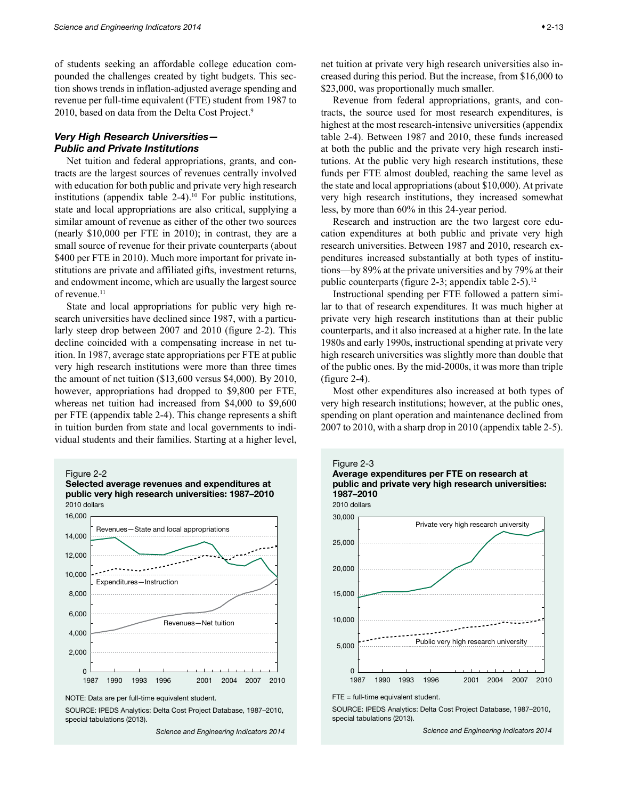<span id="page-12-0"></span>of students seeking an affordable college education compounded the challenges created by tight budgets. This section shows trends in inflation-adjusted average spending and revenue per full-time equivalent (FTE) student from 1987 to 2010, based on data from the Delta Cost Project.9

## *Very High Research Universities— Public and Private Institutions*

Net tuition and federal appropriations, grants, and contracts are the largest sources of revenues centrally involved with education for both public and private very high research institutions (appendix table  $2-4$ ).<sup>10</sup> For public institutions, state and local appropriations are also critical, supplying a similar amount of revenue as either of the other two sources (nearly \$10,000 per FTE in 2010); in contrast, they are a small source of revenue for their private counterparts (about \$400 per FTE in 2010). Much more important for private institutions are private and affiliated gifts, investment returns, and endowment income, which are usually the largest source of revenue.<sup>11</sup>

State and local appropriations for public very high research universities have declined since 1987, with a particularly steep drop between 2007 and 2010 (figure 2-2). This decline coincided with a compensating increase in net tuition. In 1987, average state appropriations per FTE at public very high research institutions were more than three times the amount of net tuition (\$13,600 versus \$4,000). By 2010, however, appropriations had dropped to \$9,800 per FTE, whereas net tuition had increased from \$4,000 to \$9,600 per FTE (appendix table 2-4). This change represents a shift in tuition burden from state and local governments to individual students and their families. Starting at a higher level,





NOTE: Data are per full-time equivalent student.

SOURCE: IPEDS Analytics: Delta Cost Project Database, 1987–2010, special tabulations (2013).

*Science and Engineering Indicators 2014*

net tuition at private very high research universities also increased during this period. But the increase, from \$16,000 to \$23,000, was proportionally much smaller.

Revenue from federal appropriations, grants, and contracts, the source used for most research expenditures, is highest at the most research-intensive universities (appendix table 2-4). Between 1987 and 2010, these funds increased at both the public and the private very high research institutions. At the public very high research institutions, these funds per FTE almost doubled, reaching the same level as the state and local appropriations (about \$10,000). At private very high research institutions, they increased somewhat less, by more than 60% in this 24-year period.

Research and instruction are the two largest core education expenditures at both public and private very high research universities. Between 1987 and 2010, research expenditures increased substantially at both types of institutions—by 89% at the private universities and by 79% at their public counterparts (figure 2-3; appendix table  $2-5$ ).<sup>12</sup>

Instructional spending per FTE followed a pattern similar to that of research expenditures. It was much higher at private very high research institutions than at their public counterparts, and it also increased at a higher rate. In the late 1980s and early 1990s, instructional spending at private very high research universities was slightly more than double that of the public ones. By the mid-2000s, it was more than triple (figure 2-4).

Most other expenditures also increased at both types of very high research institutions; however, at the public ones, spending on plant operation and maintenance declined from 2007 to 2010, with a sharp drop in 2010 (appendix table 2-5).



SOURCE: IPEDS Analytics: Delta Cost Project Database, 1987–2010, special tabulations (2013).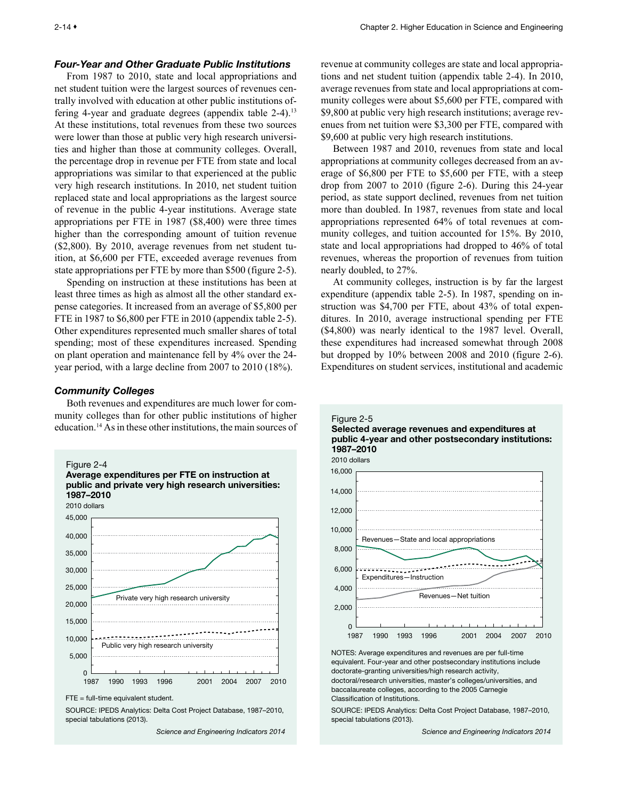#### <span id="page-13-0"></span>*Four-Year and Other Graduate Public Institutions*

From 1987 to 2010, state and local appropriations and net student tuition were the largest sources of revenues centrally involved with education at other public institutions offering 4-year and graduate degrees (appendix table 2-4).<sup>13</sup> At these institutions, total revenues from these two sources were lower than those at public very high research universities and higher than those at community colleges. Overall, the percentage drop in revenue per FTE from state and local appropriations was similar to that experienced at the public very high research institutions. In 2010, net student tuition replaced state and local appropriations as the largest source of revenue in the public 4-year institutions. Average state appropriations per FTE in 1987 (\$8,400) were three times higher than the corresponding amount of tuition revenue (\$2,800). By 2010, average revenues from net student tuition, at \$6,600 per FTE, exceeded average revenues from state appropriations per FTE by more than \$500 (figure 2-5).

Spending on instruction at these institutions has been at least three times as high as almost all the other standard expense categories. It increased from an average of \$5,800 per FTE in 1987 to \$6,800 per FTE in 2010 (appendix table 2-5). Other expenditures represented much smaller shares of total spending; most of these expenditures increased. Spending on plant operation and maintenance fell by 4% over the 24 year period, with a large decline from 2007 to 2010 (18%).

## *Community Colleges*

Both revenues and expenditures are much lower for community colleges than for other public institutions of higher education.14 As in these other institutions, the main sources of



SOURCE: IPEDS Analytics: Delta Cost Project Database, 1987–2010, special tabulations (2013).

*Science and Engineering Indicators 2014*

revenue at community colleges are state and local appropriations and net student tuition (appendix table 2-4). In 2010, average revenues from state and local appropriations at community colleges were about \$5,600 per FTE, compared with \$9,800 at public very high research institutions; average revenues from net tuition were \$3,300 per FTE, compared with \$9,600 at public very high research institutions.

Between 1987 and 2010, revenues from state and local appropriations at community colleges decreased from an average of \$6,800 per FTE to \$5,600 per FTE, with a steep drop from 2007 to 2010 (figure 2-6). During this 24-year period, as state support declined, revenues from net tuition more than doubled. In 1987, revenues from state and local appropriations represented 64% of total revenues at community colleges, and tuition accounted for 15%. By 2010, state and local appropriations had dropped to 46% of total revenues, whereas the proportion of revenues from tuition nearly doubled, to 27%.

At community colleges, instruction is by far the largest expenditure (appendix table 2-5). In 1987, spending on instruction was \$4,700 per FTE, about 43% of total expenditures. In 2010, average instructional spending per FTE (\$4,800) was nearly identical to the 1987 level. Overall, these expenditures had increased somewhat through 2008 but dropped by 10% between 2008 and 2010 (figure 2-6). Expenditures on student services, institutional and academic





NOTES: Average expenditures and revenues are per full-time equivalent. Four-year and other postsecondary institutions include doctorate-granting universities/high research activity, doctoral/research universities, master's colleges/universities, and baccalaureate colleges, according to the 2005 Carnegie Classification of Institutions.

SOURCE: IPEDS Analytics: Delta Cost Project Database, 1987–2010, special tabulations (2013).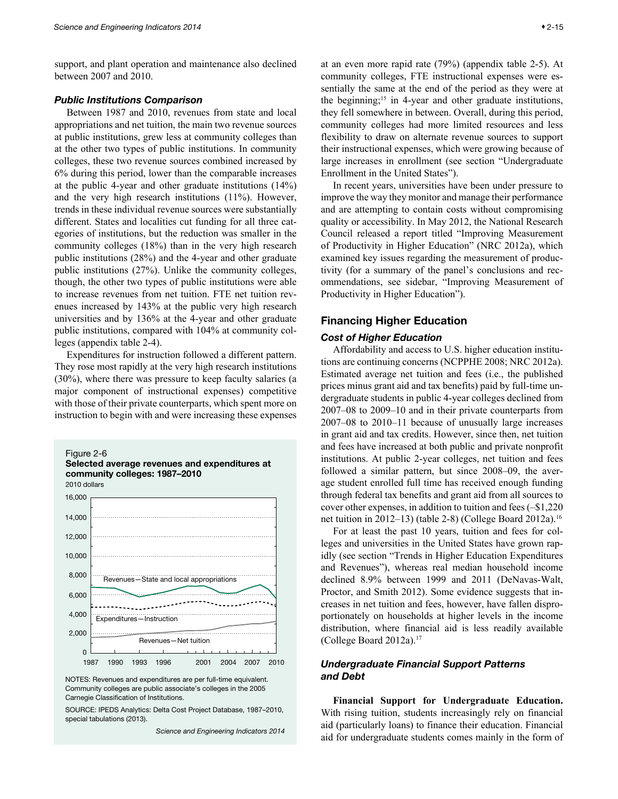<span id="page-14-0"></span>support, and plant operation and maintenance also declined between 2007 and 2010.

## *Public Institutions Comparison*

Between 1987 and 2010, revenues from state and local appropriations and net tuition, the main two revenue sources at public institutions, grew less at community colleges than at the other two types of public institutions. In community colleges, these two revenue sources combined increased by 6% during this period, lower than the comparable increases at the public 4-year and other graduate institutions (14%) and the very high research institutions (11%). However, trends in these individual revenue sources were substantially different. States and localities cut funding for all three categories of institutions, but the reduction was smaller in the community colleges (18%) than in the very high research public institutions (28%) and the 4-year and other graduate public institutions (27%). Unlike the community colleges, though, the other two types of public institutions were able to increase revenues from net tuition. FTE net tuition revenues increased by 143% at the public very high research universities and by 136% at the 4-year and other graduate public institutions, compared with 104% at community colleges (appendix table 2-4).

Expenditures for instruction followed a different pattern. They rose most rapidly at the very high research institutions (30%), where there was pressure to keep faculty salaries (a major component of instructional expenses) competitive with those of their private counterparts, which spent more on instruction to begin with and were increasing these expenses



NOTES: Revenues and expenditures are per full-time equivalent. Community colleges are public associate's colleges in the 2005 Carnegie Classification of Institutions.

SOURCE: IPEDS Analytics: Delta Cost Project Database, 1987–2010, special tabulations (2013).

*Science and Engineering Indicators 2014*

at an even more rapid rate (79%) (appendix table 2-5). At community colleges, FTE instructional expenses were essentially the same at the end of the period as they were at the beginning;<sup>15</sup> in 4-year and other graduate institutions, they fell somewhere in between. Overall, during this period, community colleges had more limited resources and less flexibility to draw on alternate revenue sources to support their instructional expenses, which were growing because of large increases in enrollment (see section "Undergraduate Enrollment in the United States").

In recent years, universities have been under pressure to improve the way they monitor and manage their performance and are attempting to contain costs without compromising quality or accessibility. In May 2012, the National Research Council released a report titled "Improving Measurement of Productivity in Higher Education" (NRC 2012a), which examined key issues regarding the measurement of productivity (for a summary of the panel's conclusions and recommendations, see sidebar, "Improving Measurement of Productivity in Higher Education").

## Financing Higher Education

## *Cost of Higher Education*

Affordability and access to U.S. higher education institutions are continuing concerns (NCPPHE 2008; NRC 2012a). Estimated average net tuition and fees (i.e., the published prices minus grant aid and tax benefits) paid by full-time undergraduate students in public 4-year colleges declined from 2007–08 to 2009–10 and in their private counterparts from 2007–08 to 2010–11 because of unusually large increases in grant aid and tax credits. However, since then, net tuition and fees have increased at both public and private nonprofit institutions. At public 2-year colleges, net tuition and fees followed a similar pattern, but since 2008–09, the average student enrolled full time has received enough funding through federal tax benefits and grant aid from all sources to cover other expenses, in addition to tuition and fees (–\$1,220 net tuition in 2012–13) (table 2-8) (College Board 2012a).16

For at least the past 10 years, tuition and fees for colleges and universities in the United States have grown rapidly (see section "Trends in Higher Education Expenditures and Revenues"), whereas real median household income declined 8.9% between 1999 and 2011 (DeNavas-Walt, Proctor, and Smith 2012). Some evidence suggests that increases in net tuition and fees, however, have fallen disproportionately on households at higher levels in the income distribution, where financial aid is less readily available (College Board 2012a).17

## *Undergraduate Financial Support Patterns and Debt*

**Financial Support for Undergraduate Education.** With rising tuition, students increasingly rely on financial aid (particularly loans) to finance their education. Financial aid for undergraduate students comes mainly in the form of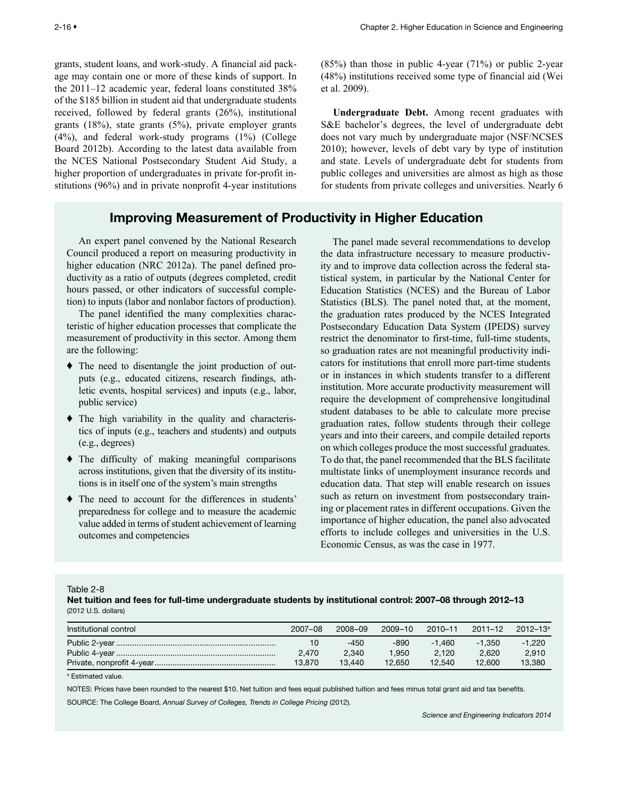<span id="page-15-0"></span>grants, student loans, and work-study. A financial aid package may contain one or more of these kinds of support. In the 2011–12 academic year, federal loans constituted 38% of the \$185 billion in student aid that undergraduate students received, followed by federal grants (26%), institutional grants (18%), state grants (5%), private employer grants (4%), and federal work-study programs (1%) (College Board 2012b). According to the latest data available from the NCES National Postsecondary Student Aid Study, a higher proportion of undergraduates in private for-profit institutions (96%) and in private nonprofit 4-year institutions

# Improving Measurement of Productivity in Higher Education

An expert panel convened by the National Research Council produced a report on measuring productivity in higher education (NRC 2012a). The panel defined productivity as a ratio of outputs (degrees completed, credit hours passed, or other indicators of successful completion) to inputs (labor and nonlabor factors of production).

The panel identified the many complexities characteristic of higher education processes that complicate the measurement of productivity in this sector. Among them are the following:

- ♦ The need to disentangle the joint production of outputs (e.g., educated citizens, research findings, athletic events, hospital services) and inputs (e.g., labor, public service)
- ♦ The high variability in the quality and characteristics of inputs (e.g., teachers and students) and outputs (e.g., degrees)
- ♦ The difficulty of making meaningful comparisons across institutions, given that the diversity of its institutions is in itself one of the system's main strengths
- ♦ The need to account for the differences in students' preparedness for college and to measure the academic value added in terms of student achievement of learning outcomes and competencies

 $(85%)$  than those in public 4-year  $(71%)$  or public 2-year (48%) institutions received some type of financial aid (Wei et al. 2009).

**Undergraduate Debt.** Among recent graduates with S&E bachelor's degrees, the level of undergraduate debt does not vary much by undergraduate major (NSF/NCSES 2010); however, levels of debt vary by type of institution and state. Levels of undergraduate debt for students from public colleges and universities are almost as high as those for students from private colleges and universities. Nearly 6

The panel made several recommendations to develop the data infrastructure necessary to measure productivity and to improve data collection across the federal statistical system, in particular by the National Center for Education Statistics (NCES) and the Bureau of Labor Statistics (BLS). The panel noted that, at the moment, the graduation rates produced by the NCES Integrated Postsecondary Education Data System (IPEDS) survey restrict the denominator to first-time, full-time students, so graduation rates are not meaningful productivity indicators for institutions that enroll more part-time students or in instances in which students transfer to a different institution. More accurate productivity measurement will require the development of comprehensive longitudinal student databases to be able to calculate more precise graduation rates, follow students through their college years and into their careers, and compile detailed reports on which colleges produce the most successful graduates. To do that, the panel recommended that the BLS facilitate multistate links of unemployment insurance records and education data. That step will enable research on issues such as return on investment from postsecondary training or placement rates in different occupations. Given the importance of higher education, the panel also advocated efforts to include colleges and universities in the U.S. Economic Census, as was the case in 1977.

Table 2-8

Net tuition and fees for full-time undergraduate students by institutional control: 2007–08 through 2012–13 (2012 U.S. dollars)

| Institutional control | 2007-08 | 2008-09 | 2009-10 | $2010 - 11$ | $2011 - 12$ | $2012 - 13a$ |
|-----------------------|---------|---------|---------|-------------|-------------|--------------|
|                       | 10      | $-450$  | -890    | $-1.460$    | $-1.350$    | $-1.220$     |
|                       | 2.470   | 2.340   | .950    | 2.120       | 2.620       | 2.910        |
|                       | 13.870  | 13.440  | 12.650  | 12.540      | 12.600      | 13,380       |

a Estimated value.

NOTES: Prices have been rounded to the nearest \$10. Net tuition and fees equal published tuition and fees minus total grant aid and tax benefits.

SOURCE: The College Board, *Annual Survey of Colleges, Trends in College Pricing* (2012).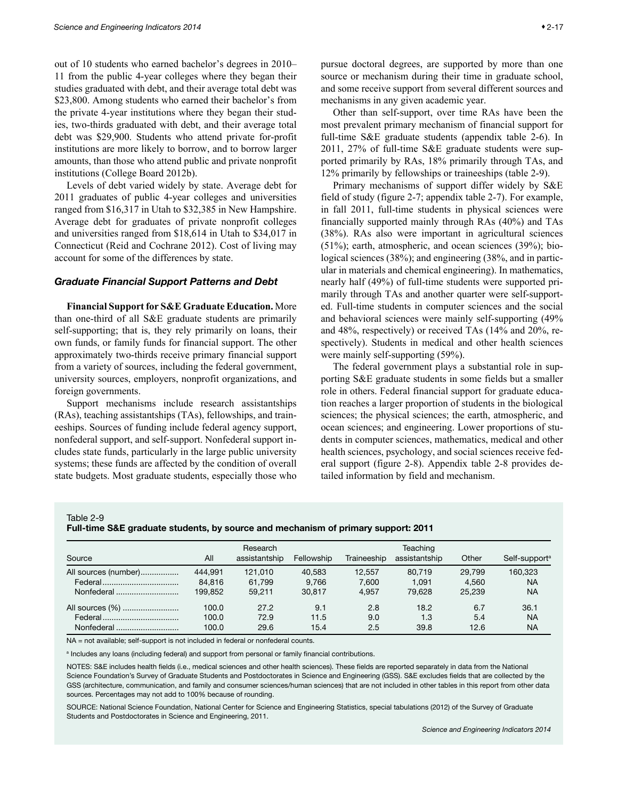<span id="page-16-0"></span>out of 10 students who earned bachelor's degrees in 2010– 11 from the public 4-year colleges where they began their studies graduated with debt, and their average total debt was \$23,800. Among students who earned their bachelor's from the private 4-year institutions where they began their studies, two-thirds graduated with debt, and their average total debt was \$29,900. Students who attend private for-profit institutions are more likely to borrow, and to borrow larger amounts, than those who attend public and private nonprofit institutions (College Board 2012b).

Levels of debt varied widely by state. Average debt for 2011 graduates of public 4-year colleges and universities ranged from \$16,317 in Utah to \$32,385 in New Hampshire. Average debt for graduates of private nonprofit colleges and universities ranged from \$18,614 in Utah to \$34,017 in Connecticut (Reid and Cochrane 2012). Cost of living may account for some of the differences by state.

#### *Graduate Financial Support Patterns and Debt*

**Financial Support for S&E Graduate Education.** More than one-third of all S&E graduate students are primarily self-supporting; that is, they rely primarily on loans, their own funds, or family funds for financial support. The other approximately two-thirds receive primary financial support from a variety of sources, including the federal government, university sources, employers, nonprofit organizations, and foreign governments.

Support mechanisms include research assistantships (RAs), teaching assistantships (TAs), fellowships, and traineeships. Sources of funding include federal agency support, nonfederal support, and self-support. Nonfederal support includes state funds, particularly in the large public university systems; these funds are affected by the condition of overall state budgets. Most graduate students, especially those who pursue doctoral degrees, are supported by more than one source or mechanism during their time in graduate school, and some receive support from several different sources and mechanisms in any given academic year.

Other than self-support, over time RAs have been the most prevalent primary mechanism of financial support for full-time S&E graduate students (appendix table 2-6). In 2011, 27% of full-time S&E graduate students were supported primarily by RAs, 18% primarily through TAs, and 12% primarily by fellowships or traineeships (table 2-9).

Primary mechanisms of support differ widely by S&E field of study (figure 2-7; appendix table 2-7). For example, in fall 2011, full-time students in physical sciences were financially supported mainly through RAs (40%) and TAs (38%). RAs also were important in agricultural sciences (51%); earth, atmospheric, and ocean sciences (39%); biological sciences (38%); and engineering (38%, and in particular in materials and chemical engineering). In mathematics, nearly half (49%) of full-time students were supported primarily through TAs and another quarter were self-supported. Full-time students in computer sciences and the social and behavioral sciences were mainly self-supporting (49% and 48%, respectively) or received TAs (14% and 20%, respectively). Students in medical and other health sciences were mainly self-supporting (59%).

The federal government plays a substantial role in supporting S&E graduate students in some fields but a smaller role in others. Federal financial support for graduate education reaches a larger proportion of students in the biological sciences; the physical sciences; the earth, atmospheric, and ocean sciences; and engineering. Lower proportions of students in computer sciences, mathematics, medical and other health sciences, psychology, and social sciences receive federal support (figure 2-8). Appendix table 2-8 provides detailed information by field and mechanism.

Table 2-9

Full-time S&E graduate students, by source and mechanism of primary support: 2011

|                      | Research |               |            |             | Teaching      |        |                           |  |  |
|----------------------|----------|---------------|------------|-------------|---------------|--------|---------------------------|--|--|
| Source               | All      | assistantship | Fellowship | Traineeship | assistantship | Other  | Self-support <sup>a</sup> |  |  |
| All sources (number) | 444.991  | 121.010       | 40.583     | 12.557      | 80.719        | 29.799 | 160.323                   |  |  |
|                      | 84.816   | 61.799        | 9.766      | 7.600       | 1.091         | 4.560  | NA                        |  |  |
| Nonfederal           | 199.852  | 59.211        | 30.817     | 4.957       | 79.628        | 25.239 | <b>NA</b>                 |  |  |
| All sources (%)      | 100.0    | 27.2          | 9.1        | 2.8         | 18.2          | 6.7    | 36.1                      |  |  |
|                      | 100.0    | 72.9          | 11.5       | 9.0         | 1.3           | 5.4    | <b>NA</b>                 |  |  |
| Nonfederal           | 100.0    | 29.6          | 15.4       | 2.5         | 39.8          | 12.6   | <b>NA</b>                 |  |  |

NA = not available; self-support is not included in federal or nonfederal counts.

a Includes any loans (including federal) and support from personal or family financial contributions.

NOTES: S&E includes health fields (i.e., medical sciences and other health sciences). These fields are reported separately in data from the National Science Foundation's Survey of Graduate Students and Postdoctorates in Science and Engineering (GSS). S&E excludes fields that are collected by the GSS (architecture, communication, and family and consumer sciences/human sciences) that are not included in other tables in this report from other data sources. Percentages may not add to 100% because of rounding.

SOURCE: National Science Foundation, National Center for Science and Engineering Statistics, special tabulations (2012) of the Survey of Graduate Students and Postdoctorates in Science and Engineering, 2011.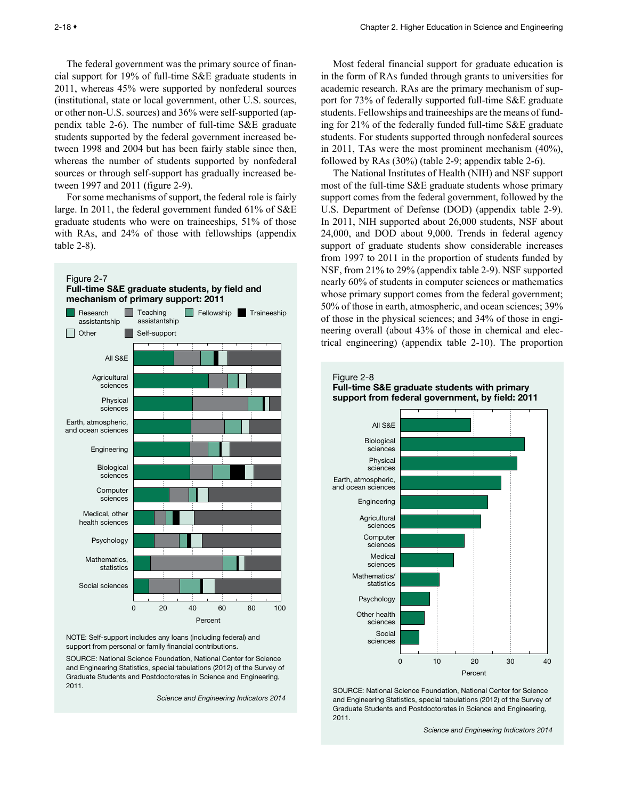<span id="page-17-0"></span>The federal government was the primary source of financial support for 19% of full-time S&E graduate students in 2011, whereas 45% were supported by nonfederal sources (institutional, state or local government, other U.S. sources, or other non-U.S. sources) and 36% were self-supported (appendix table 2-6). The number of full-time S&E graduate students supported by the federal government increased between 1998 and 2004 but has been fairly stable since then, whereas the number of students supported by nonfederal sources or through self-support has gradually increased between 1997 and 2011 (figure 2-9).

For some mechanisms of support, the federal role is fairly large. In 2011, the federal government funded 61% of S&E graduate students who were on traineeships, 51% of those with RAs, and 24% of those with fellowships (appendix table 2-8).



NOTE: Self-support includes any loans (including federal) and support from personal or family financial contributions.

SOURCE: National Science Foundation, National Center for Science and Engineering Statistics, special tabulations (2012) of the Survey of Graduate Students and Postdoctorates in Science and Engineering, 2011.

*Science and Engineering Indicators 2014*

Most federal financial support for graduate education is in the form of RAs funded through grants to universities for academic research. RAs are the primary mechanism of support for 73% of federally supported full-time S&E graduate students. Fellowships and traineeships are the means of funding for 21% of the federally funded full-time S&E graduate students. For students supported through nonfederal sources in 2011, TAs were the most prominent mechanism (40%), followed by RAs (30%) (table 2-9; appendix table 2-6).

The National Institutes of Health (NIH) and NSF support most of the full-time S&E graduate students whose primary support comes from the federal government, followed by the U.S. Department of Defense (DOD) (appendix table 2-9). In 2011, NIH supported about 26,000 students, NSF about 24,000, and DOD about 9,000. Trends in federal agency support of graduate students show considerable increases from 1997 to 2011 in the proportion of students funded by NSF, from 21% to 29% (appendix table 2-9). NSF supported nearly 60% of students in computer sciences or mathematics whose primary support comes from the federal government; 50% of those in earth, atmospheric, and ocean sciences; 39% of those in the physical sciences; and 34% of those in engineering overall (about 43% of those in chemical and electrical engineering) (appendix table 2-10). The proportion



SOURCE: National Science Foundation, National Center for Science and Engineering Statistics, special tabulations (2012) of the Survey of Graduate Students and Postdoctorates in Science and Engineering, 2011.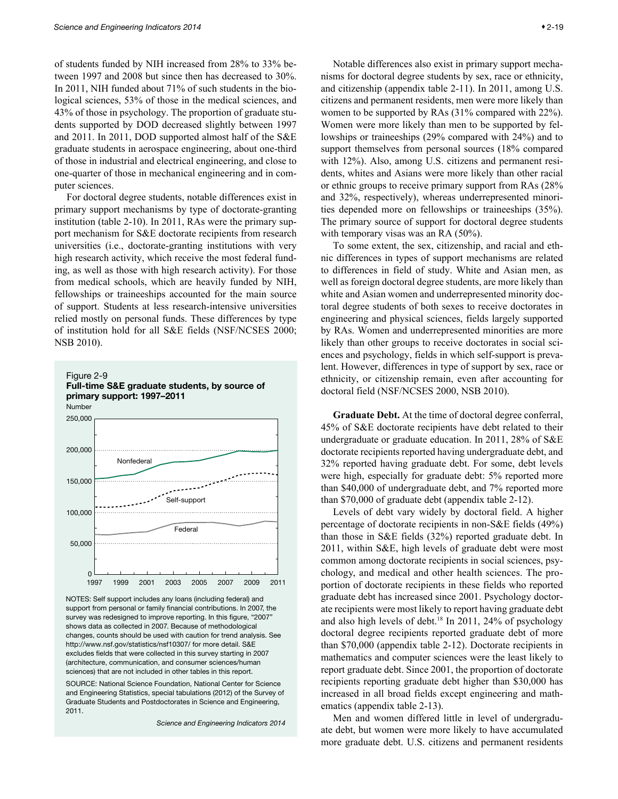<span id="page-18-0"></span>of students funded by NIH increased from 28% to 33% between 1997 and 2008 but since then has decreased to 30%. In 2011, NIH funded about 71% of such students in the biological sciences, 53% of those in the medical sciences, and 43% of those in psychology. The proportion of graduate students supported by DOD decreased slightly between 1997 and 2011. In 2011, DOD supported almost half of the S&E graduate students in aerospace engineering, about one-third of those in industrial and electrical engineering, and close to one-quarter of those in mechanical engineering and in computer sciences.

For doctoral degree students, notable differences exist in primary support mechanisms by type of doctorate-granting institution (table 2-10). In 2011, RAs were the primary support mechanism for S&E doctorate recipients from research universities (i.e., doctorate-granting institutions with very high research activity, which receive the most federal funding, as well as those with high research activity). For those from medical schools, which are heavily funded by NIH, fellowships or traineeships accounted for the main source of support. Students at less research-intensive universities relied mostly on personal funds. These differences by type of institution hold for all S&E fields (NSF/NCSES 2000; NSB 2010).



NOTES: Self support includes any loans (including federal) and support from personal or family financial contributions. In 2007, the survey was redesigned to improve reporting. In this figure, "2007" shows data as collected in 2007. Because of methodological changes, counts should be used with caution for trend analysis. See http://www.nsf.gov/statistics/nsf10307/ for more detail. S&E excludes fields that were collected in this survey starting in 2007 (architecture, communication, and consumer sciences/human sciences) that are not included in other tables in this report.

SOURCE: National Science Foundation, National Center for Science and Engineering Statistics, special tabulations (2012) of the Survey of Graduate Students and Postdoctorates in Science and Engineering, 2011.

*Science and Engineering Indicators 2014*

Notable differences also exist in primary support mechanisms for doctoral degree students by sex, race or ethnicity, and citizenship (appendix table 2-11). In 2011, among U.S. citizens and permanent residents, men were more likely than women to be supported by RAs (31% compared with 22%). Women were more likely than men to be supported by fellowships or traineeships (29% compared with 24%) and to support themselves from personal sources (18% compared with 12%). Also, among U.S. citizens and permanent residents, whites and Asians were more likely than other racial or ethnic groups to receive primary support from RAs (28% and 32%, respectively), whereas underrepresented minorities depended more on fellowships or traineeships (35%). The primary source of support for doctoral degree students with temporary visas was an RA  $(50\%)$ .

To some extent, the sex, citizenship, and racial and ethnic differences in types of support mechanisms are related to differences in field of study. White and Asian men, as well as foreign doctoral degree students, are more likely than white and Asian women and underrepresented minority doctoral degree students of both sexes to receive doctorates in engineering and physical sciences, fields largely supported by RAs. Women and underrepresented minorities are more likely than other groups to receive doctorates in social sciences and psychology, fields in which self-support is prevalent. However, differences in type of support by sex, race or ethnicity, or citizenship remain, even after accounting for doctoral field (NSF/NCSES 2000, NSB 2010).

**Graduate Debt.** At the time of doctoral degree conferral, 45% of S&E doctorate recipients have debt related to their undergraduate or graduate education. In 2011, 28% of S&E doctorate recipients reported having undergraduate debt, and 32% reported having graduate debt. For some, debt levels were high, especially for graduate debt: 5% reported more than \$40,000 of undergraduate debt, and 7% reported more than \$70,000 of graduate debt (appendix table 2-12).

Levels of debt vary widely by doctoral field. A higher percentage of doctorate recipients in non-S&E fields (49%) than those in S&E fields (32%) reported graduate debt. In 2011, within S&E, high levels of graduate debt were most common among doctorate recipients in social sciences, psychology, and medical and other health sciences. The proportion of doctorate recipients in these fields who reported graduate debt has increased since 2001. Psychology doctorate recipients were most likely to report having graduate debt and also high levels of debt.<sup>18</sup> In 2011, 24% of psychology doctoral degree recipients reported graduate debt of more than \$70,000 (appendix table 2-12). Doctorate recipients in mathematics and computer sciences were the least likely to report graduate debt. Since 2001, the proportion of doctorate recipients reporting graduate debt higher than \$30,000 has increased in all broad fields except engineering and mathematics (appendix table 2-13).

Men and women differed little in level of undergraduate debt, but women were more likely to have accumulated more graduate debt. U.S. citizens and permanent residents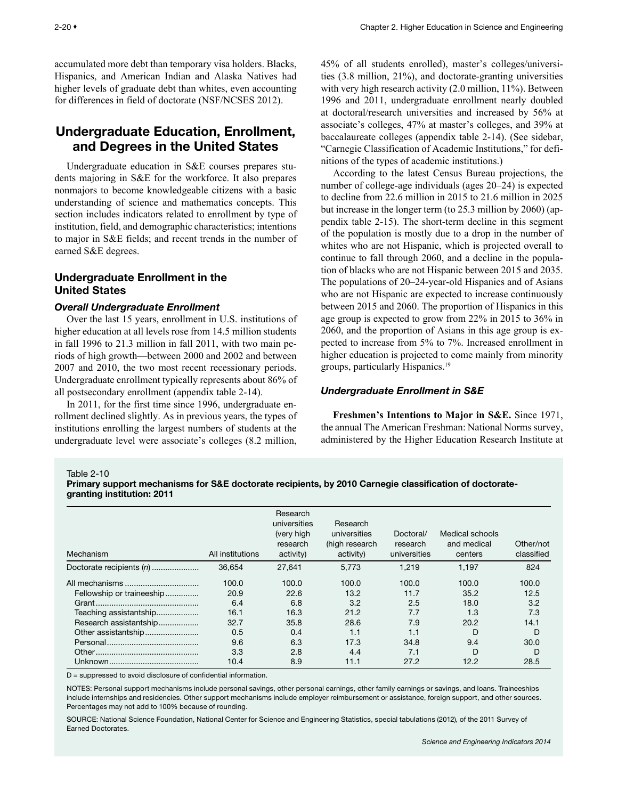<span id="page-19-0"></span>accumulated more debt than temporary visa holders. Blacks, Hispanics, and American Indian and Alaska Natives had higher levels of graduate debt than whites, even accounting for differences in field of doctorate (NSF/NCSES 2012).

# Undergraduate Education, Enrollment, and Degrees in the United States

Undergraduate education in S&E courses prepares students majoring in S&E for the workforce. It also prepares nonmajors to become knowledgeable citizens with a basic understanding of science and mathematics concepts. This section includes indicators related to enrollment by type of institution, field, and demographic characteristics; intentions to major in S&E fields; and recent trends in the number of earned S&E degrees.

## Undergraduate Enrollment in the United States

## *Overall Undergraduate Enrollment*

Over the last 15 years, enrollment in U.S. institutions of higher education at all levels rose from 14.5 million students in fall 1996 to 21.3 million in fall 2011, with two main periods of high growth—between 2000 and 2002 and between 2007 and 2010, the two most recent recessionary periods. Undergraduate enrollment typically represents about 86% of all postsecondary enrollment (appendix table 2-14).

In 2011, for the first time since 1996, undergraduate enrollment declined slightly. As in previous years, the types of institutions enrolling the largest numbers of students at the undergraduate level were associate's colleges (8.2 million,

45% of all students enrolled), master's colleges/universities (3.8 million, 21%), and doctorate-granting universities with very high research activity (2.0 million, 11%). Between 1996 and 2011, undergraduate enrollment nearly doubled at doctoral/research universities and increased by 56% at associate's colleges, 47% at master's colleges, and 39% at baccalaureate colleges (appendix table 2-14). (See sidebar, "Carnegie Classification of Academic Institutions," for definitions of the types of academic institutions.)

According to the latest Census Bureau projections, the number of college-age individuals (ages 20–24) is expected to decline from 22.6 million in 2015 to 21.6 million in 2025 but increase in the longer term (to 25.3 million by 2060) (appendix table 2-15). The short-term decline in this segment of the population is mostly due to a drop in the number of whites who are not Hispanic, which is projected overall to continue to fall through 2060, and a decline in the population of blacks who are not Hispanic between 2015 and 2035. The populations of 20–24-year-old Hispanics and of Asians who are not Hispanic are expected to increase continuously between 2015 and 2060. The proportion of Hispanics in this age group is expected to grow from 22% in 2015 to 36% in 2060, and the proportion of Asians in this age group is expected to increase from 5% to 7%. Increased enrollment in higher education is projected to come mainly from minority groups, particularly Hispanics.19

## *Undergraduate Enrollment in S&E*

**Freshmen's Intentions to Major in S&E.** Since 1971, the annual The American Freshman: National Norms survey, administered by the Higher Education Research Institute at

Table 2-10

Primary support mechanisms for S&E doctorate recipients, by 2010 Carnegie classification of doctorategranting institution: 2011

| Mechanism                 | All institutions | Research<br>universities<br>(very high<br>research<br>activity) | Research<br>universities<br>(high research<br>activity) | Doctoral/<br>research<br>universities | Medical schools<br>and medical<br>centers | Other/not<br>classified |
|---------------------------|------------------|-----------------------------------------------------------------|---------------------------------------------------------|---------------------------------------|-------------------------------------------|-------------------------|
| Doctorate recipients (n)  | 36.654           | 27.641                                                          | 5.773                                                   | 1.219                                 | 1.197                                     | 824                     |
|                           | 100.0            | 100.0                                                           | 100.0                                                   | 100.0                                 | 100.0                                     | 100.0                   |
| Fellowship or traineeship | 20.9             | 22.6                                                            | 13.2                                                    | 11.7                                  | 35.2                                      | 12.5                    |
|                           | 6.4              | 6.8                                                             | 3.2                                                     | 2.5                                   | 18.0                                      | 3.2                     |
| Teaching assistantship    | 16.1             | 16.3                                                            | 21.2                                                    | 7.7                                   | 1.3                                       | 7.3                     |
| Research assistantship    | 32.7             | 35.8                                                            | 28.6                                                    | 7.9                                   | 20.2                                      | 14.1                    |
| Other assistantship       | 0.5              | 0.4                                                             | 1.1                                                     | 1.1                                   | D                                         | D                       |
|                           | 9.6              | 6.3                                                             | 17.3                                                    | 34.8                                  | 9.4                                       | 30.0                    |
|                           | 3.3              | 2.8                                                             | 4.4                                                     | 7.1                                   | D                                         | D                       |
|                           | 10.4             | 8.9                                                             | 11.1                                                    | 27.2                                  | 12.2                                      | 28.5                    |

D = suppressed to avoid disclosure of confidential information.

NOTES: Personal support mechanisms include personal savings, other personal earnings, other family earnings or savings, and loans. Traineeships include internships and residencies. Other support mechanisms include employer reimbursement or assistance, foreign support, and other sources. Percentages may not add to 100% because of rounding.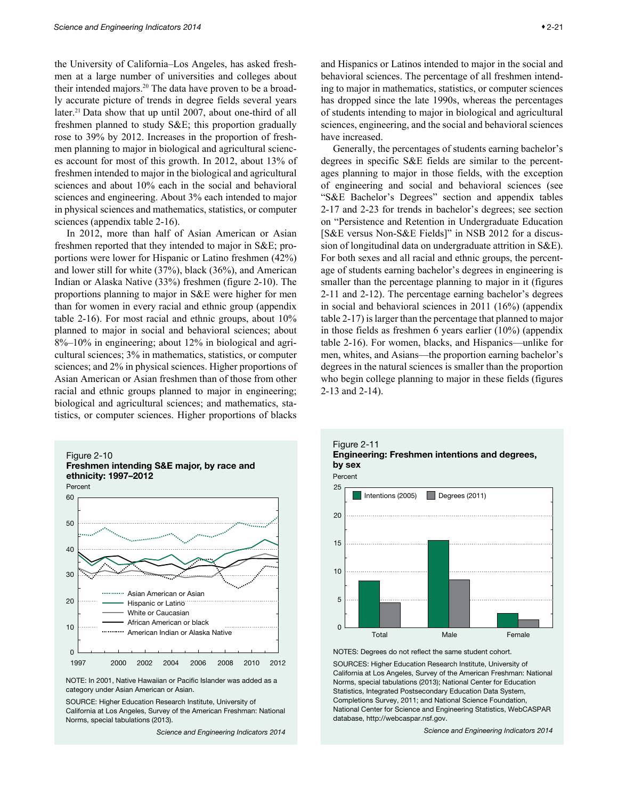<span id="page-20-0"></span>the University of California–Los Angeles, has asked freshmen at a large number of universities and colleges about their intended majors.20 The data have proven to be a broadly accurate picture of trends in degree fields several years later.<sup>21</sup> Data show that up until 2007, about one-third of all freshmen planned to study S&E; this proportion gradually rose to 39% by 2012. Increases in the proportion of freshmen planning to major in biological and agricultural sciences account for most of this growth. In 2012, about 13% of freshmen intended to major in the biological and agricultural sciences and about 10% each in the social and behavioral sciences and engineering. About 3% each intended to major in physical sciences and mathematics, statistics, or computer sciences (appendix table 2-16).

In 2012, more than half of Asian American or Asian freshmen reported that they intended to major in S&E; proportions were lower for Hispanic or Latino freshmen (42%) and lower still for white (37%), black (36%), and American Indian or Alaska Native (33%) freshmen (figure 2-10). The proportions planning to major in S&E were higher for men than for women in every racial and ethnic group (appendix table 2-16). For most racial and ethnic groups, about 10% planned to major in social and behavioral sciences; about 8%–10% in engineering; about 12% in biological and agricultural sciences; 3% in mathematics, statistics, or computer sciences; and 2% in physical sciences. Higher proportions of Asian American or Asian freshmen than of those from other racial and ethnic groups planned to major in engineering; biological and agricultural sciences; and mathematics, statistics, or computer sciences. Higher proportions of blacks



NOTE: In 2001, Native Hawaiian or Pacific Islander was added as a category under Asian American or Asian.

SOURCE: Higher Education Research Institute, University of California at Los Angeles, Survey of the American Freshman: National Norms, special tabulations (2013).

*Science and Engineering Indicators 2014*

and Hispanics or Latinos intended to major in the social and behavioral sciences. The percentage of all freshmen intending to major in mathematics, statistics, or computer sciences has dropped since the late 1990s, whereas the percentages of students intending to major in biological and agricultural sciences, engineering, and the social and behavioral sciences have increased.

Generally, the percentages of students earning bachelor's degrees in specific S&E fields are similar to the percentages planning to major in those fields, with the exception of engineering and social and behavioral sciences (see "S&E Bachelor's Degrees" section and appendix tables 2-17 and 2-23 for trends in bachelor's degrees; see section on "Persistence and Retention in Undergraduate Education [S&E versus Non-S&E Fields]" in NSB 2012 for a discussion of longitudinal data on undergraduate attrition in S&E). For both sexes and all racial and ethnic groups, the percentage of students earning bachelor's degrees in engineering is smaller than the percentage planning to major in it (figures 2-11 and 2-12). The percentage earning bachelor's degrees in social and behavioral sciences in 2011 (16%) (appendix table 2-17) is larger than the percentage that planned to major in those fields as freshmen 6 years earlier (10%) (appendix table 2-16). For women, blacks, and Hispanics—unlike for men, whites, and Asians—the proportion earning bachelor's degrees in the natural sciences is smaller than the proportion who begin college planning to major in these fields (figures 2-13 and 2-14).





NOTES: Degrees do not reflect the same student cohort.

SOURCES: Higher Education Research Institute, University of California at Los Angeles, Survey of the American Freshman: National Norms, special tabulations (2013); National Center for Education Statistics, Integrated Postsecondary Education Data System, Completions Survey, 2011; and National Science Foundation, National Center for Science and Engineering Statistics, WebCASPAR database, http://webcaspar.nsf.gov.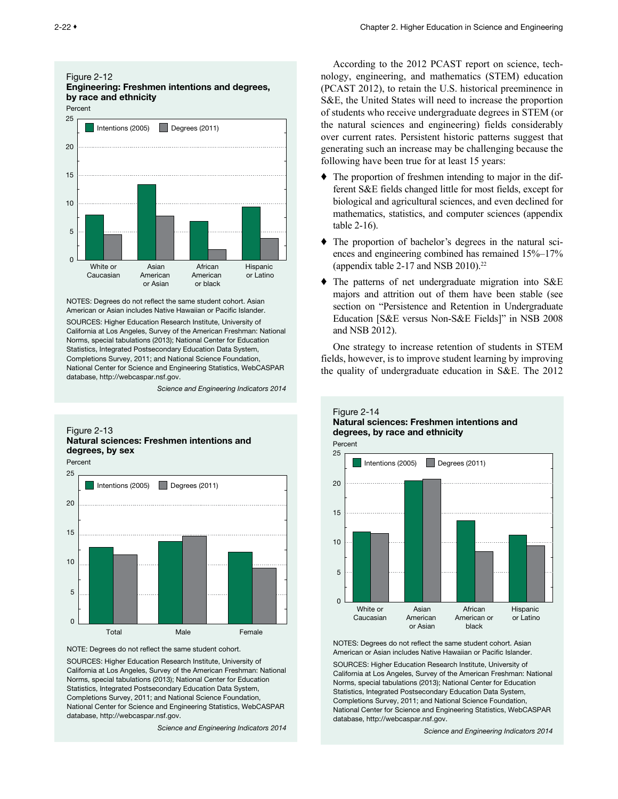<span id="page-21-0"></span>

NOTES: Degrees do not reflect the same student cohort. Asian American or Asian includes Native Hawaiian or Pacific Islander.

SOURCES: Higher Education Research Institute, University of California at Los Angeles, Survey of the American Freshman: National Norms, special tabulations (2013); National Center for Education Statistics, Integrated Postsecondary Education Data System, Completions Survey, 2011; and National Science Foundation, National Center for Science and Engineering Statistics, WebCASPAR database, http://webcaspar.nsf.gov.

*Science and Engineering Indicators 2014*

#### Figure 2-13 Natural sciences: Freshmen intentions and degrees, by sex



NOTE: Degrees do not reflect the same student cohort.

SOURCES: Higher Education Research Institute, University of California at Los Angeles, Survey of the American Freshman: National Norms, special tabulations (2013); National Center for Education Statistics, Integrated Postsecondary Education Data System, Completions Survey, 2011; and National Science Foundation, National Center for Science and Engineering Statistics, WebCASPAR database, http://webcaspar.nsf.gov.

*Science and Engineering Indicators 2014*

According to the 2012 PCAST report on science, technology, engineering, and mathematics (STEM) education (PCAST 2012), to retain the U.S. historical preeminence in S&E, the United States will need to increase the proportion of students who receive undergraduate degrees in STEM (or the natural sciences and engineering) fields considerably over current rates. Persistent historic patterns suggest that generating such an increase may be challenging because the following have been true for at least 15 years:

- ♦ The proportion of freshmen intending to major in the different S&E fields changed little for most fields, except for biological and agricultural sciences, and even declined for mathematics, statistics, and computer sciences (appendix table 2-16).
- ♦ The proportion of bachelor's degrees in the natural sciences and engineering combined has remained 15%–17% (appendix table 2-17 and NSB 2010).<sup>22</sup>
- ♦ The patterns of net undergraduate migration into S&E majors and attrition out of them have been stable (see section on "Persistence and Retention in Undergraduate Education [S&E versus Non-S&E Fields]" in NSB 2008 and NSB 2012).

One strategy to increase retention of students in STEM fields, however, is to improve student learning by improving the quality of undergraduate education in S&E. The 2012

Figure 2-14



NOTES: Degrees do not reflect the same student cohort. Asian American or Asian includes Native Hawaiian or Pacific Islander.

SOURCES: Higher Education Research Institute, University of California at Los Angeles, Survey of the American Freshman: National Norms, special tabulations (2013); National Center for Education Statistics, Integrated Postsecondary Education Data System, Completions Survey, 2011; and National Science Foundation, National Center for Science and Engineering Statistics, WebCASPAR database, http://webcaspar.nsf.gov.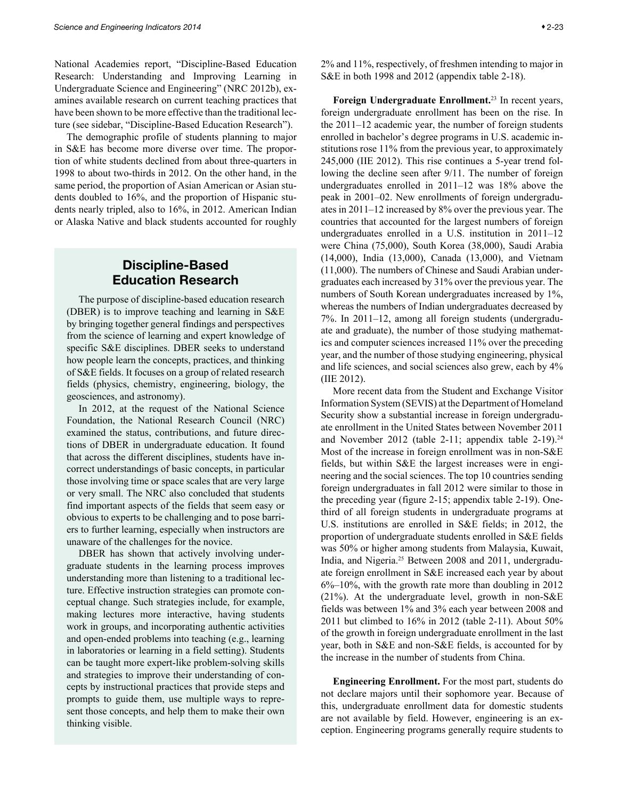<span id="page-22-0"></span>National Academies report, "Discipline-Based Education Research: Understanding and Improving Learning in Undergraduate Science and Engineering" (NRC 2012b), examines available research on current teaching practices that have been shown to be more effective than the traditional lecture (see sidebar, "Discipline-Based Education Research").

The demographic profile of students planning to major in S&E has become more diverse over time. The proportion of white students declined from about three-quarters in 1998 to about two-thirds in 2012. On the other hand, in the same period, the proportion of Asian American or Asian students doubled to 16%, and the proportion of Hispanic students nearly tripled, also to 16%, in 2012. American Indian or Alaska Native and black students accounted for roughly

# Discipline-Based Education Research

The purpose of discipline-based education research (DBER) is to improve teaching and learning in S&E by bringing together general findings and perspectives from the science of learning and expert knowledge of specific S&E disciplines. DBER seeks to understand how people learn the concepts, practices, and thinking of S&E fields. It focuses on a group of related research fields (physics, chemistry, engineering, biology, the geosciences, and astronomy).

In 2012, at the request of the National Science Foundation, the National Research Council (NRC) examined the status, contributions, and future directions of DBER in undergraduate education. It found that across the different disciplines, students have incorrect understandings of basic concepts, in particular those involving time or space scales that are very large or very small. The NRC also concluded that students find important aspects of the fields that seem easy or obvious to experts to be challenging and to pose barriers to further learning, especially when instructors are unaware of the challenges for the novice.

DBER has shown that actively involving undergraduate students in the learning process improves understanding more than listening to a traditional lecture. Effective instruction strategies can promote conceptual change. Such strategies include, for example, making lectures more interactive, having students work in groups, and incorporating authentic activities and open-ended problems into teaching (e.g., learning in laboratories or learning in a field setting). Students can be taught more expert-like problem-solving skills and strategies to improve their understanding of concepts by instructional practices that provide steps and prompts to guide them, use multiple ways to represent those concepts, and help them to make their own thinking visible.

2% and 11%, respectively, of freshmen intending to major in S&E in both 1998 and 2012 (appendix table 2-18).

**Foreign Undergraduate Enrollment.** 23 In recent years, foreign undergraduate enrollment has been on the rise. In the 2011–12 academic year, the number of foreign students enrolled in bachelor's degree programs in U.S. academic institutions rose 11% from the previous year, to approximately 245,000 (IIE 2012). This rise continues a 5-year trend following the decline seen after 9/11. The number of foreign undergraduates enrolled in 2011–12 was 18% above the peak in 2001–02. New enrollments of foreign undergraduates in 2011–12 increased by 8% over the previous year. The countries that accounted for the largest numbers of foreign undergraduates enrolled in a U.S. institution in 2011–12 were China (75,000), South Korea (38,000), Saudi Arabia (14,000), India (13,000), Canada (13,000), and Vietnam (11,000). The numbers of Chinese and Saudi Arabian undergraduates each increased by 31% over the previous year. The numbers of South Korean undergraduates increased by 1%, whereas the numbers of Indian undergraduates decreased by 7%. In 2011–12, among all foreign students (undergraduate and graduate), the number of those studying mathematics and computer sciences increased 11% over the preceding year, and the number of those studying engineering, physical and life sciences, and social sciences also grew, each by 4% (IIE 2012).

More recent data from the Student and Exchange Visitor Information System (SEVIS) at the Department of Homeland Security show a substantial increase in foreign undergraduate enrollment in the United States between November 2011 and November 2012 (table 2-11; appendix table  $2-19$ ).<sup>24</sup> Most of the increase in foreign enrollment was in non-S&E fields, but within S&E the largest increases were in engineering and the social sciences. The top 10 countries sending foreign undergraduates in fall 2012 were similar to those in the preceding year (figure 2-15; appendix table 2-19). Onethird of all foreign students in undergraduate programs at U.S. institutions are enrolled in S&E fields; in 2012, the proportion of undergraduate students enrolled in S&E fields was 50% or higher among students from Malaysia, Kuwait, India, and Nigeria.25 Between 2008 and 2011, undergraduate foreign enrollment in S&E increased each year by about  $6\%$ –10%, with the growth rate more than doubling in 2012  $(21\%)$ . At the undergraduate level, growth in non-S&E fields was between 1% and 3% each year between 2008 and 2011 but climbed to 16% in 2012 (table 2-11). About 50% of the growth in foreign undergraduate enrollment in the last year, both in S&E and non-S&E fields, is accounted for by the increase in the number of students from China.

**Engineering Enrollment.** For the most part, students do not declare majors until their sophomore year. Because of this, undergraduate enrollment data for domestic students are not available by field. However, engineering is an exception. Engineering programs generally require students to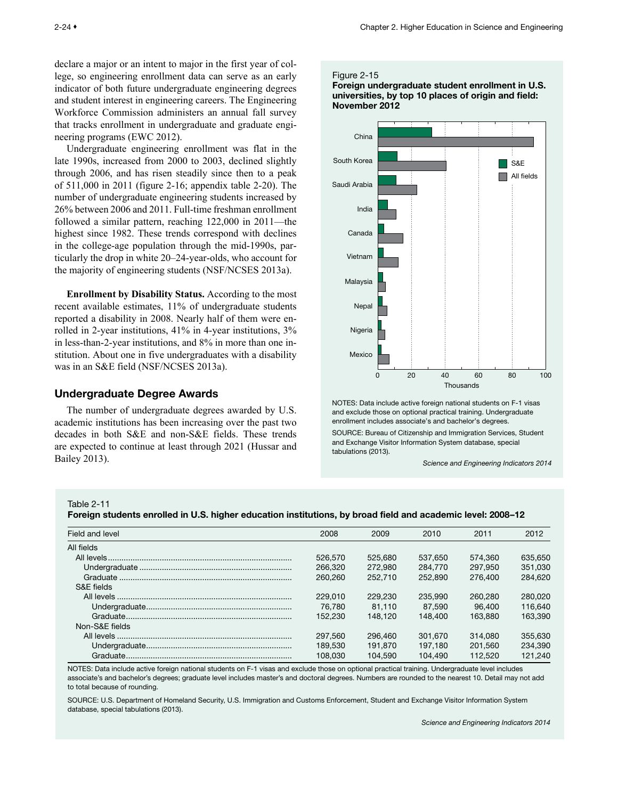<span id="page-23-0"></span>declare a major or an intent to major in the first year of college, so engineering enrollment data can serve as an early indicator of both future undergraduate engineering degrees and student interest in engineering careers. The Engineering Workforce Commission administers an annual fall survey that tracks enrollment in undergraduate and graduate engineering programs (EWC 2012).

Undergraduate engineering enrollment was flat in the late 1990s, increased from 2000 to 2003, declined slightly through 2006, and has risen steadily since then to a peak of 511,000 in 2011 (figure 2-16; appendix table 2-20). The number of undergraduate engineering students increased by 26% between 2006 and 2011. Full-time freshman enrollment followed a similar pattern, reaching 122,000 in 2011—the highest since 1982. These trends correspond with declines in the college-age population through the mid-1990s, particularly the drop in white 20–24-year-olds, who account for the majority of engineering students (NSF/NCSES 2013a).

**Enrollment by Disability Status.** According to the most recent available estimates, 11% of undergraduate students reported a disability in 2008. Nearly half of them were enrolled in 2-year institutions, 41% in 4-year institutions, 3% in less-than-2-year institutions, and 8% in more than one institution. About one in five undergraduates with a disability was in an S&E field (NSF/NCSES 2013a).

## Undergraduate Degree Awards

The number of undergraduate degrees awarded by U.S. academic institutions has been increasing over the past two decades in both S&E and non-S&E fields. These trends are expected to continue at least through 2021 (Hussar and Bailey 2013).

#### Figure 2-15

Foreign undergraduate student enrollment in U.S. universities, by top 10 places of origin and field: November 2012



NOTES: Data include active foreign national students on F-1 visas and exclude those on optional practical training. Undergraduate enrollment includes associate's and bachelor's degrees.

SOURCE: Bureau of Citizenship and Immigration Services, Student and Exchange Visitor Information System database, special tabulations (2013).

*Science and Engineering Indicators 2014*

Table 2-11

Foreign students enrolled in U.S. higher education institutions, by broad field and academic level: 2008–12

| Field and level | 2008    | 2009    | 2010    | 2011    | 2012    |
|-----------------|---------|---------|---------|---------|---------|
| All fields      |         |         |         |         |         |
|                 | 526,570 | 525.680 | 537.650 | 574.360 | 635,650 |
|                 | 266,320 | 272,980 | 284,770 | 297.950 | 351,030 |
|                 | 260,260 | 252,710 | 252,890 | 276,400 | 284.620 |
| S&F fields      |         |         |         |         |         |
|                 | 229,010 | 229,230 | 235,990 | 260,280 | 280,020 |
|                 | 76.780  | 81.110  | 87.590  | 96.400  | 116,640 |
|                 | 152.230 | 148.120 | 148,400 | 163.880 | 163.390 |
| Non-S&E fields  |         |         |         |         |         |
|                 | 297.560 | 296,460 | 301.670 | 314.080 | 355,630 |
|                 | 189.530 | 191.870 | 197.180 | 201.560 | 234.390 |
|                 | 108.030 | 104.590 | 104.490 | 112.520 | 121.240 |

NOTES: Data include active foreign national students on F-1 visas and exclude those on optional practical training. Undergraduate level includes associate's and bachelor's degrees; graduate level includes master's and doctoral degrees. Numbers are rounded to the nearest 10. Detail may not add to total because of rounding.

SOURCE: U.S. Department of Homeland Security, U.S. Immigration and Customs Enforcement, Student and Exchange Visitor Information System database, special tabulations (2013).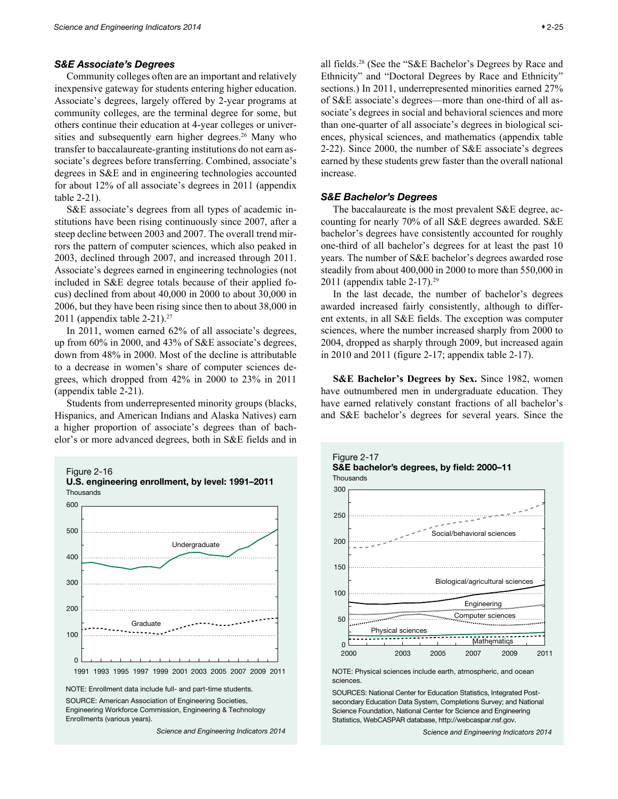#### <span id="page-24-0"></span>*S&E Associate's Degrees*

Community colleges often are an important and relatively inexpensive gateway for students entering higher education. Associate's degrees, largely offered by 2-year programs at community colleges, are the terminal degree for some, but others continue their education at 4-year colleges or universities and subsequently earn higher degrees.<sup>26</sup> Many who transfer to baccalaureate-granting institutions do not earn associate's degrees before transferring. Combined, associate's degrees in S&E and in engineering technologies accounted for about 12% of all associate's degrees in 2011 (appendix table 2-21).

S&E associate's degrees from all types of academic institutions have been rising continuously since 2007, after a steep decline between 2003 and 2007. The overall trend mirrors the pattern of computer sciences, which also peaked in 2003, declined through 2007, and increased through 2011. Associate's degrees earned in engineering technologies (not included in S&E degree totals because of their applied focus) declined from about 40,000 in 2000 to about 30,000 in 2006, but they have been rising since then to about 38,000 in 2011 (appendix table 2-21).27

In 2011, women earned 62% of all associate's degrees, up from 60% in 2000, and 43% of S&E associate's degrees, down from 48% in 2000. Most of the decline is attributable to a decrease in women's share of computer sciences degrees, which dropped from 42% in 2000 to 23% in 2011 (appendix table 2-21).

Students from underrepresented minority groups (blacks, Hispanics, and American Indians and Alaska Natives) earn a higher proportion of associate's degrees than of bachelor's or more advanced degrees, both in S&E fields and in



Engineering Workforce Commission, Engineering & Technology Enrollments (various years).

*Science and Engineering Indicators 2014*

all fields.28 (See the "S&E Bachelor's Degrees by Race and Ethnicity" and "Doctoral Degrees by Race and Ethnicity" sections.) In 2011, underrepresented minorities earned 27% of S&E associate's degrees—more than one-third of all associate's degrees in social and behavioral sciences and more than one-quarter of all associate's degrees in biological sciences, physical sciences, and mathematics (appendix table 2-22). Since 2000, the number of S&E associate's degrees earned by these students grew faster than the overall national increase.

## *S&E Bachelor's Degrees*

The baccalaureate is the most prevalent S&E degree, accounting for nearly 70% of all S&E degrees awarded. S&E bachelor's degrees have consistently accounted for roughly one-third of all bachelor's degrees for at least the past 10 years. The number of S&E bachelor's degrees awarded rose steadily from about 400,000 in 2000 to more than 550,000 in 2011 (appendix table 2-17).29

In the last decade, the number of bachelor's degrees awarded increased fairly consistently, although to different extents, in all S&E fields. The exception was computer sciences, where the number increased sharply from 2000 to 2004, dropped as sharply through 2009, but increased again in 2010 and 2011 (figure 2-17; appendix table 2-17).

**S&E Bachelor's Degrees by Sex.** Since 1982, women have outnumbered men in undergraduate education. They have earned relatively constant fractions of all bachelor's and S&E bachelor's degrees for several years. Since the



NOTE: Physical sciences include earth, atmospheric, and ocean sciences.

SOURCES: National Center for Education Statistics, Integrated Postsecondary Education Data System, Completions Survey; and National Science Foundation, National Center for Science and Engineering Statistics, WebCASPAR database, http://webcaspar.nsf.gov.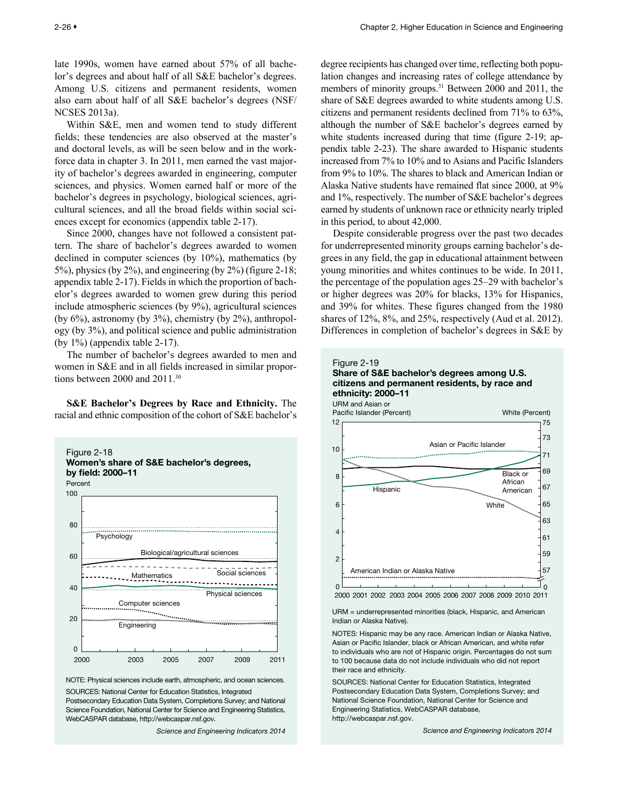<span id="page-25-0"></span>late 1990s, women have earned about 57% of all bachelor's degrees and about half of all S&E bachelor's degrees. Among U.S. citizens and permanent residents, women also earn about half of all S&E bachelor's degrees (NSF/ NCSES 2013a).

Within S&E, men and women tend to study different fields; these tendencies are also observed at the master's and doctoral levels, as will be seen below and in the workforce data in chapter 3. In 2011, men earned the vast majority of bachelor's degrees awarded in engineering, computer sciences, and physics. Women earned half or more of the bachelor's degrees in psychology, biological sciences, agricultural sciences, and all the broad fields within social sciences except for economics (appendix table 2-17).

Since 2000, changes have not followed a consistent pattern. The share of bachelor's degrees awarded to women declined in computer sciences (by 10%), mathematics (by 5%), physics (by 2%), and engineering (by 2%) (figure 2-18; appendix table 2-17). Fields in which the proportion of bachelor's degrees awarded to women grew during this period include atmospheric sciences (by 9%), agricultural sciences (by 6%), astronomy (by 3%), chemistry (by 2%), anthropology (by 3%), and political science and public administration (by 1%) (appendix table 2-17).

The number of bachelor's degrees awarded to men and women in S&E and in all fields increased in similar proportions between 2000 and 2011.30

**S&E Bachelor's Degrees by Race and Ethnicity.** The racial and ethnic composition of the cohort of S&E bachelor's



NOTE: Physical sciences include earth, atmospheric, and ocean sciences. SOURCES: National Center for Education Statistics, Integrated

Postsecondary Education Data System, Completions Survey; and National Science Foundation, National Center for Science and Engineering Statistics, WebCASPAR database, http://webcaspar.nsf.gov.

*Science and Engineering Indicators 2014*

degree recipients has changed over time, reflecting both population changes and increasing rates of college attendance by members of minority groups.<sup>31</sup> Between 2000 and 2011, the share of S&E degrees awarded to white students among U.S. citizens and permanent residents declined from 71% to 63%, although the number of S&E bachelor's degrees earned by white students increased during that time (figure 2-19; appendix table 2-23). The share awarded to Hispanic students increased from 7% to 10% and to Asians and Pacific Islanders from 9% to 10%. The shares to black and American Indian or Alaska Native students have remained flat since 2000, at 9% and 1%, respectively. The number of S&E bachelor's degrees earned by students of unknown race or ethnicity nearly tripled in this period, to about 42,000.

Despite considerable progress over the past two decades for underrepresented minority groups earning bachelor's degrees in any field, the gap in educational attainment between young minorities and whites continues to be wide. In 2011, the percentage of the population ages 25–29 with bachelor's or higher degrees was 20% for blacks, 13% for Hispanics, and 39% for whites. These figures changed from the 1980 shares of 12%, 8%, and 25%, respectively (Aud et al. 2012). Differences in completion of bachelor's degrees in S&E by



URM = underrepresented minorities (black, Hispanic, and American Indian or Alaska Native).

NOTES: Hispanic may be any race. American Indian or Alaska Native, Asian or Pacific Islander, black or African American, and white refer to individuals who are not of Hispanic origin. Percentages do not sum to 100 because data do not include individuals who did not report their race and ethnicity.

SOURCES: National Center for Education Statistics, Integrated Postsecondary Education Data System, Completions Survey; and National Science Foundation, National Center for Science and Engineering Statistics, WebCASPAR database, http://webcaspar.nsf.gov.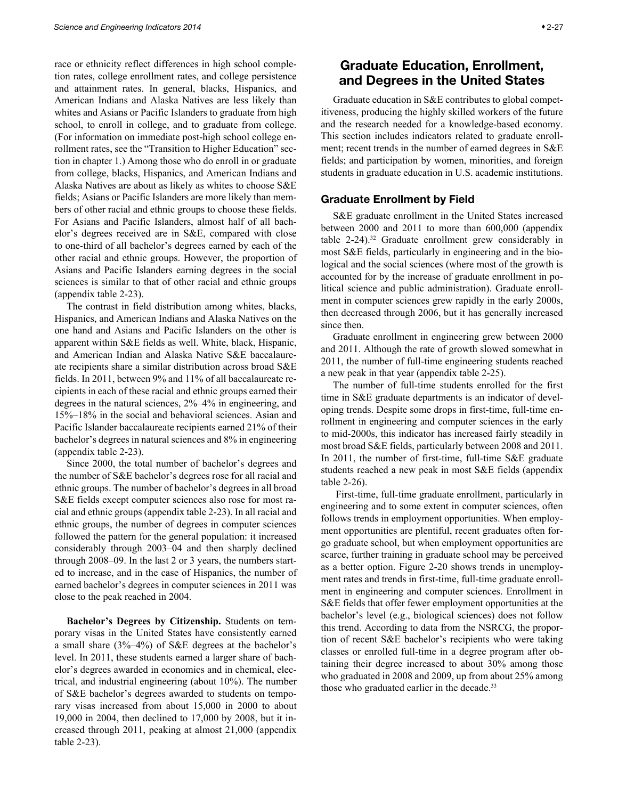<span id="page-26-0"></span>race or ethnicity reflect differences in high school completion rates, college enrollment rates, and college persistence and attainment rates. In general, blacks, Hispanics, and American Indians and Alaska Natives are less likely than whites and Asians or Pacific Islanders to graduate from high school, to enroll in college, and to graduate from college. (For information on immediate post-high school college enrollment rates, see the "Transition to Higher Education" section in chapter 1.) Among those who do enroll in or graduate from college, blacks, Hispanics, and American Indians and Alaska Natives are about as likely as whites to choose S&E fields; Asians or Pacific Islanders are more likely than members of other racial and ethnic groups to choose these fields. For Asians and Pacific Islanders, almost half of all bachelor's degrees received are in S&E, compared with close to one-third of all bachelor's degrees earned by each of the other racial and ethnic groups. However, the proportion of Asians and Pacific Islanders earning degrees in the social sciences is similar to that of other racial and ethnic groups (appendix table 2-23).

The contrast in field distribution among whites, blacks, Hispanics, and American Indians and Alaska Natives on the one hand and Asians and Pacific Islanders on the other is apparent within S&E fields as well. White, black, Hispanic, and American Indian and Alaska Native S&E baccalaureate recipients share a similar distribution across broad S&E fields. In 2011, between 9% and 11% of all baccalaureate recipients in each of these racial and ethnic groups earned their degrees in the natural sciences, 2%–4% in engineering, and 15%–18% in the social and behavioral sciences. Asian and Pacific Islander baccalaureate recipients earned 21% of their bachelor's degrees in natural sciences and 8% in engineering (appendix table 2-23).

Since 2000, the total number of bachelor's degrees and the number of S&E bachelor's degrees rose for all racial and ethnic groups. The number of bachelor's degrees in all broad S&E fields except computer sciences also rose for most racial and ethnic groups (appendix table 2-23). In all racial and ethnic groups, the number of degrees in computer sciences followed the pattern for the general population: it increased considerably through 2003–04 and then sharply declined through 2008–09. In the last 2 or 3 years, the numbers started to increase, and in the case of Hispanics, the number of earned bachelor's degrees in computer sciences in 2011 was close to the peak reached in 2004.

**Bachelor's Degrees by Citizenship.** Students on temporary visas in the United States have consistently earned a small share (3%–4%) of S&E degrees at the bachelor's level. In 2011, these students earned a larger share of bachelor's degrees awarded in economics and in chemical, electrical, and industrial engineering (about 10%). The number of S&E bachelor's degrees awarded to students on temporary visas increased from about 15,000 in 2000 to about 19,000 in 2004, then declined to 17,000 by 2008, but it increased through 2011, peaking at almost 21,000 (appendix table 2-23).

Graduate education in S&E contributes to global competitiveness, producing the highly skilled workers of the future and the research needed for a knowledge-based economy. This section includes indicators related to graduate enrollment; recent trends in the number of earned degrees in S&E fields; and participation by women, minorities, and foreign students in graduate education in U.S. academic institutions.

## Graduate Enrollment by Field

S&E graduate enrollment in the United States increased between 2000 and 2011 to more than 600,000 (appendix table 2-24).<sup>32</sup> Graduate enrollment grew considerably in most S&E fields, particularly in engineering and in the biological and the social sciences (where most of the growth is accounted for by the increase of graduate enrollment in political science and public administration). Graduate enrollment in computer sciences grew rapidly in the early 2000s, then decreased through 2006, but it has generally increased since then.

Graduate enrollment in engineering grew between 2000 and 2011. Although the rate of growth slowed somewhat in 2011, the number of full-time engineering students reached a new peak in that year (appendix table 2-25).

The number of full-time students enrolled for the first time in S&E graduate departments is an indicator of developing trends. Despite some drops in first-time, full-time enrollment in engineering and computer sciences in the early to mid-2000s, this indicator has increased fairly steadily in most broad S&E fields, particularly between 2008 and 2011. In 2011, the number of first-time, full-time S&E graduate students reached a new peak in most S&E fields (appendix table 2-26).

 First-time, full-time graduate enrollment, particularly in engineering and to some extent in computer sciences, often follows trends in employment opportunities. When employment opportunities are plentiful, recent graduates often forgo graduate school, but when employment opportunities are scarce, further training in graduate school may be perceived as a better option. Figure 2-20 shows trends in unemployment rates and trends in first-time, full-time graduate enrollment in engineering and computer sciences. Enrollment in S&E fields that offer fewer employment opportunities at the bachelor's level (e.g., biological sciences) does not follow this trend. According to data from the NSRCG, the proportion of recent S&E bachelor's recipients who were taking classes or enrolled full-time in a degree program after obtaining their degree increased to about 30% among those who graduated in 2008 and 2009, up from about 25% among those who graduated earlier in the decade.<sup>33</sup>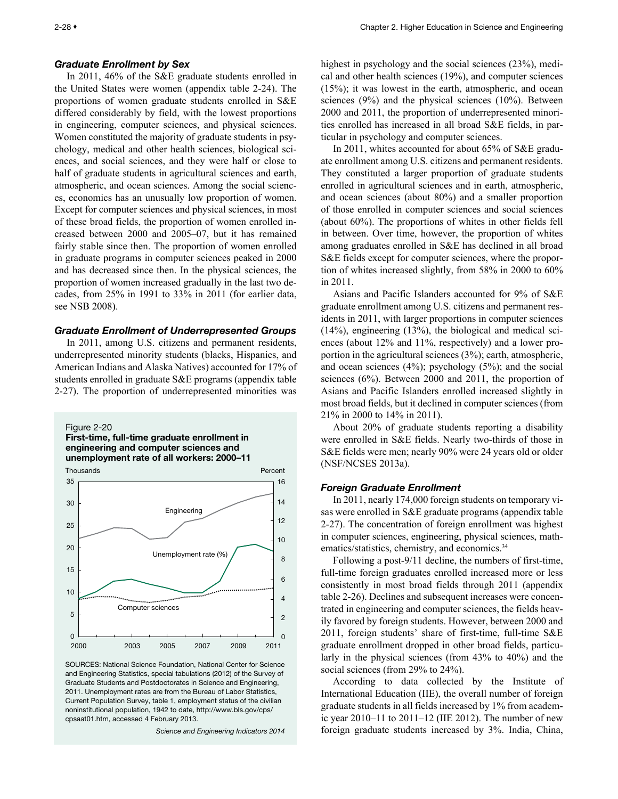#### <span id="page-27-0"></span>*Graduate Enrollment by Sex*

In 2011, 46% of the S&E graduate students enrolled in the United States were women (appendix table 2-24). The proportions of women graduate students enrolled in S&E differed considerably by field, with the lowest proportions in engineering, computer sciences, and physical sciences. Women constituted the majority of graduate students in psychology, medical and other health sciences, biological sciences, and social sciences, and they were half or close to half of graduate students in agricultural sciences and earth, atmospheric, and ocean sciences. Among the social sciences, economics has an unusually low proportion of women. Except for computer sciences and physical sciences, in most of these broad fields, the proportion of women enrolled increased between 2000 and 2005–07, but it has remained fairly stable since then. The proportion of women enrolled in graduate programs in computer sciences peaked in 2000 and has decreased since then. In the physical sciences, the proportion of women increased gradually in the last two decades, from 25% in 1991 to 33% in 2011 (for earlier data, see NSB 2008).

#### *Graduate Enrollment of Underrepresented Groups*

In 2011, among U.S. citizens and permanent residents, underrepresented minority students (blacks, Hispanics, and American Indians and Alaska Natives) accounted for 17% of students enrolled in graduate S&E programs (appendix table 2-27). The proportion of underrepresented minorities was



First-time, full-time graduate enrollment in engineering and computer sciences and unemployment rate of all workers: 2000–11



SOURCES: National Science Foundation, National Center for Science and Engineering Statistics, special tabulations (2012) of the Survey of Graduate Students and Postdoctorates in Science and Engineering, 2011. Unemployment rates are from the Bureau of Labor Statistics, Current Population Survey, table 1, employment status of the civilian noninstitutional population, 1942 to date, http://www.bls.gov/cps/ cpsaat01.htm, accessed 4 February 2013.

*Science and Engineering Indicators 2014*

highest in psychology and the social sciences (23%), medical and other health sciences (19%), and computer sciences (15%); it was lowest in the earth, atmospheric, and ocean sciences (9%) and the physical sciences (10%). Between 2000 and 2011, the proportion of underrepresented minorities enrolled has increased in all broad S&E fields, in particular in psychology and computer sciences.

In 2011, whites accounted for about 65% of S&E graduate enrollment among U.S. citizens and permanent residents. They constituted a larger proportion of graduate students enrolled in agricultural sciences and in earth, atmospheric, and ocean sciences (about 80%) and a smaller proportion of those enrolled in computer sciences and social sciences (about 60%). The proportions of whites in other fields fell in between. Over time, however, the proportion of whites among graduates enrolled in S&E has declined in all broad S&E fields except for computer sciences, where the proportion of whites increased slightly, from 58% in 2000 to 60% in 2011.

Asians and Pacific Islanders accounted for 9% of S&E graduate enrollment among U.S. citizens and permanent residents in 2011, with larger proportions in computer sciences (14%), engineering (13%), the biological and medical sciences (about 12% and 11%, respectively) and a lower proportion in the agricultural sciences (3%); earth, atmospheric, and ocean sciences (4%); psychology (5%); and the social sciences (6%). Between 2000 and 2011, the proportion of Asians and Pacific Islanders enrolled increased slightly in most broad fields, but it declined in computer sciences (from 21% in 2000 to 14% in 2011).

About 20% of graduate students reporting a disability were enrolled in S&E fields. Nearly two-thirds of those in S&E fields were men; nearly 90% were 24 years old or older (NSF/NCSES 2013a).

## *Foreign Graduate Enrollment*

In 2011, nearly 174,000 foreign students on temporary visas were enrolled in S&E graduate programs (appendix table 2-27). The concentration of foreign enrollment was highest in computer sciences, engineering, physical sciences, mathematics/statistics, chemistry, and economics.<sup>34</sup>

Following a post-9/11 decline, the numbers of first-time, full-time foreign graduates enrolled increased more or less consistently in most broad fields through 2011 (appendix table 2-26). Declines and subsequent increases were concentrated in engineering and computer sciences, the fields heavily favored by foreign students. However, between 2000 and 2011, foreign students' share of first-time, full-time S&E graduate enrollment dropped in other broad fields, particularly in the physical sciences (from 43% to 40%) and the social sciences (from 29% to 24%).

According to data collected by the Institute of International Education (IIE), the overall number of foreign graduate students in all fields increased by 1% from academic year 2010–11 to 2011–12 (IIE 2012). The number of new foreign graduate students increased by 3%. India, China,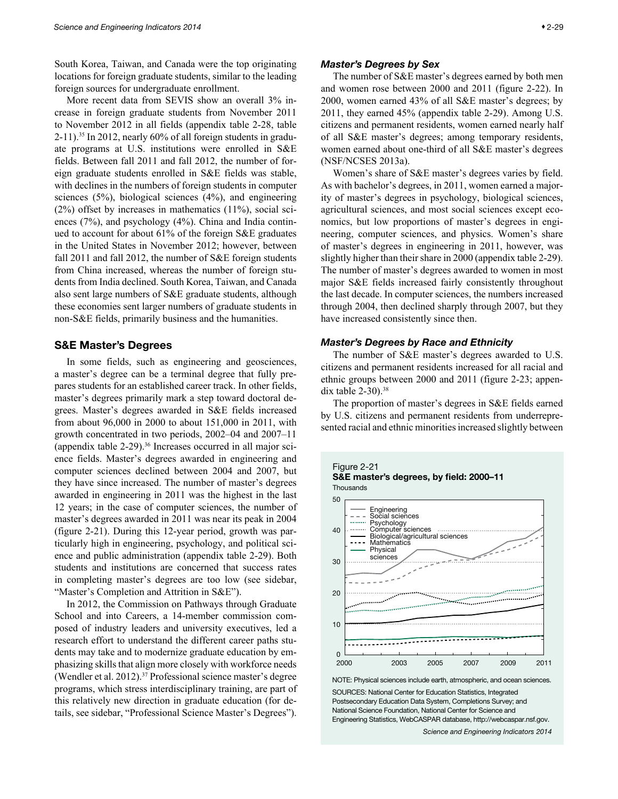<span id="page-28-0"></span>South Korea, Taiwan, and Canada were the top originating locations for foreign graduate students, similar to the leading foreign sources for undergraduate enrollment.

More recent data from SEVIS show an overall 3% increase in foreign graduate students from November 2011 to November 2012 in all fields (appendix table 2-28, table  $2-11$ ).<sup>35</sup> In 2012, nearly 60% of all foreign students in graduate programs at U.S. institutions were enrolled in S&E fields. Between fall 2011 and fall 2012, the number of foreign graduate students enrolled in S&E fields was stable, with declines in the numbers of foreign students in computer sciences (5%), biological sciences (4%), and engineering (2%) offset by increases in mathematics (11%), social sciences (7%), and psychology (4%). China and India continued to account for about 61% of the foreign S&E graduates in the United States in November 2012; however, between fall 2011 and fall 2012, the number of S&E foreign students from China increased, whereas the number of foreign students from India declined. South Korea, Taiwan, and Canada also sent large numbers of S&E graduate students, although these economies sent larger numbers of graduate students in non-S&E fields, primarily business and the humanities.

## S&E Master's Degrees

In some fields, such as engineering and geosciences, a master's degree can be a terminal degree that fully prepares students for an established career track. In other fields, master's degrees primarily mark a step toward doctoral degrees. Master's degrees awarded in S&E fields increased from about 96,000 in 2000 to about 151,000 in 2011, with growth concentrated in two periods, 2002–04 and 2007–11 (appendix table  $2-29$ ).<sup>36</sup> Increases occurred in all major science fields. Master's degrees awarded in engineering and computer sciences declined between 2004 and 2007, but they have since increased. The number of master's degrees awarded in engineering in 2011 was the highest in the last 12 years; in the case of computer sciences, the number of master's degrees awarded in 2011 was near its peak in 2004 (figure 2-21). During this 12-year period, growth was particularly high in engineering, psychology, and political science and public administration (appendix table 2-29). Both students and institutions are concerned that success rates in completing master's degrees are too low (see sidebar, "Master's Completion and Attrition in S&E").

In 2012, the Commission on Pathways through Graduate School and into Careers, a 14-member commission composed of industry leaders and university executives, led a research effort to understand the different career paths students may take and to modernize graduate education by emphasizing skills that align more closely with workforce needs (Wendler et al. 2012).37 Professional science master's degree programs, which stress interdisciplinary training, are part of this relatively new direction in graduate education (for details, see sidebar, "Professional Science Master's Degrees").

#### *Master's Degrees by Sex*

The number of S&E master's degrees earned by both men and women rose between 2000 and 2011 (figure 2-22). In 2000, women earned 43% of all S&E master's degrees; by 2011, they earned 45% (appendix table 2-29). Among U.S. citizens and permanent residents, women earned nearly half of all S&E master's degrees; among temporary residents, women earned about one-third of all S&E master's degrees (NSF/NCSES 2013a).

Women's share of S&E master's degrees varies by field. As with bachelor's degrees, in 2011, women earned a majority of master's degrees in psychology, biological sciences, agricultural sciences, and most social sciences except economics, but low proportions of master's degrees in engineering, computer sciences, and physics. Women's share of master's degrees in engineering in 2011, however, was slightly higher than their share in 2000 (appendix table 2-29). The number of master's degrees awarded to women in most major S&E fields increased fairly consistently throughout the last decade. In computer sciences, the numbers increased through 2004, then declined sharply through 2007, but they have increased consistently since then.

## *Master's Degrees by Race and Ethnicity*

The number of S&E master's degrees awarded to U.S. citizens and permanent residents increased for all racial and ethnic groups between 2000 and 2011 (figure 2-23; appendix table  $2-30$ ).<sup>38</sup>

The proportion of master's degrees in S&E fields earned by U.S. citizens and permanent residents from underrepresented racial and ethnic minorities increased slightly between





NOTE: Physical sciences include earth, atmospheric, and ocean sciences. SOURCES: National Center for Education Statistics, Integrated Postsecondary Education Data System, Completions Survey; and National Science Foundation, National Center for Science and Engineering Statistics, WebCASPAR database, http://webcaspar.nsf.gov.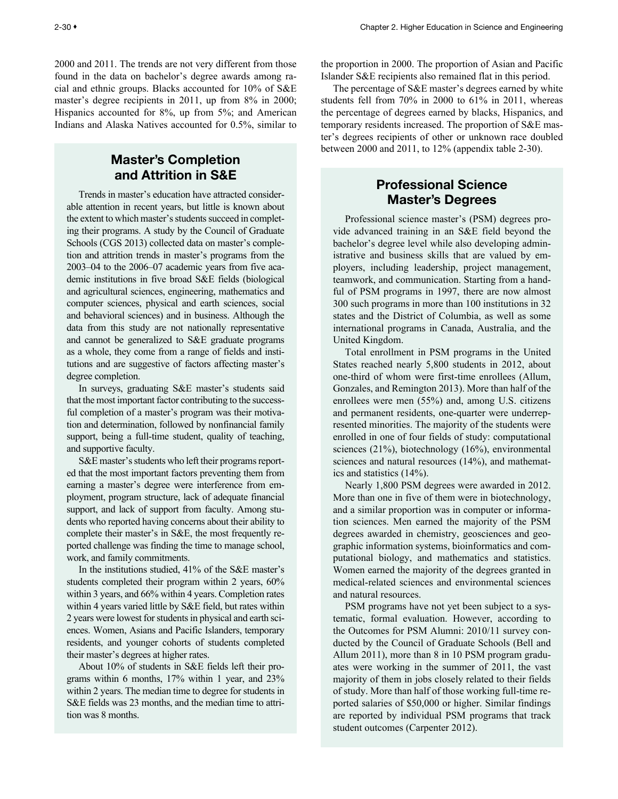<span id="page-29-0"></span>2000 and 2011. The trends are not very different from those found in the data on bachelor's degree awards among racial and ethnic groups. Blacks accounted for 10% of S&E master's degree recipients in 2011, up from 8% in 2000; Hispanics accounted for 8%, up from 5%; and American Indians and Alaska Natives accounted for 0.5%, similar to

# Master's Completion and Attrition in S&E

Trends in master's education have attracted considerable attention in recent years, but little is known about the extent to which master's students succeed in completing their programs. A study by the Council of Graduate Schools (CGS 2013) collected data on master's completion and attrition trends in master's programs from the 2003–04 to the 2006–07 academic years from five academic institutions in five broad S&E fields (biological and agricultural sciences, engineering, mathematics and computer sciences, physical and earth sciences, social and behavioral sciences) and in business. Although the data from this study are not nationally representative and cannot be generalized to S&E graduate programs as a whole, they come from a range of fields and institutions and are suggestive of factors affecting master's degree completion.

In surveys, graduating S&E master's students said that the most important factor contributing to the successful completion of a master's program was their motivation and determination, followed by nonfinancial family support, being a full-time student, quality of teaching, and supportive faculty.

S&E master's students who left their programs reported that the most important factors preventing them from earning a master's degree were interference from employment, program structure, lack of adequate financial support, and lack of support from faculty. Among students who reported having concerns about their ability to complete their master's in S&E, the most frequently reported challenge was finding the time to manage school, work, and family commitments.

In the institutions studied, 41% of the S&E master's students completed their program within 2 years, 60% within 3 years, and 66% within 4 years. Completion rates within 4 years varied little by S&E field, but rates within 2 years were lowest for students in physical and earth sciences. Women, Asians and Pacific Islanders, temporary residents, and younger cohorts of students completed their master's degrees at higher rates.

About 10% of students in S&E fields left their programs within 6 months, 17% within 1 year, and 23% within 2 years. The median time to degree for students in S&E fields was 23 months, and the median time to attrition was 8 months.

the proportion in 2000. The proportion of Asian and Pacific Islander S&E recipients also remained flat in this period.

The percentage of S&E master's degrees earned by white students fell from 70% in 2000 to 61% in 2011, whereas the percentage of degrees earned by blacks, Hispanics, and temporary residents increased. The proportion of S&E master's degrees recipients of other or unknown race doubled between 2000 and 2011, to 12% (appendix table 2-30).

# Professional Science Master's Degrees

Professional science master's (PSM) degrees provide advanced training in an S&E field beyond the bachelor's degree level while also developing administrative and business skills that are valued by employers, including leadership, project management, teamwork, and communication. Starting from a handful of PSM programs in 1997, there are now almost 300 such programs in more than 100 institutions in 32 states and the District of Columbia, as well as some international programs in Canada, Australia, and the United Kingdom.

Total enrollment in PSM programs in the United States reached nearly 5,800 students in 2012, about one-third of whom were first-time enrollees (Allum, Gonzales, and Remington 2013). More than half of the enrollees were men (55%) and, among U.S. citizens and permanent residents, one-quarter were underrepresented minorities. The majority of the students were enrolled in one of four fields of study: computational sciences (21%), biotechnology (16%), environmental sciences and natural resources (14%), and mathematics and statistics (14%).

Nearly 1,800 PSM degrees were awarded in 2012. More than one in five of them were in biotechnology, and a similar proportion was in computer or information sciences. Men earned the majority of the PSM degrees awarded in chemistry, geosciences and geographic information systems, bioinformatics and computational biology, and mathematics and statistics. Women earned the majority of the degrees granted in medical-related sciences and environmental sciences and natural resources.

PSM programs have not yet been subject to a systematic, formal evaluation. However, according to the Outcomes for PSM Alumni: 2010/11 survey conducted by the Council of Graduate Schools (Bell and Allum 2011), more than 8 in 10 PSM program graduates were working in the summer of 2011, the vast majority of them in jobs closely related to their fields of study. More than half of those working full-time reported salaries of \$50,000 or higher. Similar findings are reported by individual PSM programs that track student outcomes (Carpenter 2012).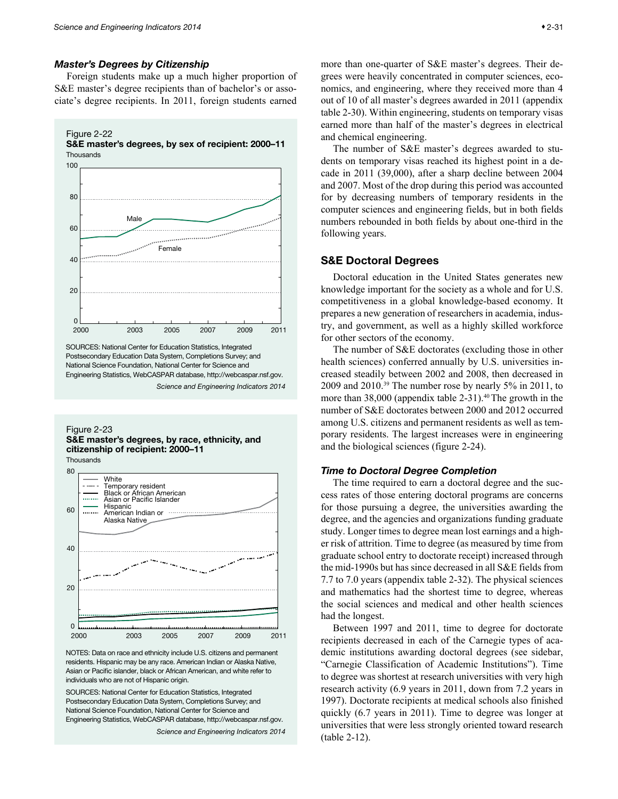#### <span id="page-30-0"></span>*Master's Degrees by Citizenship*

Foreign students make up a much higher proportion of S&E master's degree recipients than of bachelor's or associate's degree recipients. In 2011, foreign students earned

Figure 2-22





SOURCES: National Center for Education Statistics, Integrated Postsecondary Education Data System, Completions Survey; and National Science Foundation, National Center for Science and Engineering Statistics, WebCASPAR database, http://webcaspar.nsf.gov. *Science and Engineering Indicators 2014*

#### Figure 2-23 S&E master's degrees, by race, ethnicity, and citizenship of recipient: 2000–11

**Thousands** 



NOTES: Data on race and ethnicity include U.S. citizens and permanent residents. Hispanic may be any race. American Indian or Alaska Native, Asian or Pacific islander, black or African American, and white refer to individuals who are not of Hispanic origin.

SOURCES: National Center for Education Statistics, Integrated Postsecondary Education Data System, Completions Survey; and National Science Foundation, National Center for Science and Engineering Statistics, WebCASPAR database, http://webcaspar.nsf.gov.

*Science and Engineering Indicators 2014*

more than one-quarter of S&E master's degrees. Their degrees were heavily concentrated in computer sciences, economics, and engineering, where they received more than 4 out of 10 of all master's degrees awarded in 2011 (appendix table 2-30). Within engineering, students on temporary visas earned more than half of the master's degrees in electrical and chemical engineering.

The number of S&E master's degrees awarded to students on temporary visas reached its highest point in a decade in 2011 (39,000), after a sharp decline between 2004 and 2007. Most of the drop during this period was accounted for by decreasing numbers of temporary residents in the computer sciences and engineering fields, but in both fields numbers rebounded in both fields by about one-third in the following years.

## S&E Doctoral Degrees

Doctoral education in the United States generates new knowledge important for the society as a whole and for U.S. competitiveness in a global knowledge-based economy. It prepares a new generation of researchers in academia, industry, and government, as well as a highly skilled workforce for other sectors of the economy.

The number of S&E doctorates (excluding those in other health sciences) conferred annually by U.S. universities increased steadily between 2002 and 2008, then decreased in 2009 and 2010.39 The number rose by nearly 5% in 2011, to more than 38,000 (appendix table 2-31).<sup>40</sup> The growth in the number of S&E doctorates between 2000 and 2012 occurred among U.S. citizens and permanent residents as well as temporary residents. The largest increases were in engineering and the biological sciences (figure 2-24).

## *Time to Doctoral Degree Completion*

The time required to earn a doctoral degree and the success rates of those entering doctoral programs are concerns for those pursuing a degree, the universities awarding the degree, and the agencies and organizations funding graduate study. Longer times to degree mean lost earnings and a higher risk of attrition. Time to degree (as measured by time from graduate school entry to doctorate receipt) increased through the mid-1990s but has since decreased in all S&E fields from 7.7 to 7.0 years (appendix table 2-32). The physical sciences and mathematics had the shortest time to degree, whereas the social sciences and medical and other health sciences had the longest.

Between 1997 and 2011, time to degree for doctorate recipients decreased in each of the Carnegie types of academic institutions awarding doctoral degrees (see sidebar, "Carnegie Classification of Academic Institutions"). Time to degree was shortest at research universities with very high research activity (6.9 years in 2011, down from 7.2 years in 1997). Doctorate recipients at medical schools also finished quickly (6.7 years in 2011). Time to degree was longer at universities that were less strongly oriented toward research (table 2-12).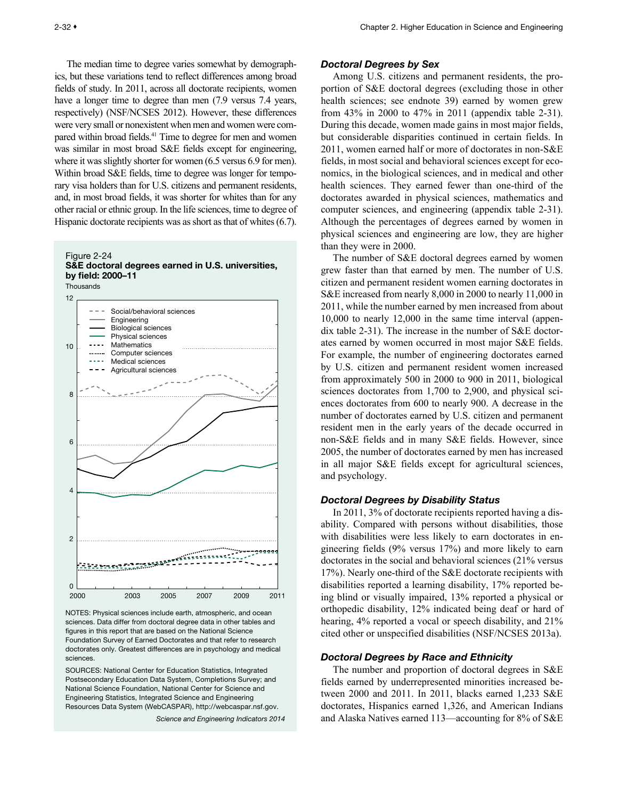<span id="page-31-0"></span>The median time to degree varies somewhat by demographics, but these variations tend to reflect differences among broad fields of study. In 2011, across all doctorate recipients, women have a longer time to degree than men  $(7.9 \text{ versus } 7.4 \text{ years})$ respectively) (NSF/NCSES 2012). However, these differences were very small or nonexistent when men and women were compared within broad fields.<sup>41</sup> Time to degree for men and women was similar in most broad S&E fields except for engineering, where it was slightly shorter for women (6.5 versus 6.9 for men). Within broad S&E fields, time to degree was longer for temporary visa holders than for U.S. citizens and permanent residents, and, in most broad fields, it was shorter for whites than for any other racial or ethnic group. In the life sciences, time to degree of Hispanic doctorate recipients was as short as that of whites (6.7).





NOTES: Physical sciences include earth, atmospheric, and ocean sciences. Data differ from doctoral degree data in other tables and figures in this report that are based on the National Science Foundation Survey of Earned Doctorates and that refer to research doctorates only. Greatest differences are in psychology and medical sciences.

SOURCES: National Center for Education Statistics, Integrated Postsecondary Education Data System, Completions Survey; and National Science Foundation, National Center for Science and Engineering Statistics, Integrated Science and Engineering Resources Data System (WebCASPAR), http://webcaspar.nsf.gov.

*Science and Engineering Indicators 2014*

#### *Doctoral Degrees by Sex*

Among U.S. citizens and permanent residents, the proportion of S&E doctoral degrees (excluding those in other health sciences; see endnote 39) earned by women grew from 43% in 2000 to 47% in 2011 (appendix table 2-31). During this decade, women made gains in most major fields, but considerable disparities continued in certain fields. In 2011, women earned half or more of doctorates in non-S&E fields, in most social and behavioral sciences except for economics, in the biological sciences, and in medical and other health sciences. They earned fewer than one-third of the doctorates awarded in physical sciences, mathematics and computer sciences, and engineering (appendix table 2-31). Although the percentages of degrees earned by women in physical sciences and engineering are low, they are higher than they were in 2000.

The number of S&E doctoral degrees earned by women grew faster than that earned by men. The number of U.S. citizen and permanent resident women earning doctorates in S&E increased from nearly 8,000 in 2000 to nearly 11,000 in 2011, while the number earned by men increased from about 10,000 to nearly 12,000 in the same time interval (appendix table 2-31). The increase in the number of S&E doctorates earned by women occurred in most major S&E fields. For example, the number of engineering doctorates earned by U.S. citizen and permanent resident women increased from approximately 500 in 2000 to 900 in 2011, biological sciences doctorates from 1,700 to 2,900, and physical sciences doctorates from 600 to nearly 900. A decrease in the number of doctorates earned by U.S. citizen and permanent resident men in the early years of the decade occurred in non-S&E fields and in many S&E fields. However, since 2005, the number of doctorates earned by men has increased in all major S&E fields except for agricultural sciences, and psychology.

#### *Doctoral Degrees by Disability Status*

In 2011, 3% of doctorate recipients reported having a disability. Compared with persons without disabilities, those with disabilities were less likely to earn doctorates in engineering fields (9% versus 17%) and more likely to earn doctorates in the social and behavioral sciences (21% versus 17%). Nearly one-third of the S&E doctorate recipients with disabilities reported a learning disability, 17% reported being blind or visually impaired, 13% reported a physical or orthopedic disability, 12% indicated being deaf or hard of hearing, 4% reported a vocal or speech disability, and 21% cited other or unspecified disabilities (NSF/NCSES 2013a).

## *Doctoral Degrees by Race and Ethnicity*

The number and proportion of doctoral degrees in S&E fields earned by underrepresented minorities increased between 2000 and 2011. In 2011, blacks earned 1,233 S&E doctorates, Hispanics earned 1,326, and American Indians and Alaska Natives earned 113—accounting for 8% of S&E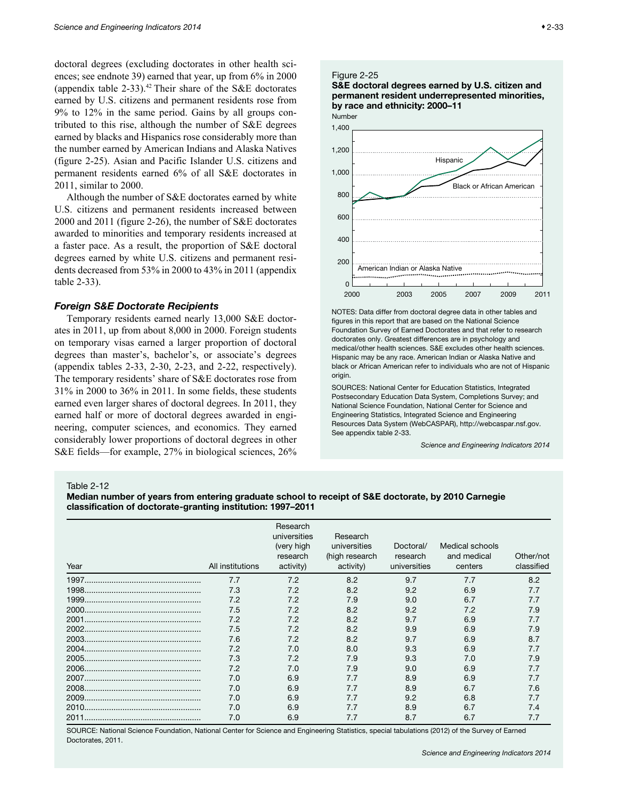<span id="page-32-0"></span>doctoral degrees (excluding doctorates in other health sciences; see endnote 39) earned that year, up from 6% in 2000 (appendix table 2-33).<sup>42</sup> Their share of the S&E doctorates earned by U.S. citizens and permanent residents rose from 9% to 12% in the same period. Gains by all groups contributed to this rise, although the number of S&E degrees earned by blacks and Hispanics rose considerably more than the number earned by American Indians and Alaska Natives (figure 2-25). Asian and Pacific Islander U.S. citizens and permanent residents earned 6% of all S&E doctorates in 2011, similar to 2000.

Although the number of S&E doctorates earned by white U.S. citizens and permanent residents increased between 2000 and 2011 (figure 2-26), the number of S&E doctorates awarded to minorities and temporary residents increased at a faster pace. As a result, the proportion of S&E doctoral degrees earned by white U.S. citizens and permanent residents decreased from 53% in 2000 to 43% in 2011 (appendix table 2-33).

#### *Foreign S&E Doctorate Recipients*

Temporary residents earned nearly 13,000 S&E doctorates in 2011, up from about 8,000 in 2000. Foreign students on temporary visas earned a larger proportion of doctoral degrees than master's, bachelor's, or associate's degrees (appendix tables 2-33, 2-30, 2-23, and 2-22, respectively). The temporary residents' share of S&E doctorates rose from 31% in 2000 to 36% in 2011. In some fields, these students earned even larger shares of doctoral degrees. In 2011, they earned half or more of doctoral degrees awarded in engineering, computer sciences, and economics. They earned considerably lower proportions of doctoral degrees in other S&E fields—for example, 27% in biological sciences, 26%

#### Figure 2-25





NOTES: Data differ from doctoral degree data in other tables and figures in this report that are based on the National Science Foundation Survey of Earned Doctorates and that refer to research doctorates only. Greatest differences are in psychology and medical/other health sciences. S&E excludes other health sciences. Hispanic may be any race. American Indian or Alaska Native and black or African American refer to individuals who are not of Hispanic origin.

SOURCES: National Center for Education Statistics, Integrated Postsecondary Education Data System, Completions Survey; and National Science Foundation, National Center for Science and Engineering Statistics, Integrated Science and Engineering Resources Data System (WebCASPAR), http://webcaspar.nsf.gov. See appendix table 2-33.

*Science and Engineering Indicators 2014*

Table 2-12

Median number of years from entering graduate school to receipt of S&E doctorate, by 2010 Carnegie classification of doctorate-granting institution: 1997–2011

| Year  | All institutions | Research<br>universities<br>(very high<br>research<br>activity) | Research<br>universities<br>(high research<br>activity) | Doctoral/<br>research<br>universities | Medical schools<br>and medical<br>centers | Other/not<br>classified |
|-------|------------------|-----------------------------------------------------------------|---------------------------------------------------------|---------------------------------------|-------------------------------------------|-------------------------|
|       | 7.7              | 7.2                                                             | 8.2                                                     | 9.7                                   | 7.7                                       | 8.2                     |
|       | 7.3              | 7.2                                                             | 8.2                                                     | 9.2                                   | 6.9                                       | 7.7                     |
|       | 7.2              | 7.2                                                             | 7.9                                                     | 9.0                                   | 6.7                                       | 7.7                     |
|       | 7.5              | 7.2                                                             | 8.2                                                     | 9.2                                   | 7.2                                       | 7.9                     |
| 2001. | 7.2              | 7.2                                                             | 8.2                                                     | 9.7                                   | 6.9                                       | 7.7                     |
|       | 7.5              | 7.2                                                             | 8.2                                                     | 9.9                                   | 6.9                                       | 7.9                     |
|       | 7.6              | 7.2                                                             | 8.2                                                     | 9.7                                   | 6.9                                       | 8.7                     |
|       | 7.2              | 7.0                                                             | 8.0                                                     | 9.3                                   | 6.9                                       | 7.7                     |
|       | 7.3              | 7.2                                                             | 7.9                                                     | 9.3                                   | 7.0                                       | 7.9                     |
|       | 7.2              | 7.0                                                             | 7.9                                                     | 9.0                                   | 6.9                                       | 7.7                     |
|       | 7.0              | 6.9                                                             | 7.7                                                     | 8.9                                   | 6.9                                       | 7.7                     |
|       | 7.0              | 6.9                                                             | 7.7                                                     | 8.9                                   | 6.7                                       | 7.6                     |
| 2009. | 7.0              | 6.9                                                             | 7.7                                                     | 9.2                                   | 6.8                                       | 7.7                     |
|       | 7.0              | 6.9                                                             | 7.7                                                     | 8.9                                   | 6.7                                       | 74                      |
|       | 7.0              | 6.9                                                             | 7.7                                                     | 8.7                                   | 6.7                                       | 7.7                     |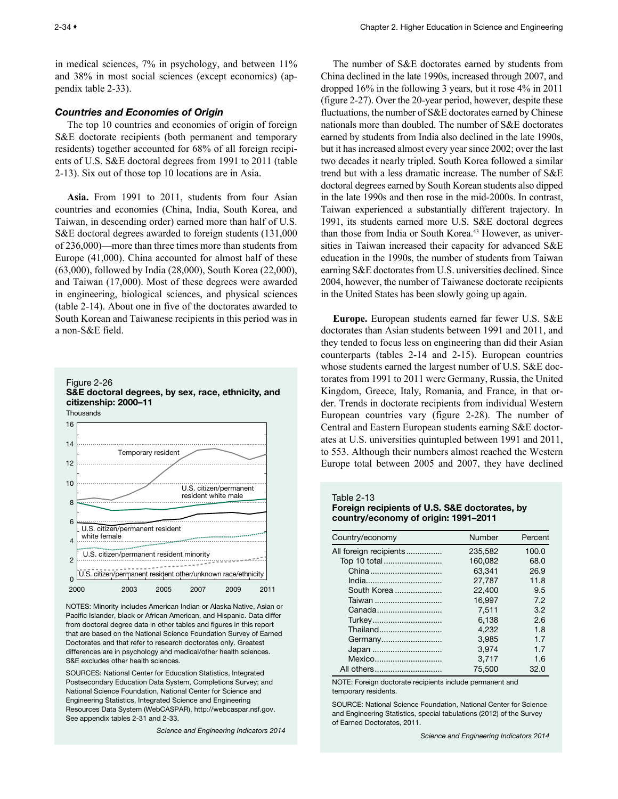<span id="page-33-0"></span>in medical sciences, 7% in psychology, and between 11% and 38% in most social sciences (except economics) (appendix table 2-33).

## *Countries and Economies of Origin*

The top 10 countries and economies of origin of foreign S&E doctorate recipients (both permanent and temporary residents) together accounted for 68% of all foreign recipients of U.S. S&E doctoral degrees from 1991 to 2011 (table 2-13). Six out of those top 10 locations are in Asia.

**Asia.** From 1991 to 2011, students from four Asian countries and economies (China, India, South Korea, and Taiwan, in descending order) earned more than half of U.S. S&E doctoral degrees awarded to foreign students (131,000 of 236,000)—more than three times more than students from Europe (41,000). China accounted for almost half of these (63,000), followed by India (28,000), South Korea (22,000), and Taiwan (17,000). Most of these degrees were awarded in engineering, biological sciences, and physical sciences (table 2-14). About one in five of the doctorates awarded to South Korean and Taiwanese recipients in this period was in a non-S&E field.



NOTES: Minority includes American Indian or Alaska Native, Asian or Pacific Islander, black or African American, and Hispanic, Data differ from doctoral degree data in other tables and figures in this report that are based on the National Science Foundation Survey of Earned Doctorates and that refer to research doctorates only. Greatest differences are in psychology and medical/other health sciences. S&E excludes other health sciences.

SOURCES: National Center for Education Statistics, Integrated Postsecondary Education Data System, Completions Survey; and National Science Foundation, National Center for Science and Engineering Statistics, Integrated Science and Engineering Resources Data System (WebCASPAR), http://webcaspar.nsf.gov. See appendix tables 2-31 and 2-33.

*Science and Engineering Indicators 2014*

The number of S&E doctorates earned by students from China declined in the late 1990s, increased through 2007, and dropped 16% in the following 3 years, but it rose 4% in 2011 (figure 2-27). Over the 20-year period, however, despite these fluctuations, the number of S&E doctorates earned by Chinese nationals more than doubled. The number of S&E doctorates earned by students from India also declined in the late 1990s, but it has increased almost every year since 2002; over the last two decades it nearly tripled. South Korea followed a similar trend but with a less dramatic increase. The number of S&E doctoral degrees earned by South Korean students also dipped in the late 1990s and then rose in the mid-2000s. In contrast, Taiwan experienced a substantially different trajectory. In 1991, its students earned more U.S. S&E doctoral degrees than those from India or South Korea.<sup>43</sup> However, as universities in Taiwan increased their capacity for advanced S&E education in the 1990s, the number of students from Taiwan earning S&E doctorates from U.S. universities declined. Since 2004, however, the number of Taiwanese doctorate recipients in the United States has been slowly going up again.

**Europe.** European students earned far fewer U.S. S&E doctorates than Asian students between 1991 and 2011, and they tended to focus less on engineering than did their Asian counterparts (tables 2-14 and 2-15). European countries whose students earned the largest number of U.S. S&E doctorates from 1991 to 2011 were Germany, Russia, the United Kingdom, Greece, Italy, Romania, and France, in that order. Trends in doctorate recipients from individual Western European countries vary (figure 2-28). The number of Central and Eastern European students earning S&E doctorates at U.S. universities quintupled between 1991 and 2011, to 553. Although their numbers almost reached the Western Europe total between 2005 and 2007, they have declined

#### Table 2-13

Foreign recipients of U.S. S&E doctorates, by country/economy of origin: 1991–2011

| Country/economy        | Number  | Percent |
|------------------------|---------|---------|
| All foreign recipients | 235.582 | 100.0   |
| Top 10 total           | 160.082 | 68.0    |
|                        | 63.341  | 26.9    |
|                        | 27.787  | 11.8    |
| South Korea            | 22,400  | 9.5     |
| Taiwan                 | 16.997  | 7.2     |
| Canada                 | 7.511   | 3.2     |
| Turkey                 | 6.138   | 2.6     |
| Thailand               | 4.232   | 1.8     |
| Germany                | 3.985   | 1.7     |
| Japan                  | 3.974   | 1.7     |
| Mexico                 | 3.717   | 1.6     |
| All others             | 75,500  | 32.0    |

NOTE: Foreign doctorate recipients include permanent and temporary residents.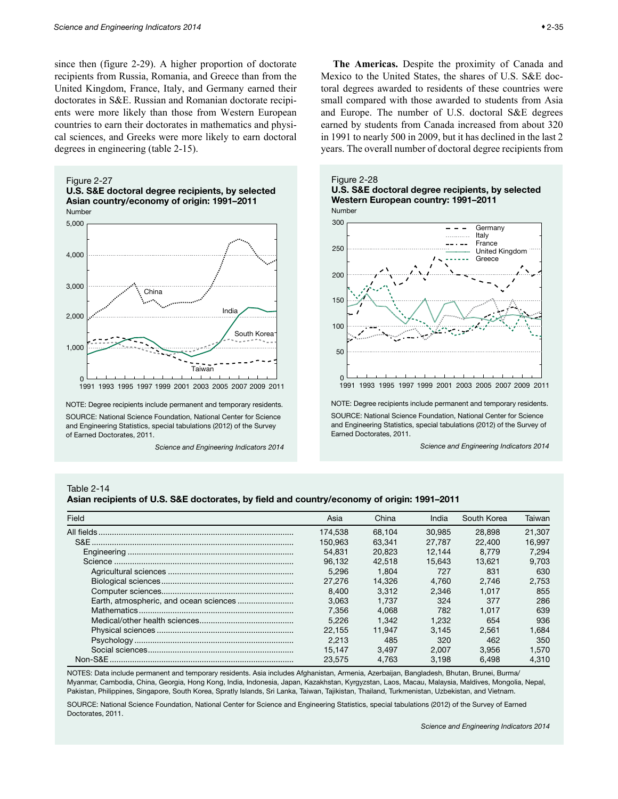<span id="page-34-0"></span>since then (figure 2-29). A higher proportion of doctorate recipients from Russia, Romania, and Greece than from the United Kingdom, France, Italy, and Germany earned their doctorates in S&E. Russian and Romanian doctorate recipients were more likely than those from Western European countries to earn their doctorates in mathematics and physical sciences, and Greeks were more likely to earn doctoral degrees in engineering (table 2-15).









NOTE: Degree recipients include permanent and temporary residents. SOURCE: National Science Foundation, National Center for Science and Engineering Statistics, special tabulations (2012) of the Survey of Earned Doctorates, 2011.

*Science and Engineering Indicators 2014*

**The Americas.** Despite the proximity of Canada and Mexico to the United States, the shares of U.S. S&E doctoral degrees awarded to residents of these countries were small compared with those awarded to students from Asia and Europe. The number of U.S. doctoral S&E degrees earned by students from Canada increased from about 320 in 1991 to nearly 500 in 2009, but it has declined in the last 2 years. The overall number of doctoral degree recipients from





NOTE: Degree recipients include permanent and temporary residents. SOURCE: National Science Foundation, National Center for Science and Engineering Statistics, special tabulations (2012) of the Survey of Earned Doctorates, 2011.

*Science and Engineering Indicators 2014*

#### Table 2-14

Asian recipients of U.S. S&E doctorates, by field and country/economy of origin: 1991–2011

| Field | Asia    | China  | India  | South Korea | Taiwan |
|-------|---------|--------|--------|-------------|--------|
|       | 174.538 | 68.104 | 30.985 | 28,898      | 21.307 |
|       | 150.963 | 63.341 | 27.787 | 22,400      | 16.997 |
|       | 54.831  | 20.823 | 12.144 | 8.779       | 7.294  |
|       | 96.132  | 42.518 | 15.643 | 13.621      | 9.703  |
|       | 5.296   | 1.804  | 727    | 831         | 630    |
|       | 27,276  | 14.326 | 4.760  | 2.746       | 2.753  |
|       | 8.400   | 3.312  | 2.346  | 1.017       | 855    |
|       | 3.063   | 1.737  | 324    | 377         | 286    |
|       | 7.356   | 4.068  | 782    | 1.017       | 639    |
|       | 5.226   | 1.342  | 1.232  | 654         | 936    |
|       | 22.155  | 11.947 | 3.145  | 2.561       | 1.684  |
|       | 2.213   | 485    | 320    | 462         | 350    |
|       | 15.147  | 3.497  | 2.007  | 3.956       | 1.570  |
|       | 23.575  | 4.763  | 3.198  | 6.498       | 4.310  |

NOTES: Data include permanent and temporary residents. Asia includes Afghanistan, Armenia, Azerbaijan, Bangladesh, Bhutan, Brunei, Burma/ Myanmar, Cambodia, China, Georgia, Hong Kong, India, Indonesia, Japan, Kazakhstan, Kyrgyzstan, Laos, Macau, Malaysia, Maldives, Mongolia, Nepal, Pakistan, Philippines, Singapore, South Korea, Spratly Islands, Sri Lanka, Taiwan, Tajikistan, Thailand, Turkmenistan, Uzbekistan, and Vietnam.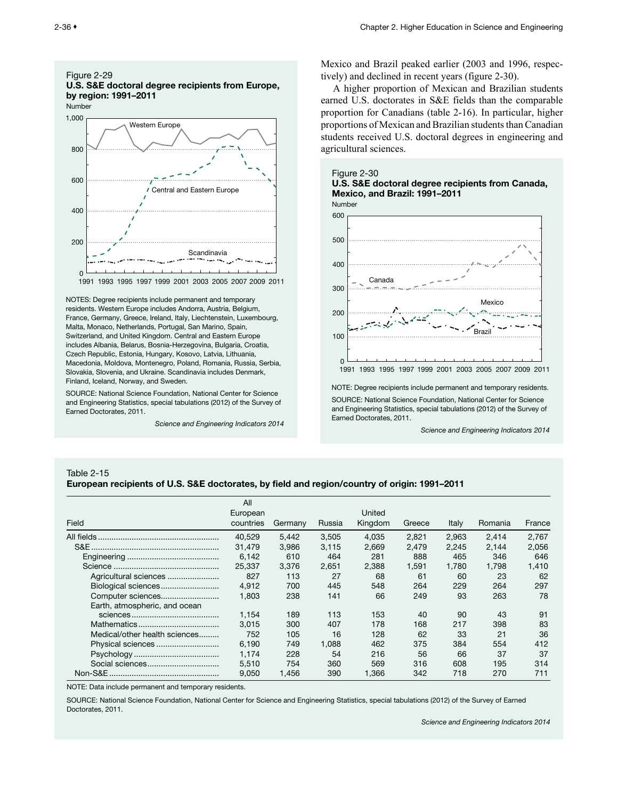<span id="page-35-0"></span>

NOTES: Degree recipients include permanent and temporary residents. Western Europe includes Andorra, Austria, Belgium, France, Germany, Greece, Ireland, Italy, Liechtenstein, Luxembourg, Malta, Monaco, Netherlands, Portugal, San Marino, Spain, Switzerland, and United Kingdom. Central and Eastern Europe includes Albania, Belarus, Bosnia-Herzegovina, Bulgaria, Croatia, Czech Republic, Estonia, Hungary, Kosovo, Latvia, Lithuania, Macedonia, Moldova, Montenegro, Poland, Romania, Russia, Serbia, Slovakia, Slovenia, and Ukraine. Scandinavia includes Denmark, Finland, Iceland, Norway, and Sweden.

SOURCE: National Science Foundation, National Center for Science and Engineering Statistics, special tabulations (2012) of the Survey of Earned Doctorates, 2011.

*Science and Engineering Indicators 2014*

Mexico and Brazil peaked earlier (2003 and 1996, respectively) and declined in recent years (figure 2-30).

A higher proportion of Mexican and Brazilian students earned U.S. doctorates in S&E fields than the comparable proportion for Canadians (table 2-16). In particular, higher proportions of Mexican and Brazilian students than Canadian students received U.S. doctoral degrees in engineering and agricultural sciences.





NOTE: Degree recipients include permanent and temporary residents. SOURCE: National Science Foundation, National Center for Science and Engineering Statistics, special tabulations (2012) of the Survey of Earned Doctorates, 2011.

*Science and Engineering Indicators 2014*

#### Table 2-15

#### European recipients of U.S. S&E doctorates, by field and region/country of origin: 1991–2011

|                               | All<br>European |         |        | United  |        |       |         |        |
|-------------------------------|-----------------|---------|--------|---------|--------|-------|---------|--------|
| Field                         | countries       | Germany | Russia | Kingdom | Greece | Italy | Romania | France |
|                               | 40.529          | 5.442   | 3.505  | 4.035   | 2.821  | 2.963 | 2.414   | 2.767  |
|                               | 31.479          | 3.986   | 3.115  | 2.669   | 2.479  | 2.245 | 2.144   | 2.056  |
|                               | 6.142           | 610     | 464    | 281     | 888    | 465   | 346     | 646    |
|                               | 25,337          | 3.376   | 2.651  | 2.388   | 1.591  | 1.780 | 1.798   | 1.410  |
| Agricultural sciences         | 827             | 113     | 27     | 68      | 61     | 60    | 23      | 62     |
| Biological sciences           | 4.912           | 700     | 445    | 548     | 264    | 229   | 264     | 297    |
| Computer sciences             | 1.803           | 238     | 141    | 66      | 249    | 93    | 263     | 78     |
| Earth, atmospheric, and ocean |                 |         |        |         |        |       |         |        |
|                               | 1.154           | 189     | 113    | 153     | 40     | 90    | 43      | 91     |
|                               | 3.015           | 300     | 407    | 178     | 168    | 217   | 398     | 83     |
| Medical/other health sciences | 752             | 105     | 16     | 128     | 62     | 33    | 21      | 36     |
|                               | 6.190           | 749     | 1.088  | 462     | 375    | 384   | 554     | 412    |
|                               | 1,174           | 228     | 54     | 216     | 56     | 66    | 37      | 37     |
|                               | 5.510           | 754     | 360    | 569     | 316    | 608   | 195     | 314    |
|                               | 9.050           | 1.456   | 390    | 1,366   | 342    | 718   | 270     | 711    |

NOTE: Data include permanent and temporary residents.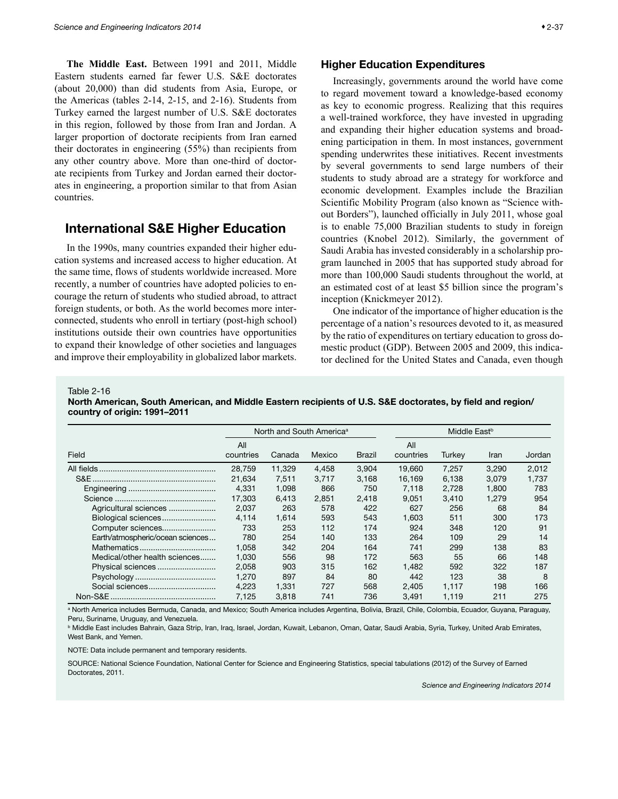<span id="page-36-0"></span>**The Middle East.** Between 1991 and 2011, Middle Eastern students earned far fewer U.S. S&E doctorates (about 20,000) than did students from Asia, Europe, or the Americas (tables 2-14, 2-15, and 2-16). Students from Turkey earned the largest number of U.S. S&E doctorates in this region, followed by those from Iran and Jordan. A larger proportion of doctorate recipients from Iran earned their doctorates in engineering (55%) than recipients from any other country above. More than one-third of doctorate recipients from Turkey and Jordan earned their doctorates in engineering, a proportion similar to that from Asian countries.

## International S&E Higher Education

In the 1990s, many countries expanded their higher education systems and increased access to higher education. At the same time, flows of students worldwide increased. More recently, a number of countries have adopted policies to encourage the return of students who studied abroad, to attract foreign students, or both. As the world becomes more interconnected, students who enroll in tertiary (post-high school) institutions outside their own countries have opportunities to expand their knowledge of other societies and languages and improve their employability in globalized labor markets.

#### Higher Education Expenditures

Increasingly, governments around the world have come to regard movement toward a knowledge-based economy as key to economic progress. Realizing that this requires a well-trained workforce, they have invested in upgrading and expanding their higher education systems and broadening participation in them. In most instances, government spending underwrites these initiatives. Recent investments by several governments to send large numbers of their students to study abroad are a strategy for workforce and economic development. Examples include the Brazilian Scientific Mobility Program (also known as "Science without Borders"), launched officially in July 2011, whose goal is to enable 75,000 Brazilian students to study in foreign countries (Knobel 2012). Similarly, the government of Saudi Arabia has invested considerably in a scholarship program launched in 2005 that has supported study abroad for more than 100,000 Saudi students throughout the world, at an estimated cost of at least \$5 billion since the program's inception (Knickmeyer 2012).

One indicator of the importance of higher education is the percentage of a nation's resources devoted to it, as measured by the ratio of expenditures on tertiary education to gross domestic product (GDP). Between 2005 and 2009, this indicator declined for the United States and Canada, even though

Table 2-16

North American, South American, and Middle Eastern recipients of U.S. S&E doctorates, by field and region/ country of origin: 1991–2011

|                                  |                  | North and South America <sup>a</sup> |        |        |                  | Middle East <sup>b</sup> |       |        |  |
|----------------------------------|------------------|--------------------------------------|--------|--------|------------------|--------------------------|-------|--------|--|
| Field                            | All<br>countries | Canada                               | Mexico | Brazil | All<br>countries | Turkey                   | Iran  | Jordan |  |
|                                  | 28.759           | 11,329                               | 4,458  | 3,904  | 19.660           | 7.257                    | 3,290 | 2,012  |  |
|                                  | 21,634           | 7.511                                | 3.717  | 3.168  | 16,169           | 6.138                    | 3.079 | 1.737  |  |
|                                  | 4,331            | 1,098                                | 866    | 750    | 7.118            | 2.728                    | 1.800 | 783    |  |
|                                  | 17,303           | 6.413                                | 2.851  | 2,418  | 9,051            | 3.410                    | 1.279 | 954    |  |
| Agricultural sciences            | 2,037            | 263                                  | 578    | 422    | 627              | 256                      | 68    | 84     |  |
| Biological sciences              | 4.114            | 1.614                                | 593    | 543    | 1.603            | 511                      | 300   | 173    |  |
| Computer sciences                | 733              | 253                                  | 112    | 174    | 924              | 348                      | 120   | 91     |  |
| Earth/atmospheric/ocean sciences | 780              | 254                                  | 140    | 133    | 264              | 109                      | 29    | 14     |  |
|                                  | 1.058            | 342                                  | 204    | 164    | 741              | 299                      | 138   | 83     |  |
| Medical/other health sciences    | 1.030            | 556                                  | 98     | 172    | 563              | 55                       | 66    | 148    |  |
| Physical sciences                | 2.058            | 903                                  | 315    | 162    | 1.482            | 592                      | 322   | 187    |  |
|                                  | 1.270            | 897                                  | 84     | 80     | 442              | 123                      | 38    | 8      |  |
|                                  | 4.223            | 1.331                                | 727    | 568    | 2.405            | 1.117                    | 198   | 166    |  |
|                                  | 7.125            | 3.818                                | 741    | 736    | 3.491            | 1.119                    | 211   | 275    |  |

a North America includes Bermuda, Canada, and Mexico; South America includes Argentina, Bolivia, Brazil, Chile, Colombia, Ecuador, Guyana, Paraguay, Peru, Suriname, Uruguay, and Venezuela.

**b Middle East includes Bahrain, Gaza Strip, Iran, Iraq, Israel, Jordan, Kuwait, Lebanon, Oman, Qatar, Saudi Arabia, Syria, Turkey, United Arab Emirates,** West Bank, and Yemen.

NOTE: Data include permanent and temporary residents.

SOURCE: National Science Foundation, National Center for Science and Engineering Statistics, special tabulations (2012) of the Survey of Earned Doctorates, 2011.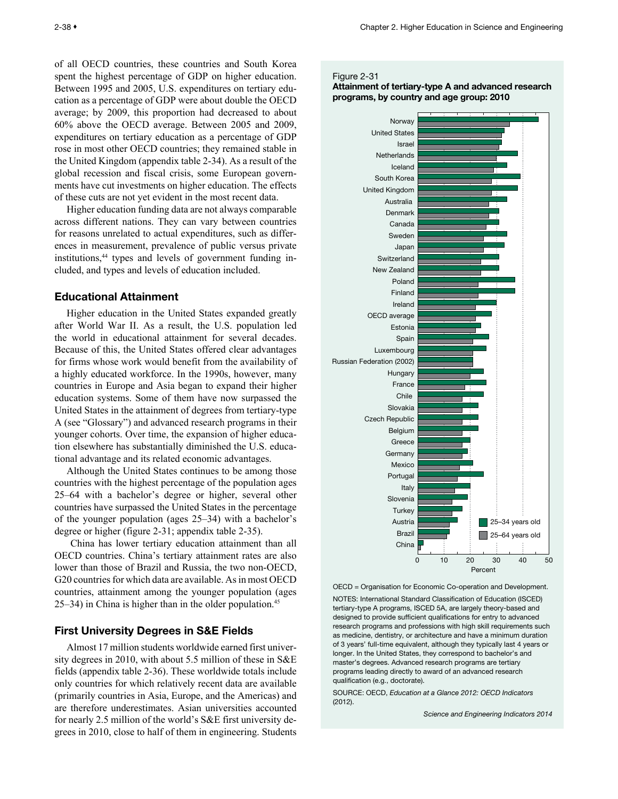<span id="page-37-0"></span>of all OECD countries, these countries and South Korea spent the highest percentage of GDP on higher education. Between 1995 and 2005, U.S. expenditures on tertiary education as a percentage of GDP were about double the OECD average; by 2009, this proportion had decreased to about 60% above the OECD average. Between 2005 and 2009, expenditures on tertiary education as a percentage of GDP rose in most other OECD countries; they remained stable in the United Kingdom (appendix table 2-34). As a result of the global recession and fiscal crisis, some European governments have cut investments on higher education. The effects of these cuts are not yet evident in the most recent data.

Higher education funding data are not always comparable across different nations. They can vary between countries for reasons unrelated to actual expenditures, such as differences in measurement, prevalence of public versus private institutions,<sup>44</sup> types and levels of government funding included, and types and levels of education included.

## Educational Attainment

Higher education in the United States expanded greatly after World War II. As a result, the U.S. population led the world in educational attainment for several decades. Because of this, the United States offered clear advantages for firms whose work would benefit from the availability of a highly educated workforce. In the 1990s, however, many countries in Europe and Asia began to expand their higher education systems. Some of them have now surpassed the United States in the attainment of degrees from tertiary-type A (see "Glossary") and advanced research programs in their younger cohorts. Over time, the expansion of higher education elsewhere has substantially diminished the U.S. educational advantage and its related economic advantages.

Although the United States continues to be among those countries with the highest percentage of the population ages 25–64 with a bachelor's degree or higher, several other countries have surpassed the United States in the percentage of the younger population (ages 25–34) with a bachelor's degree or higher (figure 2-31; appendix table 2-35).

 China has lower tertiary education attainment than all OECD countries. China's tertiary attainment rates are also lower than those of Brazil and Russia, the two non-OECD, G20 countries for which data are available. As in most OECD countries, attainment among the younger population (ages 25–34) in China is higher than in the older population.<sup>45</sup>

## First University Degrees in S&E Fields

Almost 17 million students worldwide earned first university degrees in 2010, with about 5.5 million of these in S&E fields (appendix table 2-36). These worldwide totals include only countries for which relatively recent data are available (primarily countries in Asia, Europe, and the Americas) and are therefore underestimates. Asian universities accounted for nearly 2.5 million of the world's S&E first university degrees in 2010, close to half of them in engineering. Students

#### Figure 2-31

## Attainment of tertiary-type A and advanced research programs, by country and age group: 2010



OECD = Organisation for Economic Co-operation and Development. NOTES: International Standard Classification of Education (ISCED) tertiary-type A programs, ISCED 5A, are largely theory-based and designed to provide sufficient qualifications for entry to advanced research programs and professions with high skill requirements such as medicine, dentistry, or architecture and have a minimum duration of 3 years' full-time equivalent, although they typically last 4 years or longer. In the United States, they correspond to bachelor's and master's degrees. Advanced research programs are tertiary programs leading directly to award of an advanced research qualification (e.g., doctorate).

SOURCE: OECD, *Education at a Glance 2012: OECD Indicators* (2012).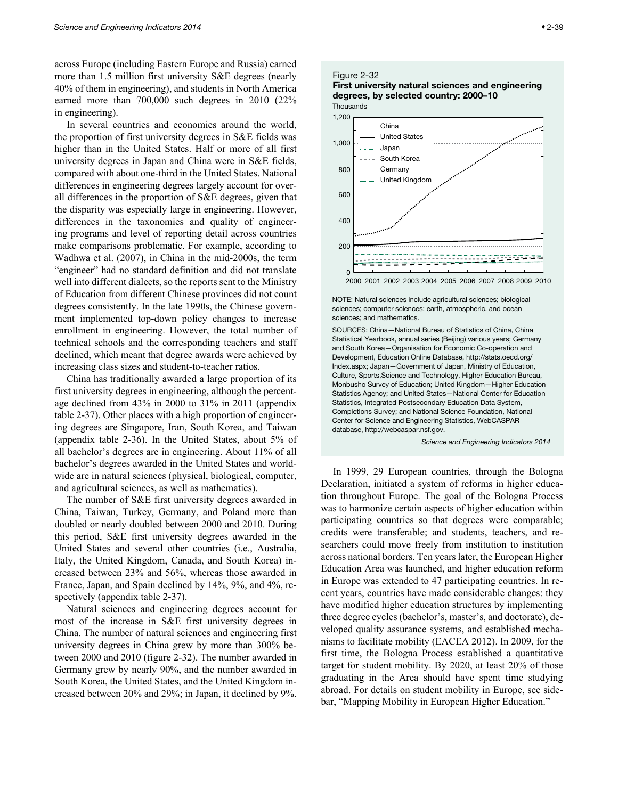<span id="page-38-0"></span>across Europe (including Eastern Europe and Russia) earned more than 1.5 million first university S&E degrees (nearly 40% of them in engineering), and students in North America earned more than 700,000 such degrees in 2010 (22% in engineering).

In several countries and economies around the world, the proportion of first university degrees in S&E fields was higher than in the United States. Half or more of all first university degrees in Japan and China were in S&E fields, compared with about one-third in the United States. National differences in engineering degrees largely account for overall differences in the proportion of S&E degrees, given that the disparity was especially large in engineering. However, differences in the taxonomies and quality of engineering programs and level of reporting detail across countries make comparisons problematic. For example, according to Wadhwa et al. (2007), in China in the mid-2000s, the term "engineer" had no standard definition and did not translate well into different dialects, so the reports sent to the Ministry of Education from different Chinese provinces did not count degrees consistently. In the late 1990s, the Chinese government implemented top-down policy changes to increase enrollment in engineering. However, the total number of technical schools and the corresponding teachers and staff declined, which meant that degree awards were achieved by increasing class sizes and student-to-teacher ratios.

China has traditionally awarded a large proportion of its first university degrees in engineering, although the percentage declined from 43% in 2000 to 31% in 2011 (appendix table 2-37). Other places with a high proportion of engineering degrees are Singapore, Iran, South Korea, and Taiwan (appendix table 2-36). In the United States, about 5% of all bachelor's degrees are in engineering. About 11% of all bachelor's degrees awarded in the United States and worldwide are in natural sciences (physical, biological, computer, and agricultural sciences, as well as mathematics).

The number of S&E first university degrees awarded in China, Taiwan, Turkey, Germany, and Poland more than doubled or nearly doubled between 2000 and 2010. During this period, S&E first university degrees awarded in the United States and several other countries (i.e., Australia, Italy, the United Kingdom, Canada, and South Korea) increased between 23% and 56%, whereas those awarded in France, Japan, and Spain declined by 14%, 9%, and 4%, respectively (appendix table 2-37).

Natural sciences and engineering degrees account for most of the increase in S&E first university degrees in China. The number of natural sciences and engineering first university degrees in China grew by more than 300% between 2000 and 2010 (figure 2-32). The number awarded in Germany grew by nearly 90%, and the number awarded in South Korea, the United States, and the United Kingdom increased between 20% and 29%; in Japan, it declined by 9%.

## Figure 2-32



**Thousands** 



NOTE: Natural sciences include agricultural sciences; biological sciences; computer sciences; earth, atmospheric, and ocean sciences; and mathematics.

SOURCES: China—National Bureau of Statistics of China, China Statistical Yearbook, annual series (Beijing) various years; Germany and South Korea—Organisation for Economic Co-operation and Development, Education Online Database, http://stats.oecd.org/ Index.aspx; Japan—Government of Japan, Ministry of Education, Culture, Sports,Science and Technology, Higher Education Bureau, Monbusho Survey of Education; United Kingdom—Higher Education Statistics Agency; and United States—National Center for Education Statistics, Integrated Postsecondary Education Data System, Completions Survey; and National Science Foundation, National Center for Science and Engineering Statistics, WebCASPAR database, http://webcaspar.nsf.gov.

*Science and Engineering Indicators 2014*

In 1999, 29 European countries, through the Bologna Declaration, initiated a system of reforms in higher education throughout Europe. The goal of the Bologna Process was to harmonize certain aspects of higher education within participating countries so that degrees were comparable; credits were transferable; and students, teachers, and researchers could move freely from institution to institution across national borders. Ten years later, the European Higher Education Area was launched, and higher education reform in Europe was extended to 47 participating countries. In recent years, countries have made considerable changes: they have modified higher education structures by implementing three degree cycles (bachelor's, master's, and doctorate), developed quality assurance systems, and established mechanisms to facilitate mobility (EACEA 2012). In 2009, for the first time, the Bologna Process established a quantitative target for student mobility. By 2020, at least 20% of those graduating in the Area should have spent time studying abroad. For details on student mobility in Europe, see sidebar, "Mapping Mobility in European Higher Education."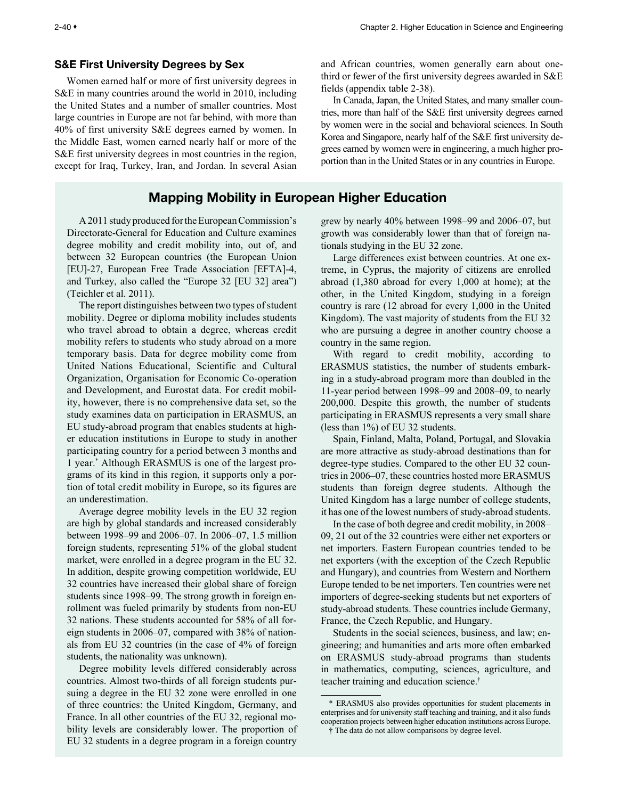## <span id="page-39-0"></span>S&E First University Degrees by Sex

Women earned half or more of first university degrees in S&E in many countries around the world in 2010, including the United States and a number of smaller countries. Most large countries in Europe are not far behind, with more than 40% of first university S&E degrees earned by women. In the Middle East, women earned nearly half or more of the S&E first university degrees in most countries in the region, except for Iraq, Turkey, Iran, and Jordan. In several Asian

## Mapping Mobility in European Higher Education

A 2011 study produced for the European Commission's Directorate-General for Education and Culture examines degree mobility and credit mobility into, out of, and between 32 European countries (the European Union [EU]-27, European Free Trade Association [EFTA]-4, and Turkey, also called the "Europe 32 [EU 32] area") (Teichler et al. 2011).

The report distinguishes between two types of student mobility. Degree or diploma mobility includes students who travel abroad to obtain a degree, whereas credit mobility refers to students who study abroad on a more temporary basis. Data for degree mobility come from United Nations Educational, Scientific and Cultural Organization, Organisation for Economic Co-operation and Development, and Eurostat data. For credit mobility, however, there is no comprehensive data set, so the study examines data on participation in ERASMUS, an EU study-abroad program that enables students at higher education institutions in Europe to study in another participating country for a period between 3 months and 1 year.\* Although ERASMUS is one of the largest programs of its kind in this region, it supports only a portion of total credit mobility in Europe, so its figures are an underestimation.

Average degree mobility levels in the EU 32 region are high by global standards and increased considerably between 1998–99 and 2006–07. In 2006–07, 1.5 million foreign students, representing 51% of the global student market, were enrolled in a degree program in the EU 32. In addition, despite growing competition worldwide, EU 32 countries have increased their global share of foreign students since 1998–99. The strong growth in foreign enrollment was fueled primarily by students from non-EU 32 nations. These students accounted for 58% of all foreign students in 2006–07, compared with 38% of nationals from EU 32 countries (in the case of 4% of foreign students, the nationality was unknown).

Degree mobility levels differed considerably across countries. Almost two-thirds of all foreign students pursuing a degree in the EU 32 zone were enrolled in one of three countries: the United Kingdom, Germany, and France. In all other countries of the EU 32, regional mobility levels are considerably lower. The proportion of EU 32 students in a degree program in a foreign country

and African countries, women generally earn about onethird or fewer of the first university degrees awarded in S&E fields (appendix table 2-38).

In Canada, Japan, the United States, and many smaller countries, more than half of the S&E first university degrees earned by women were in the social and behavioral sciences. In South Korea and Singapore, nearly half of the S&E first university degrees earned by women were in engineering, a much higher proportion than in the United States or in any countries in Europe.

grew by nearly 40% between 1998–99 and 2006–07, but growth was considerably lower than that of foreign nationals studying in the EU 32 zone.

Large differences exist between countries. At one extreme, in Cyprus, the majority of citizens are enrolled abroad (1,380 abroad for every 1,000 at home); at the other, in the United Kingdom, studying in a foreign country is rare (12 abroad for every 1,000 in the United Kingdom). The vast majority of students from the EU 32 who are pursuing a degree in another country choose a country in the same region.

With regard to credit mobility, according to ERASMUS statistics, the number of students embarking in a study-abroad program more than doubled in the 11-year period between 1998–99 and 2008–09, to nearly 200,000. Despite this growth, the number of students participating in ERASMUS represents a very small share (less than 1%) of EU 32 students.

Spain, Finland, Malta, Poland, Portugal, and Slovakia are more attractive as study-abroad destinations than for degree-type studies. Compared to the other EU 32 countries in 2006–07, these countries hosted more ERASMUS students than foreign degree students. Although the United Kingdom has a large number of college students, it has one of the lowest numbers of study-abroad students.

In the case of both degree and credit mobility, in 2008– 09, 21 out of the 32 countries were either net exporters or net importers. Eastern European countries tended to be net exporters (with the exception of the Czech Republic and Hungary), and countries from Western and Northern Europe tended to be net importers. Ten countries were net importers of degree-seeking students but net exporters of study-abroad students. These countries include Germany, France, the Czech Republic, and Hungary.

Students in the social sciences, business, and law; engineering; and humanities and arts more often embarked on ERASMUS study-abroad programs than students in mathematics, computing, sciences, agriculture, and teacher training and education science.†

<sup>\*</sup> ERASMUS also provides opportunities for student placements in enterprises and for university staff teaching and training, and it also funds cooperation projects between higher education institutions across Europe.

<sup>†</sup> The data do not allow comparisons by degree level.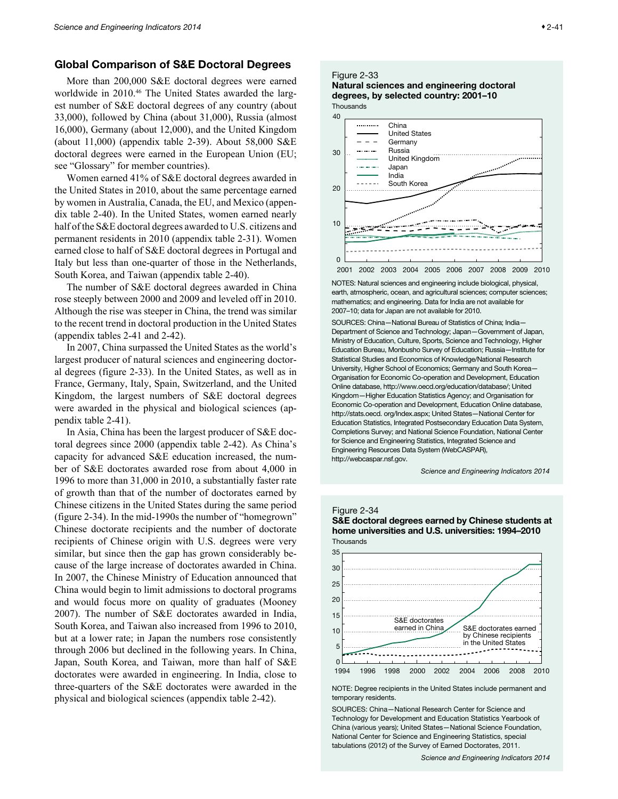## <span id="page-40-0"></span>Global Comparison of S&E Doctoral Degrees

More than 200,000 S&E doctoral degrees were earned worldwide in 2010.<sup>46</sup> The United States awarded the largest number of S&E doctoral degrees of any country (about 33,000), followed by China (about 31,000), Russia (almost 16,000), Germany (about 12,000), and the United Kingdom (about 11,000) (appendix table 2-39). About 58,000 S&E doctoral degrees were earned in the European Union (EU; see "Glossary" for member countries).

Women earned 41% of S&E doctoral degrees awarded in the United States in 2010, about the same percentage earned by women in Australia, Canada, the EU, and Mexico (appendix table 2-40). In the United States, women earned nearly half of the S&E doctoral degrees awarded to U.S. citizens and permanent residents in 2010 (appendix table 2-31). Women earned close to half of S&E doctoral degrees in Portugal and Italy but less than one-quarter of those in the Netherlands, South Korea, and Taiwan (appendix table 2-40).

The number of S&E doctoral degrees awarded in China rose steeply between 2000 and 2009 and leveled off in 2010. Although the rise was steeper in China, the trend was similar to the recent trend in doctoral production in the United States (appendix tables 2-41 and 2-42).

In 2007, China surpassed the United States as the world's largest producer of natural sciences and engineering doctoral degrees (figure 2-33). In the United States, as well as in France, Germany, Italy, Spain, Switzerland, and the United Kingdom, the largest numbers of S&E doctoral degrees were awarded in the physical and biological sciences (appendix table 2-41).

In Asia, China has been the largest producer of S&E doctoral degrees since 2000 (appendix table 2-42). As China's capacity for advanced S&E education increased, the number of S&E doctorates awarded rose from about 4,000 in 1996 to more than 31,000 in 2010, a substantially faster rate of growth than that of the number of doctorates earned by Chinese citizens in the United States during the same period (figure 2-34). In the mid-1990s the number of "homegrown" Chinese doctorate recipients and the number of doctorate recipients of Chinese origin with U.S. degrees were very similar, but since then the gap has grown considerably because of the large increase of doctorates awarded in China. In 2007, the Chinese Ministry of Education announced that China would begin to limit admissions to doctoral programs and would focus more on quality of graduates (Mooney 2007). The number of S&E doctorates awarded in India, South Korea, and Taiwan also increased from 1996 to 2010, but at a lower rate; in Japan the numbers rose consistently through 2006 but declined in the following years. In China, Japan, South Korea, and Taiwan, more than half of S&E doctorates were awarded in engineering. In India, close to three-quarters of the S&E doctorates were awarded in the physical and biological sciences (appendix table 2-42).

#### Figure 2-33

#### Natural sciences and engineering doctoral degrees, by selected country: 2001–10 **Thousands**



NOTES: Natural sciences and engineering include biological, physical, earth, atmospheric, ocean, and agricultural sciences; computer sciences; mathematics; and engineering. Data for India are not available for 2007–10; data for Japan are not available for 2010.

SOURCES: China—National Bureau of Statistics of China; India— Department of Science and Technology; Japan—Government of Japan, Ministry of Education, Culture, Sports, Science and Technology, Higher Education Bureau, Monbusho Survey of Education; Russia—Institute for Statistical Studies and Economics of Knowledge/National Research University, Higher School of Economics; Germany and South Korea— Organisation for Economic Co-operation and Development, Education Online database, http://www.oecd.org/education/database/; United Kingdom—Higher Education Statistics Agency; and Organisation for Economic Co-operation and Development, Education Online database, http://stats.oecd. org/Index.aspx; United States—National Center for Education Statistics, Integrated Postsecondary Education Data System, Completions Survey; and National Science Foundation, National Center for Science and Engineering Statistics, Integrated Science and Engineering Resources Data System (WebCASPAR), http://webcaspar.nsf.gov.

*Science and Engineering Indicators 2014*

#### Figure 2-34



S&E doctoral degrees earned by Chinese students at home universities and U.S. universities: 1994–2010 Thousands

NOTE: Degree recipients in the United States include permanent and temporary residents.

SOURCES: China—National Research Center for Science and Technology for Development and Education Statistics Yearbook of China (various years); United States—National Science Foundation, National Center for Science and Engineering Statistics, special tabulations (2012) of the Survey of Earned Doctorates, 2011.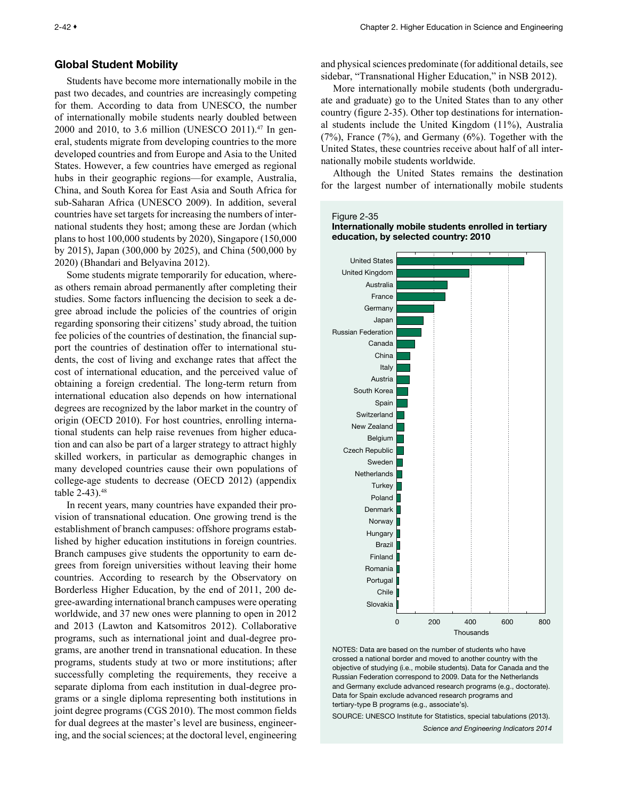## <span id="page-41-0"></span>Global Student Mobility

Students have become more internationally mobile in the past two decades, and countries are increasingly competing for them. According to data from UNESCO, the number of internationally mobile students nearly doubled between 2000 and 2010, to 3.6 million (UNESCO 2011).<sup>47</sup> In general, students migrate from developing countries to the more developed countries and from Europe and Asia to the United States. However, a few countries have emerged as regional hubs in their geographic regions—for example, Australia, China, and South Korea for East Asia and South Africa for sub-Saharan Africa (UNESCO 2009). In addition, several countries have set targets for increasing the numbers of international students they host; among these are Jordan (which plans to host 100,000 students by 2020), Singapore (150,000 by 2015), Japan (300,000 by 2025), and China (500,000 by 2020) (Bhandari and Belyavina 2012).

Some students migrate temporarily for education, whereas others remain abroad permanently after completing their studies. Some factors influencing the decision to seek a degree abroad include the policies of the countries of origin regarding sponsoring their citizens' study abroad, the tuition fee policies of the countries of destination, the financial support the countries of destination offer to international students, the cost of living and exchange rates that affect the cost of international education, and the perceived value of obtaining a foreign credential. The long-term return from international education also depends on how international degrees are recognized by the labor market in the country of origin (OECD 2010). For host countries, enrolling international students can help raise revenues from higher education and can also be part of a larger strategy to attract highly skilled workers, in particular as demographic changes in many developed countries cause their own populations of college-age students to decrease (OECD 2012) (appendix table 2-43).<sup>48</sup>

In recent years, many countries have expanded their provision of transnational education. One growing trend is the establishment of branch campuses: offshore programs established by higher education institutions in foreign countries. Branch campuses give students the opportunity to earn degrees from foreign universities without leaving their home countries. According to research by the Observatory on Borderless Higher Education, by the end of 2011, 200 degree-awarding international branch campuses were operating worldwide, and 37 new ones were planning to open in 2012 and 2013 (Lawton and Katsomitros 2012). Collaborative programs, such as international joint and dual-degree programs, are another trend in transnational education. In these programs, students study at two or more institutions; after successfully completing the requirements, they receive a separate diploma from each institution in dual-degree programs or a single diploma representing both institutions in joint degree programs (CGS 2010). The most common fields for dual degrees at the master's level are business, engineering, and the social sciences; at the doctoral level, engineering and physical sciences predominate (for additional details, see sidebar, "Transnational Higher Education," in NSB 2012).

More internationally mobile students (both undergraduate and graduate) go to the United States than to any other country (figure 2-35). Other top destinations for international students include the United Kingdom (11%), Australia (7%), France (7%), and Germany (6%). Together with the United States, these countries receive about half of all internationally mobile students worldwide.

Although the United States remains the destination for the largest number of internationally mobile students

#### Figure 2-35 Internationally mobile students enrolled in tertiary education, by selected country: 2010



NOTES: Data are based on the number of students who have crossed a national border and moved to another country with the objective of studying (i.e., mobile students). Data for Canada and the Russian Federation correspond to 2009. Data for the Netherlands and Germany exclude advanced research programs (e.g., doctorate). Data for Spain exclude advanced research programs and tertiary-type B programs (e.g., associate's).

SOURCE: UNESCO Institute for Statistics, special tabulations (2013). *Science and Engineering Indicators 2014*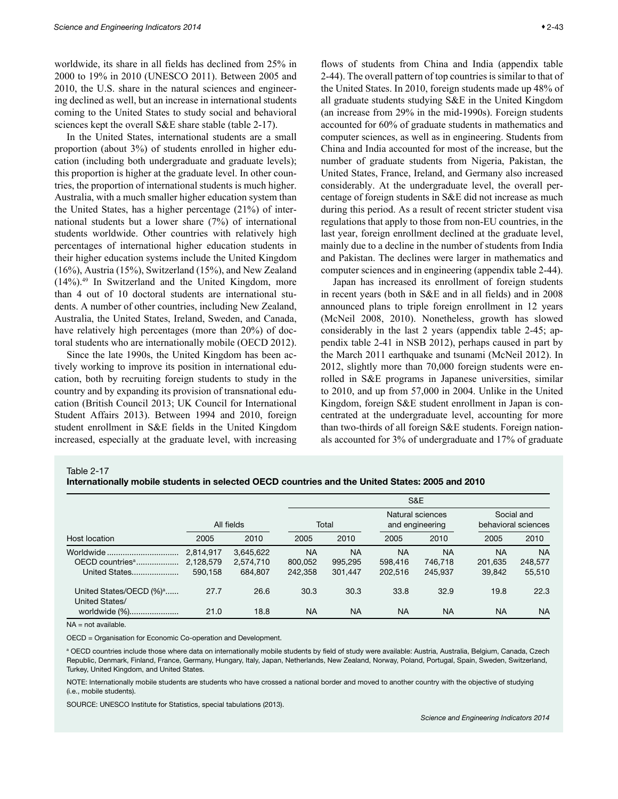<span id="page-42-0"></span>worldwide, its share in all fields has declined from 25% in 2000 to 19% in 2010 (UNESCO 2011). Between 2005 and 2010, the U.S. share in the natural sciences and engineering declined as well, but an increase in international students coming to the United States to study social and behavioral sciences kept the overall S&E share stable (table 2-17).

In the United States, international students are a small proportion (about 3%) of students enrolled in higher education (including both undergraduate and graduate levels); this proportion is higher at the graduate level. In other countries, the proportion of international students is much higher. Australia, with a much smaller higher education system than the United States, has a higher percentage (21%) of international students but a lower share (7%) of international students worldwide. Other countries with relatively high percentages of international higher education students in their higher education systems include the United Kingdom (16%), Austria (15%), Switzerland (15%), and New Zealand (14%).49 In Switzerland and the United Kingdom, more than 4 out of 10 doctoral students are international students. A number of other countries, including New Zealand, Australia, the United States, Ireland, Sweden, and Canada, have relatively high percentages (more than 20%) of doctoral students who are internationally mobile (OECD 2012).

Since the late 1990s, the United Kingdom has been actively working to improve its position in international education, both by recruiting foreign students to study in the country and by expanding its provision of transnational education (British Council 2013; UK Council for International Student Affairs 2013). Between 1994 and 2010, foreign student enrollment in S&E fields in the United Kingdom increased, especially at the graduate level, with increasing flows of students from China and India (appendix table 2-44). The overall pattern of top countries is similar to that of the United States. In 2010, foreign students made up 48% of all graduate students studying S&E in the United Kingdom (an increase from 29% in the mid-1990s). Foreign students accounted for 60% of graduate students in mathematics and computer sciences, as well as in engineering. Students from China and India accounted for most of the increase, but the number of graduate students from Nigeria, Pakistan, the United States, France, Ireland, and Germany also increased considerably. At the undergraduate level, the overall percentage of foreign students in S&E did not increase as much during this period. As a result of recent stricter student visa regulations that apply to those from non-EU countries, in the last year, foreign enrollment declined at the graduate level, mainly due to a decline in the number of students from India and Pakistan. The declines were larger in mathematics and computer sciences and in engineering (appendix table 2-44).

Japan has increased its enrollment of foreign students in recent years (both in S&E and in all fields) and in 2008 announced plans to triple foreign enrollment in 12 years (McNeil 2008, 2010). Nonetheless, growth has slowed considerably in the last 2 years (appendix table 2-45; appendix table 2-41 in NSB 2012), perhaps caused in part by the March 2011 earthquake and tsunami (McNeil 2012). In 2012, slightly more than 70,000 foreign students were enrolled in S&E programs in Japanese universities, similar to 2010, and up from 57,000 in 2004. Unlike in the United Kingdom, foreign S&E student enrollment in Japan is concentrated at the undergraduate level, accounting for more than two-thirds of all foreign S&E students. Foreign nationals accounted for 3% of undergraduate and 17% of graduate

Table 2-17

Internationally mobile students in selected OECD countries and the United States: 2005 and 2010

|                                                           |                                   |                                   |                                 | S&E                             |                                 |                                     |                                |                                   |  |  |
|-----------------------------------------------------------|-----------------------------------|-----------------------------------|---------------------------------|---------------------------------|---------------------------------|-------------------------------------|--------------------------------|-----------------------------------|--|--|
|                                                           | All fields                        |                                   | Total                           |                                 |                                 | Natural sciences<br>and engineering |                                | Social and<br>behavioral sciences |  |  |
| Host location                                             | 2005                              | 2010                              | 2005                            | 2010                            | 2005                            | 2010                                | 2005                           | 2010                              |  |  |
| Worldwide<br>OECD countries <sup>a</sup><br>United States | 2,814,917<br>2,128,579<br>590.158 | 3,645,622<br>2,574,710<br>684.807 | <b>NA</b><br>800.052<br>242,358 | <b>NA</b><br>995,295<br>301.447 | <b>NA</b><br>598,416<br>202,516 | <b>NA</b><br>746.718<br>245.937     | <b>NA</b><br>201.635<br>39.842 | <b>NA</b><br>248,577<br>55,510    |  |  |
| United States/OECD (%) <sup>a</sup><br>United States/     | 27.7                              | 26.6                              | 30.3                            | 30.3                            | 33.8                            | 32.9                                | 19.8                           | 22.3                              |  |  |
| worldwide (%)                                             | 21.0                              | 18.8                              | <b>NA</b>                       | <b>NA</b>                       | <b>NA</b>                       | <b>NA</b>                           | <b>NA</b>                      | <b>NA</b>                         |  |  |

 $NA = not available$ 

OECD = Organisation for Economic Co-operation and Development.

<sup>a</sup> OECD countries include those where data on internationally mobile students by field of study were available: Austria, Australia, Belgium, Canada, Czech Republic, Denmark, Finland, France, Germany, Hungary, Italy, Japan, Netherlands, New Zealand, Norway, Poland, Portugal, Spain, Sweden, Switzerland, Turkey, United Kingdom, and United States.

NOTE: Internationally mobile students are students who have crossed a national border and moved to another country with the objective of studying (i.e., mobile students).

SOURCE: UNESCO Institute for Statistics, special tabulations (2013).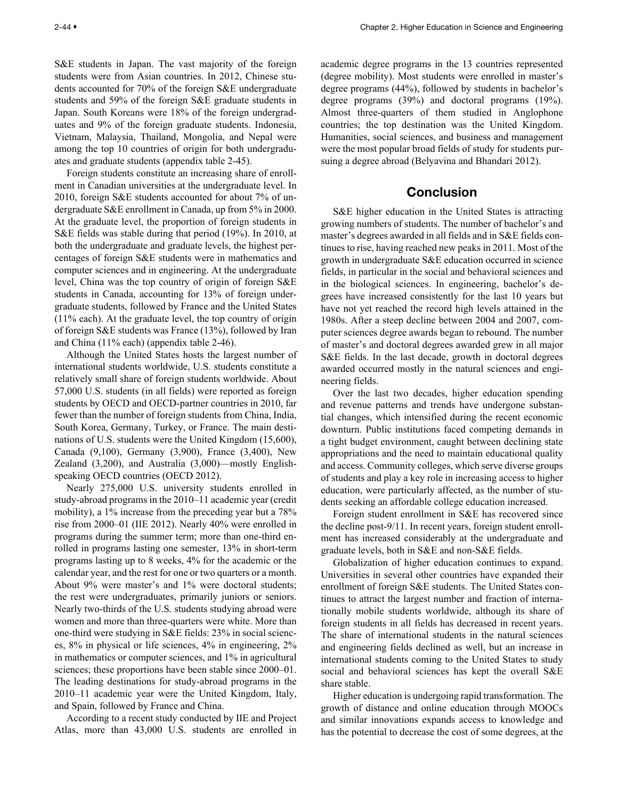<span id="page-43-0"></span>S&E students in Japan. The vast majority of the foreign students were from Asian countries. In 2012, Chinese students accounted for 70% of the foreign S&E undergraduate students and 59% of the foreign S&E graduate students in Japan. South Koreans were 18% of the foreign undergraduates and 9% of the foreign graduate students. Indonesia, Vietnam, Malaysia, Thailand, Mongolia, and Nepal were among the top 10 countries of origin for both undergraduates and graduate students (appendix table 2-45).

Foreign students constitute an increasing share of enrollment in Canadian universities at the undergraduate level. In 2010, foreign S&E students accounted for about 7% of undergraduate S&E enrollment in Canada, up from 5% in 2000. At the graduate level, the proportion of foreign students in S&E fields was stable during that period (19%). In 2010, at both the undergraduate and graduate levels, the highest percentages of foreign S&E students were in mathematics and computer sciences and in engineering. At the undergraduate level, China was the top country of origin of foreign S&E students in Canada, accounting for 13% of foreign undergraduate students, followed by France and the United States (11% each). At the graduate level, the top country of origin of foreign S&E students was France (13%), followed by Iran and China (11% each) (appendix table 2-46).

Although the United States hosts the largest number of international students worldwide, U.S. students constitute a relatively small share of foreign students worldwide. About 57,000 U.S. students (in all fields) were reported as foreign students by OECD and OECD-partner countries in 2010, far fewer than the number of foreign students from China, India, South Korea, Germany, Turkey, or France. The main destinations of U.S. students were the United Kingdom (15,600), Canada (9,100), Germany (3,900), France (3,400), New Zealand (3,200), and Australia (3,000)—mostly Englishspeaking OECD countries (OECD 2012).

Nearly 275,000 U.S. university students enrolled in study-abroad programs in the 2010–11 academic year (credit mobility), a 1% increase from the preceding year but a 78% rise from 2000–01 (IIE 2012). Nearly 40% were enrolled in programs during the summer term; more than one-third enrolled in programs lasting one semester, 13% in short-term programs lasting up to 8 weeks, 4% for the academic or the calendar year, and the rest for one or two quarters or a month. About 9% were master's and 1% were doctoral students; the rest were undergraduates, primarily juniors or seniors. Nearly two-thirds of the U.S. students studying abroad were women and more than three-quarters were white. More than one-third were studying in S&E fields: 23% in social sciences, 8% in physical or life sciences, 4% in engineering, 2% in mathematics or computer sciences, and 1% in agricultural sciences; these proportions have been stable since 2000–01. The leading destinations for study-abroad programs in the 2010–11 academic year were the United Kingdom, Italy, and Spain, followed by France and China.

According to a recent study conducted by IIE and Project Atlas, more than 43,000 U.S. students are enrolled in academic degree programs in the 13 countries represented (degree mobility). Most students were enrolled in master's degree programs (44%), followed by students in bachelor's degree programs (39%) and doctoral programs (19%). Almost three-quarters of them studied in Anglophone countries; the top destination was the United Kingdom. Humanities, social sciences, and business and management were the most popular broad fields of study for students pursuing a degree abroad (Belyavina and Bhandari 2012).

## Conclusion

S&E higher education in the United States is attracting growing numbers of students. The number of bachelor's and master's degrees awarded in all fields and in S&E fields continues to rise, having reached new peaks in 2011. Most of the growth in undergraduate S&E education occurred in science fields, in particular in the social and behavioral sciences and in the biological sciences. In engineering, bachelor's degrees have increased consistently for the last 10 years but have not yet reached the record high levels attained in the 1980s. After a steep decline between 2004 and 2007, computer sciences degree awards began to rebound. The number of master's and doctoral degrees awarded grew in all major S&E fields. In the last decade, growth in doctoral degrees awarded occurred mostly in the natural sciences and engineering fields.

Over the last two decades, higher education spending and revenue patterns and trends have undergone substantial changes, which intensified during the recent economic downturn. Public institutions faced competing demands in a tight budget environment, caught between declining state appropriations and the need to maintain educational quality and access. Community colleges, which serve diverse groups of students and play a key role in increasing access to higher education, were particularly affected, as the number of students seeking an affordable college education increased.

Foreign student enrollment in S&E has recovered since the decline post-9/11. In recent years, foreign student enrollment has increased considerably at the undergraduate and graduate levels, both in S&E and non-S&E fields.

Globalization of higher education continues to expand. Universities in several other countries have expanded their enrollment of foreign S&E students. The United States continues to attract the largest number and fraction of internationally mobile students worldwide, although its share of foreign students in all fields has decreased in recent years. The share of international students in the natural sciences and engineering fields declined as well, but an increase in international students coming to the United States to study social and behavioral sciences has kept the overall S&E share stable.

Higher education is undergoing rapid transformation. The growth of distance and online education through MOOCs and similar innovations expands access to knowledge and has the potential to decrease the cost of some degrees, at the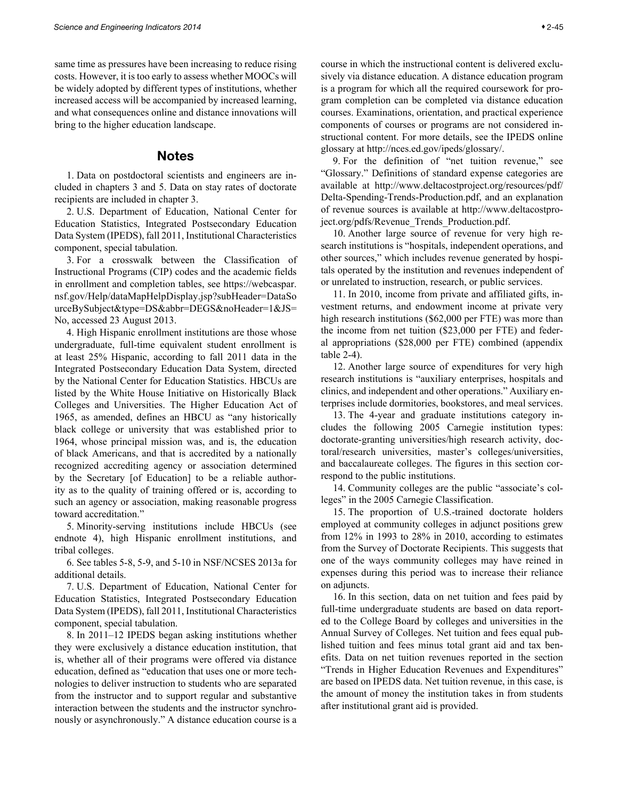<span id="page-44-0"></span>same time as pressures have been increasing to reduce rising costs. However, it is too early to assess whether MOOCs will be widely adopted by different types of institutions, whether increased access will be accompanied by increased learning, and what consequences online and distance innovations will bring to the higher education landscape.

## **Notes**

1. Data on postdoctoral scientists and engineers are included in chapters 3 and 5. Data on stay rates of doctorate recipients are included in chapter 3.

2. U.S. Department of Education, National Center for Education Statistics, Integrated Postsecondary Education Data System (IPEDS), fall 2011, Institutional Characteristics component, special tabulation.

3. For a crosswalk between the Classification of Instructional Programs (CIP) codes and the academic fields in enrollment and completion tables, see https://webcaspar. nsf.gov/Help/dataMapHelpDisplay.jsp?subHeader=DataSo urceBySubject&type=DS&abbr=DEGS&noHeader=1&JS= No, accessed 23 August 2013.

4. High Hispanic enrollment institutions are those whose undergraduate, full-time equivalent student enrollment is at least 25% Hispanic, according to fall 2011 data in the Integrated Postsecondary Education Data System, directed by the National Center for Education Statistics. HBCUs are listed by the White House Initiative on Historically Black Colleges and Universities. The Higher Education Act of 1965, as amended, defines an HBCU as "any historically black college or university that was established prior to 1964, whose principal mission was, and is, the education of black Americans, and that is accredited by a nationally recognized accrediting agency or association determined by the Secretary [of Education] to be a reliable authority as to the quality of training offered or is, according to such an agency or association, making reasonable progress toward accreditation."

5. Minority-serving institutions include HBCUs (see endnote 4), high Hispanic enrollment institutions, and tribal colleges.

6. See tables 5-8, 5-9, and 5-10 in NSF/NCSES 2013a for additional details.

7. U.S. Department of Education, National Center for Education Statistics, Integrated Postsecondary Education Data System (IPEDS), fall 2011, Institutional Characteristics component, special tabulation.

8. In 2011–12 IPEDS began asking institutions whether they were exclusively a distance education institution, that is, whether all of their programs were offered via distance education, defined as "education that uses one or more technologies to deliver instruction to students who are separated from the instructor and to support regular and substantive interaction between the students and the instructor synchronously or asynchronously." A distance education course is a

course in which the instructional content is delivered exclusively via distance education. A distance education program is a program for which all the required coursework for program completion can be completed via distance education courses. Examinations, orientation, and practical experience components of courses or programs are not considered instructional content. For more details, see the IPEDS online glossary at http://nces.ed.gov/ipeds/glossary/.

9. For the definition of "net tuition revenue," see "Glossary." Definitions of standard expense categories are available at http://www.deltacostproject.org/resources/pdf/ Delta-Spending-Trends-Production.pdf, and an explanation of revenue sources is available at http://www.deltacostproject.org/pdfs/Revenue\_Trends\_Production.pdf.

10. Another large source of revenue for very high research institutions is "hospitals, independent operations, and other sources," which includes revenue generated by hospitals operated by the institution and revenues independent of or unrelated to instruction, research, or public services.

11. In 2010, income from private and affiliated gifts, investment returns, and endowment income at private very high research institutions (\$62,000 per FTE) was more than the income from net tuition (\$23,000 per FTE) and federal appropriations (\$28,000 per FTE) combined (appendix table 2-4).

12. Another large source of expenditures for very high research institutions is "auxiliary enterprises, hospitals and clinics, and independent and other operations." Auxiliary enterprises include dormitories, bookstores, and meal services.

13. The 4-year and graduate institutions category includes the following 2005 Carnegie institution types: doctorate-granting universities/high research activity, doctoral/research universities, master's colleges/universities, and baccalaureate colleges. The figures in this section correspond to the public institutions.

14. Community colleges are the public "associate's colleges" in the 2005 Carnegie Classification.

15. The proportion of U.S.-trained doctorate holders employed at community colleges in adjunct positions grew from 12% in 1993 to 28% in 2010, according to estimates from the Survey of Doctorate Recipients. This suggests that one of the ways community colleges may have reined in expenses during this period was to increase their reliance on adjuncts.

16. In this section, data on net tuition and fees paid by full-time undergraduate students are based on data reported to the College Board by colleges and universities in the Annual Survey of Colleges. Net tuition and fees equal published tuition and fees minus total grant aid and tax benefits. Data on net tuition revenues reported in the section "Trends in Higher Education Revenues and Expenditures" are based on IPEDS data. Net tuition revenue, in this case, is the amount of money the institution takes in from students after institutional grant aid is provided.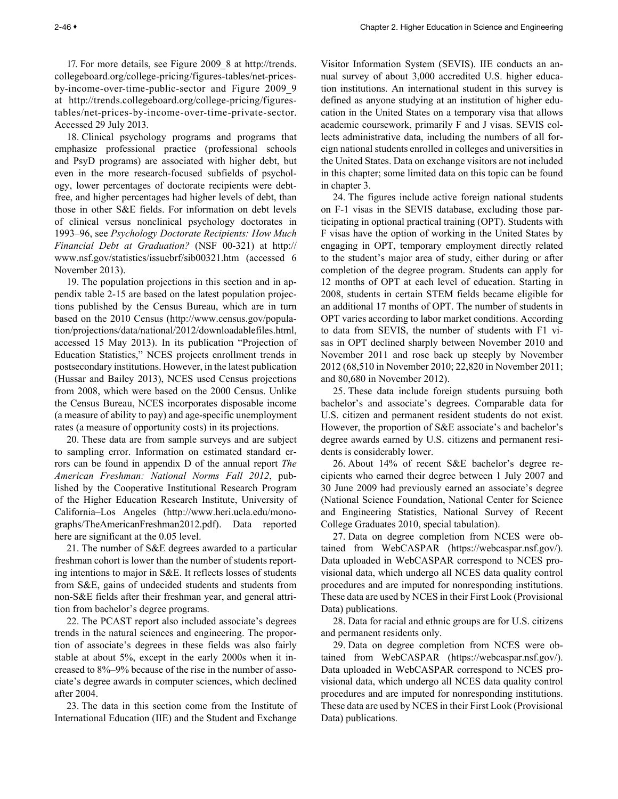17. For more details, see Figure 2009\_8 at http://trends. collegeboard.org/college-pricing/figures-tables/net-pricesby-income-over-time-public-sector and Figure 2009\_9 at http://trends.collegeboard.org/college-pricing/figurestables/net-prices-by-income-over-time-private-sector. Accessed 29 July 2013.

18. Clinical psychology programs and programs that emphasize professional practice (professional schools and PsyD programs) are associated with higher debt, but even in the more research-focused subfields of psychology, lower percentages of doctorate recipients were debtfree, and higher percentages had higher levels of debt, than those in other S&E fields. For information on debt levels of clinical versus nonclinical psychology doctorates in 1993–96, see *Psychology Doctorate Recipients: How Much Financial Debt at Graduation?* (NSF 00-321) at http:// www.nsf.gov/statistics/issuebrf/sib00321.htm (accessed 6 November 2013).

19. The population projections in this section and in appendix table 2-15 are based on the latest population projections published by the Census Bureau, which are in turn based on the 2010 Census (http://www.census.gov/population/projections/data/national/2012/downloadablefiles.html, accessed 15 May 2013). In its publication "Projection of Education Statistics," NCES projects enrollment trends in postsecondary institutions. However, in the latest publication (Hussar and Bailey 2013), NCES used Census projections from 2008, which were based on the 2000 Census. Unlike the Census Bureau, NCES incorporates disposable income (a measure of ability to pay) and age-specific unemployment rates (a measure of opportunity costs) in its projections.

20. These data are from sample surveys and are subject to sampling error. Information on estimated standard errors can be found in appendix D of the annual report *The American Freshman: National Norms Fall 2012*, published by the Cooperative Institutional Research Program of the Higher Education Research Institute, University of California–Los Angeles (http://www.heri.ucla.edu/monographs/TheAmericanFreshman2012.pdf). Data reported here are significant at the 0.05 level.

21. The number of S&E degrees awarded to a particular freshman cohort is lower than the number of students reporting intentions to major in S&E. It reflects losses of students from S&E, gains of undecided students and students from non-S&E fields after their freshman year, and general attrition from bachelor's degree programs.

22. The PCAST report also included associate's degrees trends in the natural sciences and engineering. The proportion of associate's degrees in these fields was also fairly stable at about 5%, except in the early 2000s when it increased to 8%–9% because of the rise in the number of associate's degree awards in computer sciences, which declined after 2004.

23. The data in this section come from the Institute of International Education (IIE) and the Student and Exchange

Visitor Information System (SEVIS). IIE conducts an annual survey of about 3,000 accredited U.S. higher education institutions. An international student in this survey is defined as anyone studying at an institution of higher education in the United States on a temporary visa that allows academic coursework, primarily F and J visas. SEVIS collects administrative data, including the numbers of all foreign national students enrolled in colleges and universities in the United States. Data on exchange visitors are not included in this chapter; some limited data on this topic can be found in chapter 3.

24. The figures include active foreign national students on F-1 visas in the SEVIS database, excluding those participating in optional practical training (OPT). Students with F visas have the option of working in the United States by engaging in OPT, temporary employment directly related to the student's major area of study, either during or after completion of the degree program. Students can apply for 12 months of OPT at each level of education. Starting in 2008, students in certain STEM fields became eligible for an additional 17 months of OPT. The number of students in OPT varies according to labor market conditions. According to data from SEVIS, the number of students with F1 visas in OPT declined sharply between November 2010 and November 2011 and rose back up steeply by November 2012 (68,510 in November 2010; 22,820 in November 2011; and 80,680 in November 2012).

25. These data include foreign students pursuing both bachelor's and associate's degrees. Comparable data for U.S. citizen and permanent resident students do not exist. However, the proportion of S&E associate's and bachelor's degree awards earned by U.S. citizens and permanent residents is considerably lower.

26. About 14% of recent S&E bachelor's degree recipients who earned their degree between 1 July 2007 and 30 June 2009 had previously earned an associate's degree (National Science Foundation, National Center for Science and Engineering Statistics, National Survey of Recent College Graduates 2010, special tabulation).

27. Data on degree completion from NCES were obtained from WebCASPAR (https://webcaspar.nsf.gov/). Data uploaded in WebCASPAR correspond to NCES provisional data, which undergo all NCES data quality control procedures and are imputed for nonresponding institutions. These data are used by NCES in their First Look (Provisional Data) publications.

28. Data for racial and ethnic groups are for U.S. citizens and permanent residents only.

29. Data on degree completion from NCES were obtained from WebCASPAR (https://webcaspar.nsf.gov/). Data uploaded in WebCASPAR correspond to NCES provisional data, which undergo all NCES data quality control procedures and are imputed for nonresponding institutions. These data are used by NCES in their First Look (Provisional Data) publications.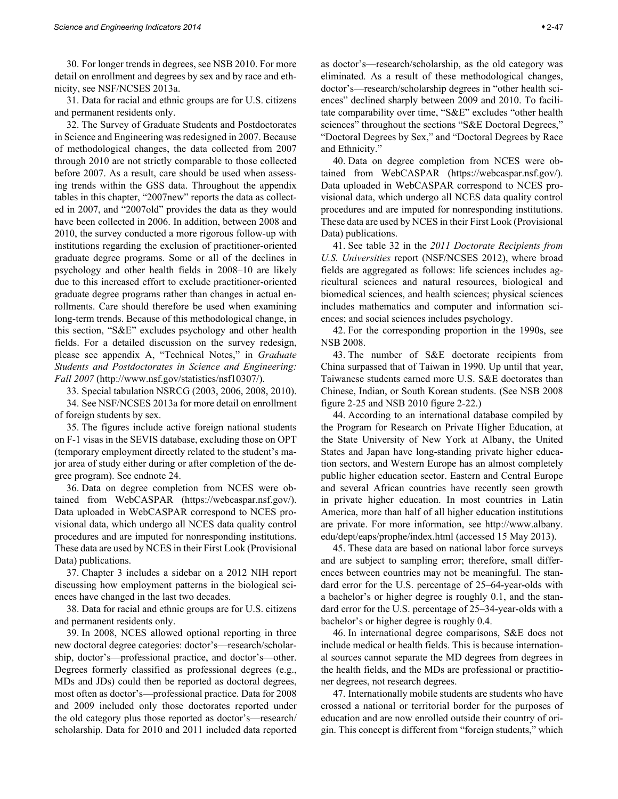30. For longer trends in degrees, see NSB 2010. For more detail on enrollment and degrees by sex and by race and ethnicity, see NSF/NCSES 2013a.

31. Data for racial and ethnic groups are for U.S. citizens and permanent residents only.

32. The Survey of Graduate Students and Postdoctorates in Science and Engineering was redesigned in 2007. Because of methodological changes, the data collected from 2007 through 2010 are not strictly comparable to those collected before 2007. As a result, care should be used when assessing trends within the GSS data. Throughout the appendix tables in this chapter, "2007new" reports the data as collected in 2007, and "2007old" provides the data as they would have been collected in 2006. In addition, between 2008 and 2010, the survey conducted a more rigorous follow-up with institutions regarding the exclusion of practitioner-oriented graduate degree programs. Some or all of the declines in psychology and other health fields in 2008–10 are likely due to this increased effort to exclude practitioner-oriented graduate degree programs rather than changes in actual enrollments. Care should therefore be used when examining long-term trends. Because of this methodological change, in this section, "S&E" excludes psychology and other health fields. For a detailed discussion on the survey redesign, please see appendix A, "Technical Notes," in *Graduate Students and Postdoctorates in Science and Engineering: Fall 2007* (http://www.nsf.gov/statistics/nsf10307/).

33. Special tabulation NSRCG (2003, 2006, 2008, 2010).

34. See NSF/NCSES 2013a for more detail on enrollment of foreign students by sex.

35. The figures include active foreign national students on F-1 visas in the SEVIS database, excluding those on OPT (temporary employment directly related to the student's major area of study either during or after completion of the degree program). See endnote 24.

36. Data on degree completion from NCES were obtained from WebCASPAR (https://webcaspar.nsf.gov/). Data uploaded in WebCASPAR correspond to NCES provisional data, which undergo all NCES data quality control procedures and are imputed for nonresponding institutions. These data are used by NCES in their First Look (Provisional Data) publications.

37. Chapter 3 includes a sidebar on a 2012 NIH report discussing how employment patterns in the biological sciences have changed in the last two decades.

38. Data for racial and ethnic groups are for U.S. citizens and permanent residents only.

39. In 2008, NCES allowed optional reporting in three new doctoral degree categories: doctor's—research/scholarship, doctor's—professional practice, and doctor's—other. Degrees formerly classified as professional degrees (e.g., MDs and JDs) could then be reported as doctoral degrees, most often as doctor's—professional practice. Data for 2008 and 2009 included only those doctorates reported under the old category plus those reported as doctor's—research/ scholarship. Data for 2010 and 2011 included data reported

as doctor's—research/scholarship, as the old category was eliminated. As a result of these methodological changes, doctor's—research/scholarship degrees in "other health sciences" declined sharply between 2009 and 2010. To facilitate comparability over time, "S&E" excludes "other health sciences" throughout the sections "S&E Doctoral Degrees," "Doctoral Degrees by Sex," and "Doctoral Degrees by Race and Ethnicity."

40. Data on degree completion from NCES were obtained from WebCASPAR (https://webcaspar.nsf.gov/). Data uploaded in WebCASPAR correspond to NCES provisional data, which undergo all NCES data quality control procedures and are imputed for nonresponding institutions. These data are used by NCES in their First Look (Provisional Data) publications.

41. See table 32 in the *2011 Doctorate Recipients from U.S. Universities* report (NSF/NCSES 2012), where broad fields are aggregated as follows: life sciences includes agricultural sciences and natural resources, biological and biomedical sciences, and health sciences; physical sciences includes mathematics and computer and information sciences; and social sciences includes psychology.

42. For the corresponding proportion in the 1990s, see NSB 2008.

43. The number of S&E doctorate recipients from China surpassed that of Taiwan in 1990. Up until that year, Taiwanese students earned more U.S. S&E doctorates than Chinese, Indian, or South Korean students. (See NSB 2008 figure 2-25 and NSB 2010 figure 2-22.)

44. According to an international database compiled by the Program for Research on Private Higher Education, at the State University of New York at Albany, the United States and Japan have long-standing private higher education sectors, and Western Europe has an almost completely public higher education sector. Eastern and Central Europe and several African countries have recently seen growth in private higher education. In most countries in Latin America, more than half of all higher education institutions are private. For more information, see http://www.albany. edu/dept/eaps/prophe/index.html (accessed 15 May 2013).

45. These data are based on national labor force surveys and are subject to sampling error; therefore, small differences between countries may not be meaningful. The standard error for the U.S. percentage of 25–64-year-olds with a bachelor's or higher degree is roughly 0.1, and the standard error for the U.S. percentage of 25–34-year-olds with a bachelor's or higher degree is roughly 0.4.

46. In international degree comparisons, S&E does not include medical or health fields. This is because international sources cannot separate the MD degrees from degrees in the health fields, and the MDs are professional or practitioner degrees, not research degrees.

47. Internationally mobile students are students who have crossed a national or territorial border for the purposes of education and are now enrolled outside their country of origin. This concept is different from "foreign students," which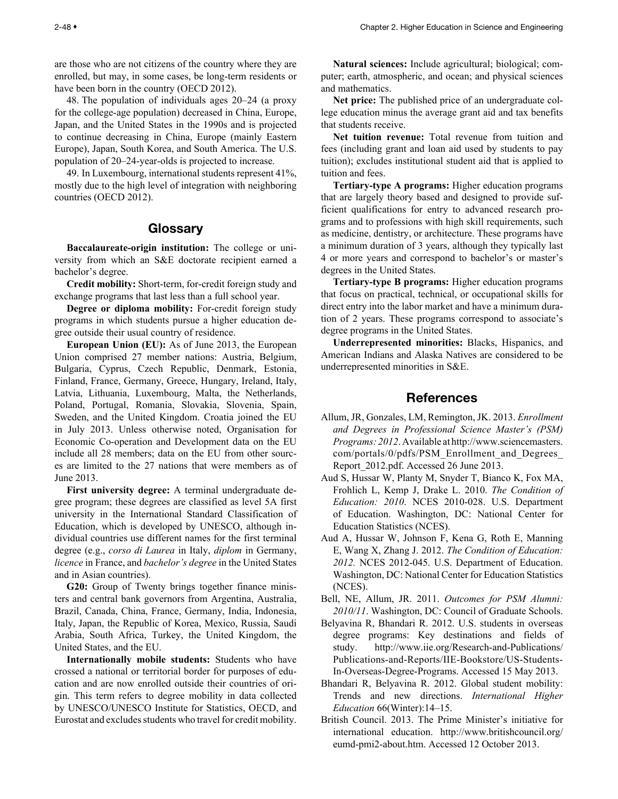<span id="page-47-0"></span>are those who are not citizens of the country where they are enrolled, but may, in some cases, be long-term residents or have been born in the country (OECD 2012).

48. The population of individuals ages 20–24 (a proxy for the college-age population) decreased in China, Europe, Japan, and the United States in the 1990s and is projected to continue decreasing in China, Europe (mainly Eastern Europe), Japan, South Korea, and South America. The U.S. population of 20–24-year-olds is projected to increase.

49. In Luxembourg, international students represent 41%, mostly due to the high level of integration with neighboring countries (OECD 2012).

## Glossary

**Baccalaureate-origin institution:** The college or university from which an S&E doctorate recipient earned a bachelor's degree.

**Credit mobility:** Short-term, for-credit foreign study and exchange programs that last less than a full school year.

**Degree or diploma mobility:** For-credit foreign study programs in which students pursue a higher education degree outside their usual country of residence.

**European Union (EU):** As of June 2013, the European Union comprised 27 member nations: Austria, Belgium, Bulgaria, Cyprus, Czech Republic, Denmark, Estonia, Finland, France, Germany, Greece, Hungary, Ireland, Italy, Latvia, Lithuania, Luxembourg, Malta, the Netherlands, Poland, Portugal, Romania, Slovakia, Slovenia, Spain, Sweden, and the United Kingdom. Croatia joined the EU in July 2013. Unless otherwise noted, Organisation for Economic Co-operation and Development data on the EU include all 28 members; data on the EU from other sources are limited to the 27 nations that were members as of June 2013.

**First university degree:** A terminal undergraduate degree program; these degrees are classified as level 5A first university in the International Standard Classification of Education, which is developed by UNESCO, although individual countries use different names for the first terminal degree (e.g., *corso di Laurea* in Italy, *diplom* in Germany, *licence* in France, and *bachelor's degree* in the United States and in Asian countries).

G20: Group of Twenty brings together finance ministers and central bank governors from Argentina, Australia, Brazil, Canada, China, France, Germany, India, Indonesia, Italy, Japan, the Republic of Korea, Mexico, Russia, Saudi Arabia, South Africa, Turkey, the United Kingdom, the United States, and the EU.

**Internationally mobile students:** Students who have crossed a national or territorial border for purposes of education and are now enrolled outside their countries of origin. This term refers to degree mobility in data collected by UNESCO/UNESCO Institute for Statistics, OECD, and Eurostat and excludes students who travel for credit mobility.

**Natural sciences:** Include agricultural; biological; computer; earth, atmospheric, and ocean; and physical sciences and mathematics.

**Net price:** The published price of an undergraduate college education minus the average grant aid and tax benefits that students receive.

**Net tuition revenue:** Total revenue from tuition and fees (including grant and loan aid used by students to pay tuition); excludes institutional student aid that is applied to tuition and fees.

**Tertiary-type A programs:** Higher education programs that are largely theory based and designed to provide sufficient qualifications for entry to advanced research programs and to professions with high skill requirements, such as medicine, dentistry, or architecture. These programs have a minimum duration of 3 years, although they typically last 4 or more years and correspond to bachelor's or master's degrees in the United States.

**Tertiary-type B programs:** Higher education programs that focus on practical, technical, or occupational skills for direct entry into the labor market and have a minimum duration of 2 years. These programs correspond to associate's degree programs in the United States.

**Underrepresented minorities:** Blacks, Hispanics, and American Indians and Alaska Natives are considered to be underrepresented minorities in S&E.

## References

- Allum, JR, Gonzales, LM, Remington, JK. 2013. *Enrollment and Degrees in Professional Science Master's (PSM) Programs: 2012*. Available at http://www.sciencemasters. com/portals/0/pdfs/PSM\_Enrollment\_and\_Degrees\_ Report 2012.pdf. Accessed 26 June 2013.
- Aud S, Hussar W, Planty M, Snyder T, Bianco K, Fox MA, Frohlich L, Kemp J, Drake L. 2010. *The Condition of Education: 2010*. NCES 2010-028. U.S. Department of Education. Washington, DC: National Center for Education Statistics (NCES).
- Aud A, Hussar W, Johnson F, Kena G, Roth E, Manning E, Wang X, Zhang J. 2012. *The Condition of Education: 2012.* NCES 2012-045. U.S. Department of Education. Washington, DC: National Center for Education Statistics (NCES).
- Bell, NE, Allum, JR. 2011. *Outcomes for PSM Alumni: 2010/11*. Washington, DC: Council of Graduate Schools.
- Belyavina R, Bhandari R. 2012. U.S. students in overseas degree programs: Key destinations and fields of study. http://www.iie.org/Research-and-Publications/ Publications-and-Reports/IIE-Bookstore/US-Students-In-Overseas-Degree-Programs. Accessed 15 May 2013.
- Bhandari R, Belyavina R. 2012. Global student mobility: Trends and new directions. *International Higher Education* 66(Winter):14–15.
- British Council. 2013. The Prime Minister's initiative for international education. http://www.britishcouncil.org/ eumd-pmi2-about.htm. Accessed 12 October 2013.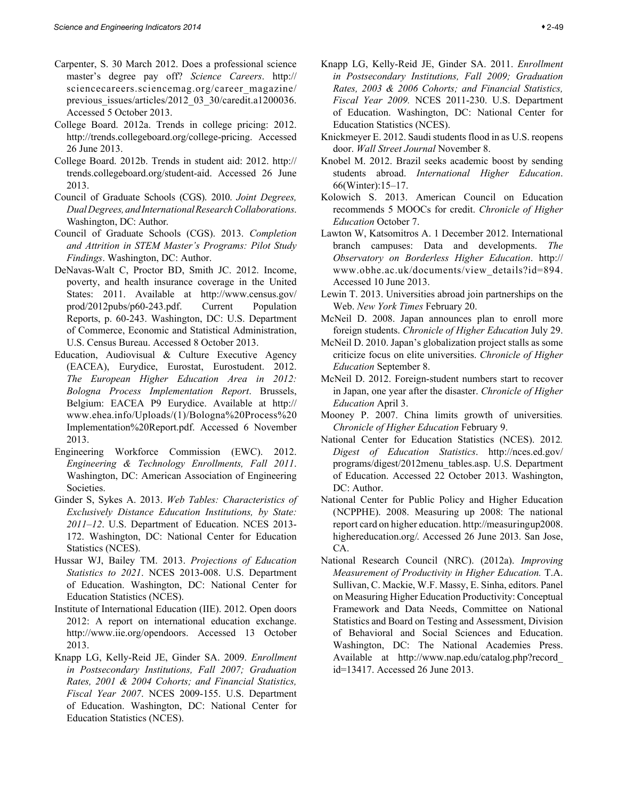- Carpenter, S. 30 March 2012. Does a professional science master's degree pay off? *Science Careers*. http:// sciencecareers.sciencemag.org/career\_magazine/ previous\_issues/articles/2012\_03\_30/caredit.a1200036. Accessed 5 October 2013.
- College Board. 2012a. Trends in college pricing: 2012. http://trends.collegeboard.org/college-pricing. Accessed 26 June 2013.
- College Board. 2012b. Trends in student aid: 2012. http:// trends.collegeboard.org/student-aid. Accessed 26 June 2013.
- Council of Graduate Schools (CGS). 2010. *Joint Degrees, Dual Degrees, and International Research Collaborations*. Washington, DC: Author.
- Council of Graduate Schools (CGS). 2013. *Completion and Attrition in STEM Master's Programs: Pilot Study Findings*. Washington, DC: Author.
- DeNavas-Walt C, Proctor BD, Smith JC. 2012. Income, poverty, and health insurance coverage in the United States: 2011. Available at http://www.census.gov/ prod/2012pubs/p60-243.pdf. Current Population Reports, p. 60-243. Washington, DC: U.S. Department of Commerce, Economic and Statistical Administration, U.S. Census Bureau. Accessed 8 October 2013.
- Education, Audiovisual & Culture Executive Agency (EACEA), Eurydice, Eurostat, Eurostudent. 2012. *The European Higher Education Area in 2012: Bologna Process Implementation Report*. Brussels, Belgium: EACEA P9 Eurydice. Available at http:// www.ehea.info/Uploads/(1)/Bologna%20Process%20 Implementation%20Report.pdf. Accessed 6 November 2013.
- Engineering Workforce Commission (EWC). 2012. *Engineering & Technology Enrollments, Fall 2011*. Washington, DC: American Association of Engineering Societies.
- Ginder S, Sykes A. 2013. *Web Tables: Characteristics of Exclusively Distance Education Institutions, by State: 2011–12*. U.S. Department of Education. NCES 2013- 172. Washington, DC: National Center for Education Statistics (NCES).
- Hussar WJ, Bailey TM. 2013. *Projections of Education Statistics to 2021*. NCES 2013-008. U.S. Department of Education. Washington, DC: National Center for Education Statistics (NCES).
- Institute of International Education (IIE). 2012. Open doors 2012: A report on international education exchange. http://www.iie.org/opendoors. Accessed 13 October 2013.
- Knapp LG, Kelly-Reid JE, Ginder SA. 2009. *Enrollment in Postsecondary Institutions, Fall 2007; Graduation Rates, 2001 & 2004 Cohorts; and Financial Statistics, Fiscal Year 2007*. NCES 2009-155. U.S. Department of Education. Washington, DC: National Center for Education Statistics (NCES).
- Knapp LG, Kelly-Reid JE, Ginder SA. 2011. *Enrollment in Postsecondary Institutions, Fall 2009; Graduation Rates, 2003 & 2006 Cohorts; and Financial Statistics, Fiscal Year 2009.* NCES 2011-230. U.S. Department of Education. Washington, DC: National Center for Education Statistics (NCES).
- Knickmeyer E. 2012. Saudi students flood in as U.S. reopens door. *Wall Street Journal* November 8.
- Knobel M. 2012. Brazil seeks academic boost by sending students abroad. *International Higher Education*. 66(Winter):15–17.
- Kolowich S. 2013. American Council on Education recommends 5 MOOCs for credit. *Chronicle of Higher Education* October 7.
- Lawton W, Katsomitros A. 1 December 2012. International branch campuses: Data and developments. *The Observatory on Borderless Higher Education*. http:// www.obhe.ac.uk/documents/view\_details?id=894. Accessed 10 June 2013.
- Lewin T. 2013. Universities abroad join partnerships on the Web. *New York Times* February 20.
- McNeil D. 2008. Japan announces plan to enroll more foreign students. *Chronicle of Higher Education* July 29.
- McNeil D. 2010. Japan's globalization project stalls as some criticize focus on elite universities. *Chronicle of Higher Education* September 8.
- McNeil D. 2012. Foreign-student numbers start to recover in Japan, one year after the disaster. *Chronicle of Higher Education* April 3.
- Mooney P. 2007. China limits growth of universities*. Chronicle of Higher Education* February 9.
- National Center for Education Statistics (NCES). 2012*. Digest of Education Statistics*. http://nces.ed.gov/ programs/digest/2012menu\_tables.asp. U.S. Department of Education. Accessed 22 October 2013. Washington, DC: Author.
- National Center for Public Policy and Higher Education (NCPPHE). 2008. Measuring up 2008: The national report card on higher education. http://measuringup2008. highereducation.org/. Accessed 26 June 2013. San Jose, CA.
- National Research Council (NRC). (2012a). *Improving Measurement of Productivity in Higher Education.* T.A. Sullivan, C. Mackie, W.F. Massy, E. Sinha, editors. Panel on Measuring Higher Education Productivity: Conceptual Framework and Data Needs, Committee on National Statistics and Board on Testing and Assessment, Division of Behavioral and Social Sciences and Education. Washington, DC: The National Academies Press. Available at http://www.nap.edu/catalog.php?record\_ id=13417. Accessed 26 June 2013.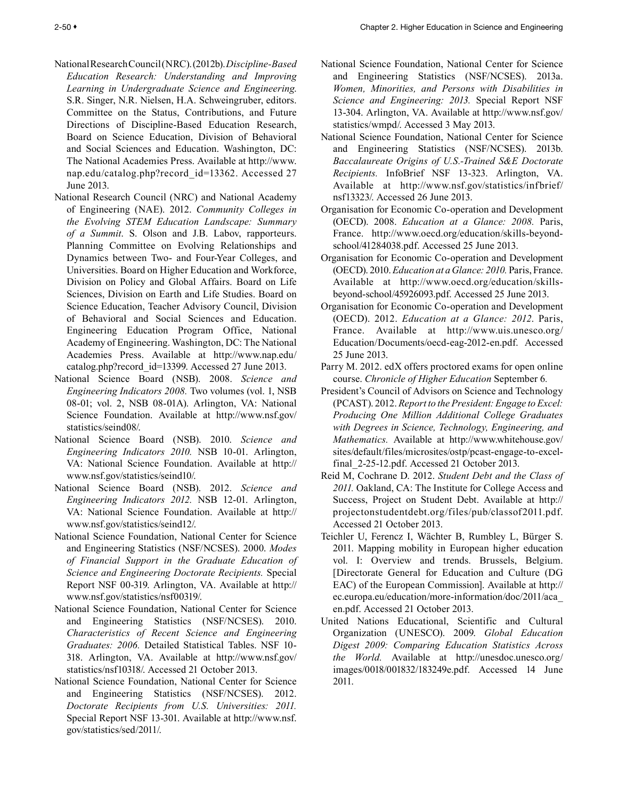- National Research Council (NRC). (2012b). *Discipline-Based Education Research: Understanding and Improving Learning in Undergraduate Science and Engineering*. S.R. Singer, N.R. Nielsen, H.A. Schweingruber, editors. Committee on the Status, Contributions, and Future Directions of Discipline-Based Education Research, Board on Science Education, Division of Behavioral and Social Sciences and Education. Washington, DC: The National Academies Press. Available at http://www. nap.edu/catalog.php?record\_id=13362. Accessed 27 June 2013.
- National Research Council (NRC) and National Academy of Engineering (NAE). 2012. *Community Colleges in the Evolving STEM Education Landscape: Summary of a Summit*. S. Olson and J.B. Labov, rapporteurs. Planning Committee on Evolving Relationships and Dynamics between Two- and Four-Year Colleges, and Universities. Board on Higher Education and Workforce, Division on Policy and Global Affairs. Board on Life Sciences, Division on Earth and Life Studies. Board on Science Education, Teacher Advisory Council, Division of Behavioral and Social Sciences and Education. Engineering Education Program Office, National Academy of Engineering. Washington, DC: The National Academies Press. Available at http://www.nap.edu/ catalog.php?record\_id=13399. Accessed 27 June 2013.
- National Science Board (NSB). 2008. *Science and Engineering Indicators 2008.* Two volumes (vol. 1, NSB 08-01; vol. 2, NSB 08-01A). Arlington, VA: National Science Foundation. Available at http://www.nsf.gov/ statistics/seind08/.
- National Science Board (NSB). 2010. *Science and Engineering Indicators 2010.* NSB 10-01. Arlington, VA: National Science Foundation. Available at http:// www.nsf.gov/statistics/seind10/.
- National Science Board (NSB). 2012. *Science and Engineering Indicators 2012.* NSB 12-01. Arlington, VA: National Science Foundation. Available at http:// www.nsf.gov/statistics/seind12/.
- National Science Foundation, National Center for Science and Engineering Statistics (NSF/NCSES). 2000. *Modes of Financial Support in the Graduate Education of Science and Engineering Doctorate Recipients.* Special Report NSF 00-319. Arlington, VA. Available at http:// www.nsf.gov/statistics/nsf00319/.
- National Science Foundation, National Center for Science and Engineering Statistics (NSF/NCSES). 2010. *Characteristics of Recent Science and Engineering Graduates: 2006.* Detailed Statistical Tables. NSF 10- 318. Arlington, VA. Available at http://www.nsf.gov/ statistics/nsf10318/. Accessed 21 October 2013.
- National Science Foundation, National Center for Science and Engineering Statistics (NSF/NCSES). 2012. *Doctorate Recipients from U.S. Universities: 2011.* Special Report NSF 13-301. Available at http://www.nsf. gov/statistics/sed/2011/.
- National Science Foundation, National Center for Science and Engineering Statistics (NSF/NCSES). 2013a. *Women, Minorities, and Persons with Disabilities in Science and Engineering: 2013.* Special Report NSF 13-304. Arlington, VA. Available at http://www.nsf.gov/ statistics/wmpd/. Accessed 3 May 2013.
- National Science Foundation, National Center for Science and Engineering Statistics (NSF/NCSES). 2013b. *Baccalaureate Origins of U.S.-Trained S&E Doctorate Recipients.* InfoBrief NSF 13-323. Arlington, VA. Available at http://www.nsf.gov/statistics/infbrief/ nsf13323/. Accessed 26 June 2013.
- Organisation for Economic Co-operation and Development (OECD). 2008. *Education at a Glance: 2008.* Paris, France. http://www.oecd.org/education/skills-beyondschool/41284038.pdf. Accessed 25 June 2013.
- Organisation for Economic Co-operation and Development (OECD). 2010. *Education at a Glance: 2010.* Paris, France. Available at http://www.oecd.org/education/skillsbeyond-school/45926093.pdf. Accessed 25 June 2013.
- Organisation for Economic Co-operation and Development (OECD). 2012. *Education at a Glance: 2012*. Paris, France. Available at http://www.uis.unesco.org/ Education/Documents/oecd-eag-2012-en.pdf. Accessed 25 June 2013.
- Parry M. 2012. edX offers proctored exams for open online course. *Chronicle of Higher Education* September 6*.*
- President's Council of Advisors on Science and Technology (PCAST). 2012. *Report to the President: Engage to Excel: Producing One Million Additional College Graduates with Degrees in Science, Technology, Engineering, and Mathematics.* Available at http://www.whitehouse.gov/ sites/default/files/microsites/ostp/pcast-engage-to-excelfinal 2-25-12.pdf. Accessed 21 October 2013.
- Reid M, Cochrane D. 2012. *Student Debt and the Class of 2011.* Oakland, CA: The Institute for College Access and Success, Project on Student Debt. Available at http:// projectonstudentdebt.org/files/pub/classof2011.pdf. Accessed 21 October 2013.
- Teichler U, Ferencz I, Wächter B, Rumbley L, Bürger S. 2011. Mapping mobility in European higher education vol. I: Overview and trends. Brussels, Belgium. [Directorate General for Education and Culture (DG EAC) of the European Commission]. Available at http:// ec.europa.eu/education/more-information/doc/2011/aca\_ en.pdf. Accessed 21 October 2013.
- United Nations Educational, Scientific and Cultural Organization (UNESCO). 2009. *Global Education Digest 2009: Comparing Education Statistics Across the World.* Available at http://unesdoc.unesco.org/ images/0018/001832/183249e.pdf. Accessed 14 June 2011.